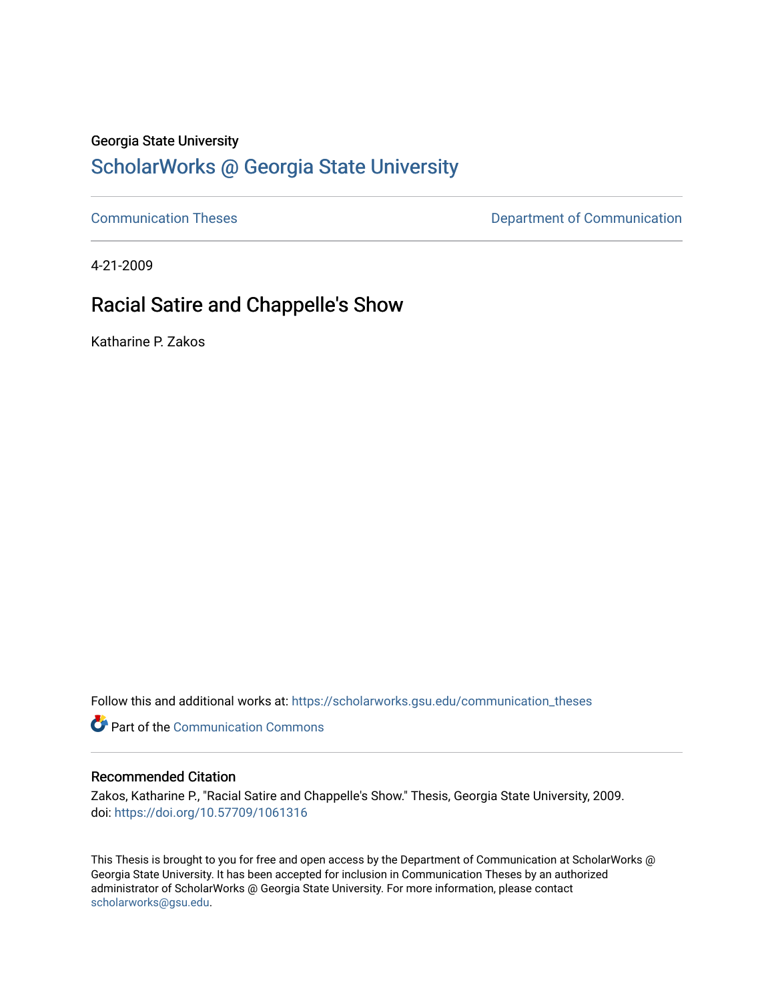### Georgia State University

# [ScholarWorks @ Georgia State University](https://scholarworks.gsu.edu/)

[Communication Theses](https://scholarworks.gsu.edu/communication_theses) **Communication Communication** 

4-21-2009

# Racial Satire and Chappelle's Show

Katharine P. Zakos

Follow this and additional works at: [https://scholarworks.gsu.edu/communication\\_theses](https://scholarworks.gsu.edu/communication_theses?utm_source=scholarworks.gsu.edu%2Fcommunication_theses%2F50&utm_medium=PDF&utm_campaign=PDFCoverPages) 

**Part of the Communication Commons** 

#### Recommended Citation

Zakos, Katharine P., "Racial Satire and Chappelle's Show." Thesis, Georgia State University, 2009. doi: <https://doi.org/10.57709/1061316>

This Thesis is brought to you for free and open access by the Department of Communication at ScholarWorks @ Georgia State University. It has been accepted for inclusion in Communication Theses by an authorized administrator of ScholarWorks @ Georgia State University. For more information, please contact [scholarworks@gsu.edu.](mailto:scholarworks@gsu.edu)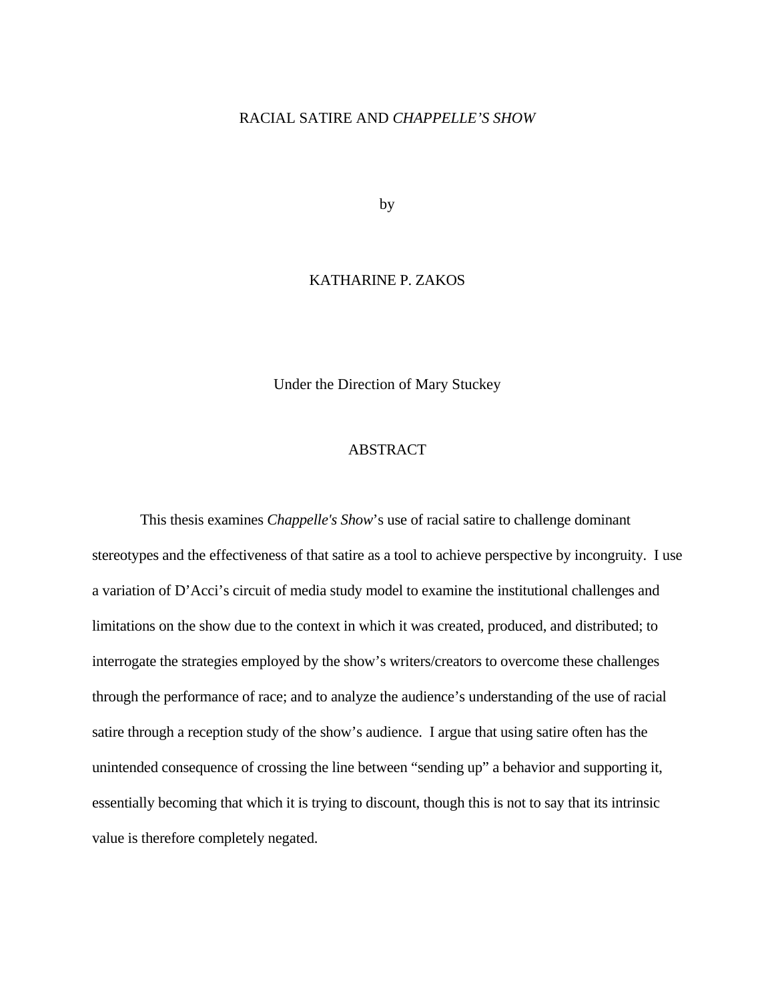## RACIAL SATIRE AND *CHAPPELLE'S SHOW*

by

## KATHARINE P. ZAKOS

Under the Direction of Mary Stuckey

## ABSTRACT

 This thesis examines *Chappelle's Show*'s use of racial satire to challenge dominant stereotypes and the effectiveness of that satire as a tool to achieve perspective by incongruity. I use a variation of D'Acci's circuit of media study model to examine the institutional challenges and limitations on the show due to the context in which it was created, produced, and distributed; to interrogate the strategies employed by the show's writers/creators to overcome these challenges through the performance of race; and to analyze the audience's understanding of the use of racial satire through a reception study of the show's audience. I argue that using satire often has the unintended consequence of crossing the line between "sending up" a behavior and supporting it, essentially becoming that which it is trying to discount, though this is not to say that its intrinsic value is therefore completely negated.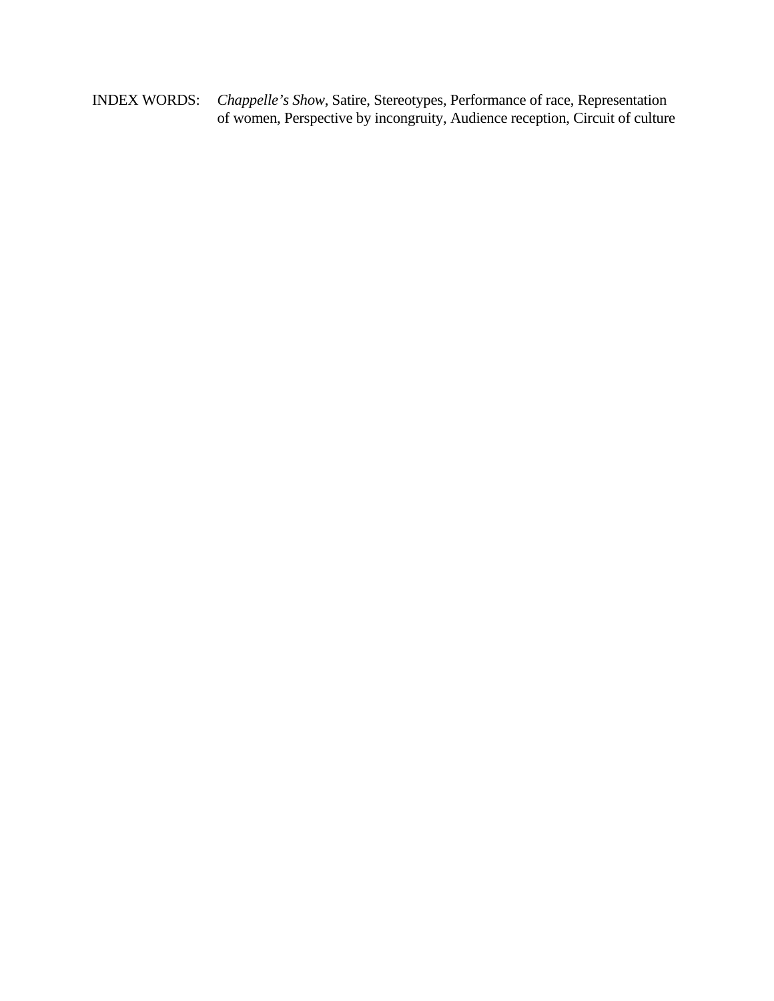INDEX WORDS: *Chappelle's Show*, Satire, Stereotypes, Performance of race, Representation of women, Perspective by incongruity, Audience reception, Circuit of culture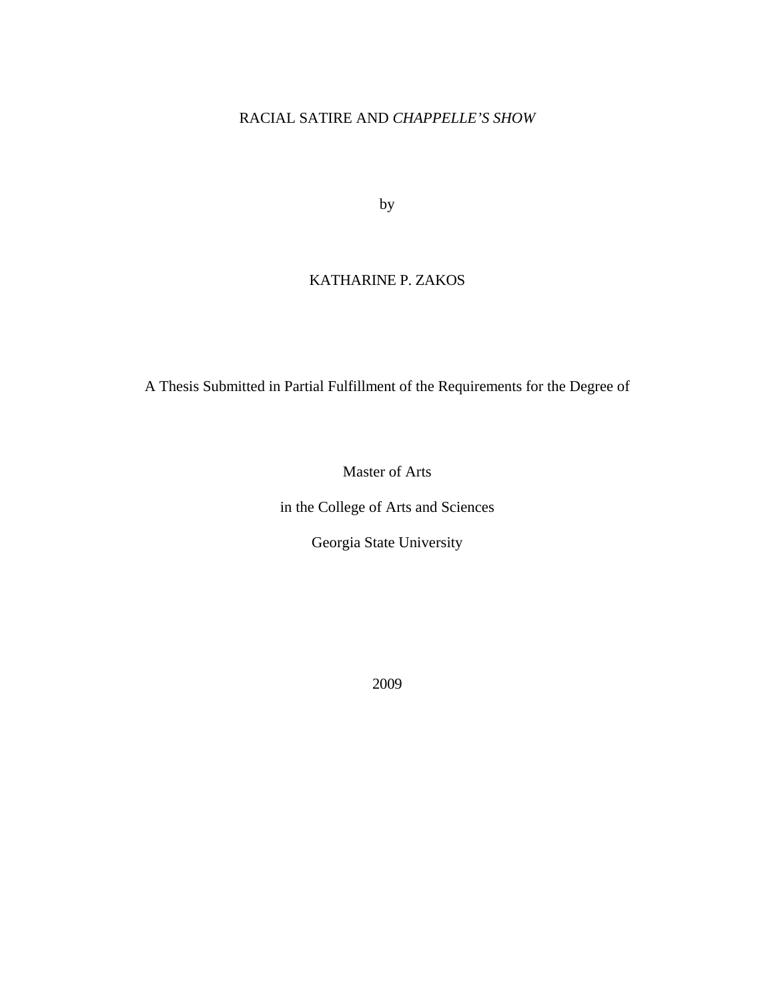## RACIAL SATIRE AND *CHAPPELLE'S SHOW*

by

# KATHARINE P. ZAKOS

A Thesis Submitted in Partial Fulfillment of the Requirements for the Degree of

Master of Arts

in the College of Arts and Sciences

Georgia State University

2009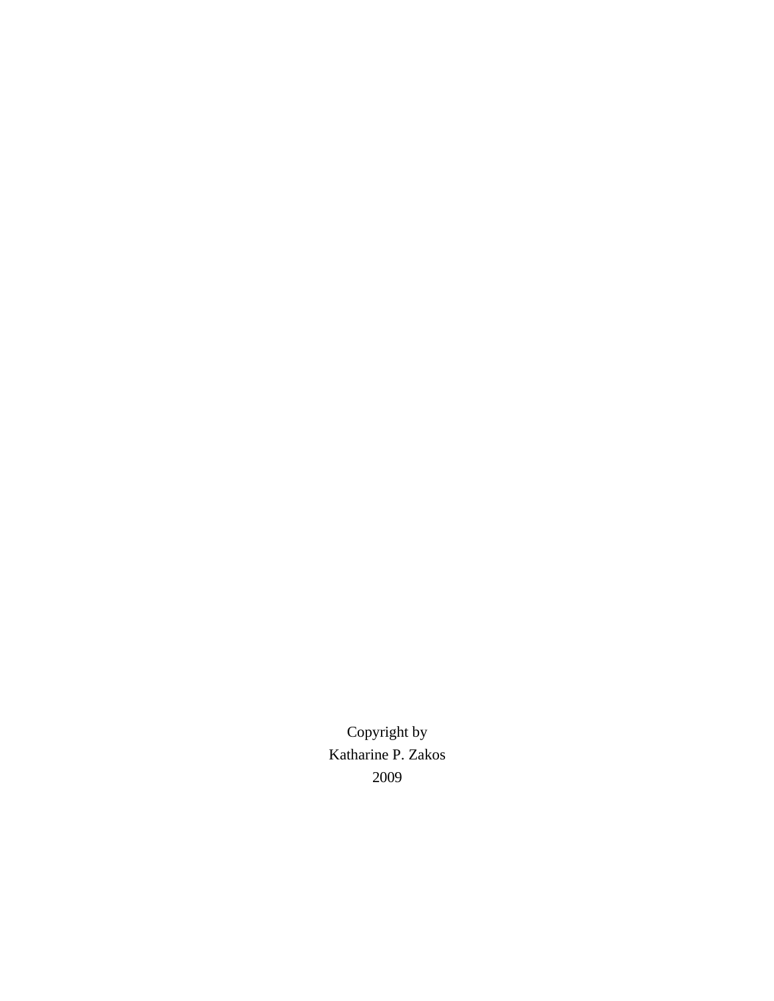Copyright by Katharine P. Zakos 2009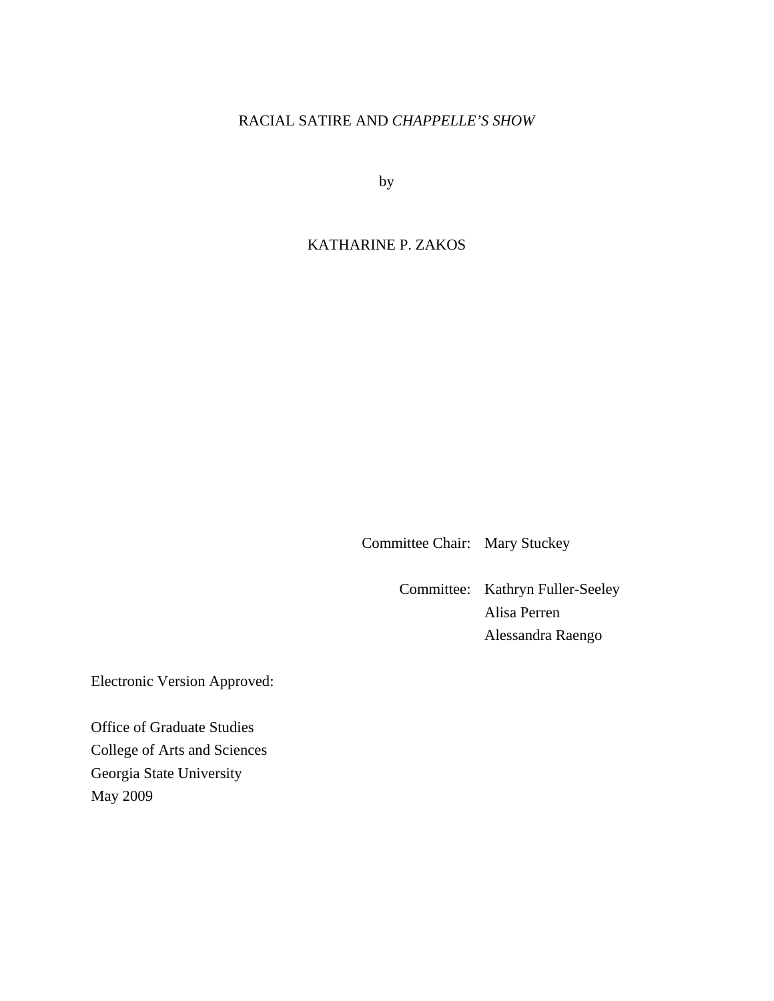# RACIAL SATIRE AND *CHAPPELLE'S SHOW*

by

## KATHARINE P. ZAKOS

Committee Chair: Mary Stuckey

 Committee: Kathryn Fuller-Seeley Alisa Perren Alessandra Raengo

Electronic Version Approved:

Office of Graduate Studies College of Arts and Sciences Georgia State University May 2009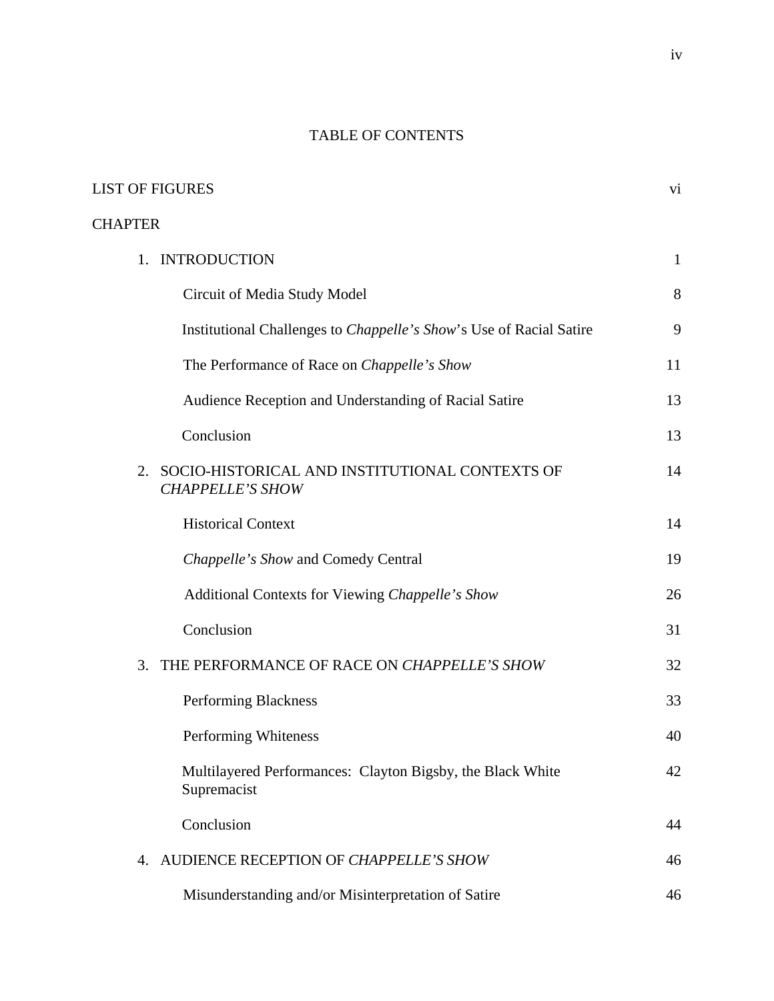# TABLE OF CONTENTS

| <b>LIST OF FIGURES</b>                                                       |              |
|------------------------------------------------------------------------------|--------------|
| <b>CHAPTER</b>                                                               |              |
| 1. INTRODUCTION                                                              | $\mathbf{1}$ |
| Circuit of Media Study Model                                                 | 8            |
| Institutional Challenges to <i>Chappelle's Show's</i> Use of Racial Satire   | 9            |
| The Performance of Race on Chappelle's Show                                  | 11           |
| Audience Reception and Understanding of Racial Satire                        | 13           |
| Conclusion                                                                   | 13           |
| 2. SOCIO-HISTORICAL AND INSTITUTIONAL CONTEXTS OF<br><b>CHAPPELLE'S SHOW</b> | 14           |
| <b>Historical Context</b>                                                    | 14           |
| Chappelle's Show and Comedy Central                                          | 19           |
| Additional Contexts for Viewing Chappelle's Show                             | 26           |
| Conclusion                                                                   | 31           |
| 3. THE PERFORMANCE OF RACE ON CHAPPELLE'S SHOW                               | 32           |
| Performing Blackness                                                         | 33           |
| Performing Whiteness                                                         | 40           |
| Multilayered Performances: Clayton Bigsby, the Black White<br>Supremacist    | 42           |
| Conclusion                                                                   | 44           |
| 4. AUDIENCE RECEPTION OF CHAPPELLE'S SHOW                                    | 46           |
| Misunderstanding and/or Misinterpretation of Satire                          | 46           |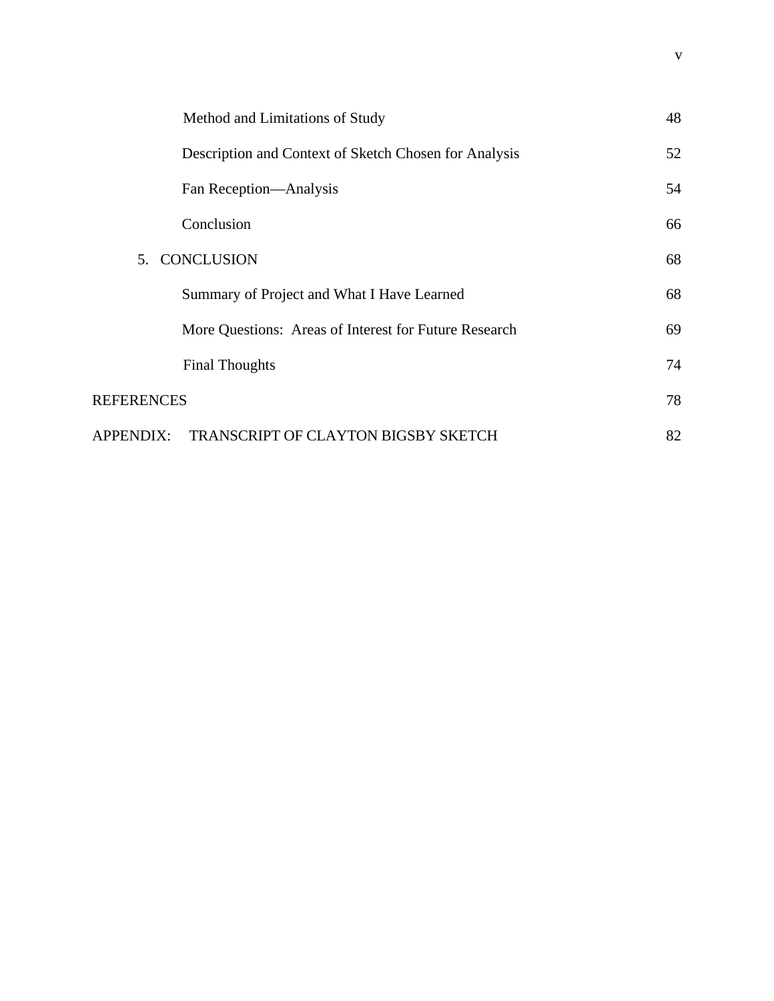|                   | Method and Limitations of Study                       | 48 |
|-------------------|-------------------------------------------------------|----|
|                   | Description and Context of Sketch Chosen for Analysis | 52 |
|                   | Fan Reception—Analysis                                | 54 |
|                   | Conclusion                                            | 66 |
| 5. CONCLUSION     |                                                       | 68 |
|                   | Summary of Project and What I Have Learned            | 68 |
|                   | More Questions: Areas of Interest for Future Research | 69 |
|                   | <b>Final Thoughts</b>                                 | 74 |
| <b>REFERENCES</b> |                                                       | 78 |
| APPENDIX:         | TRANSCRIPT OF CLAYTON BIGSBY SKETCH                   | 82 |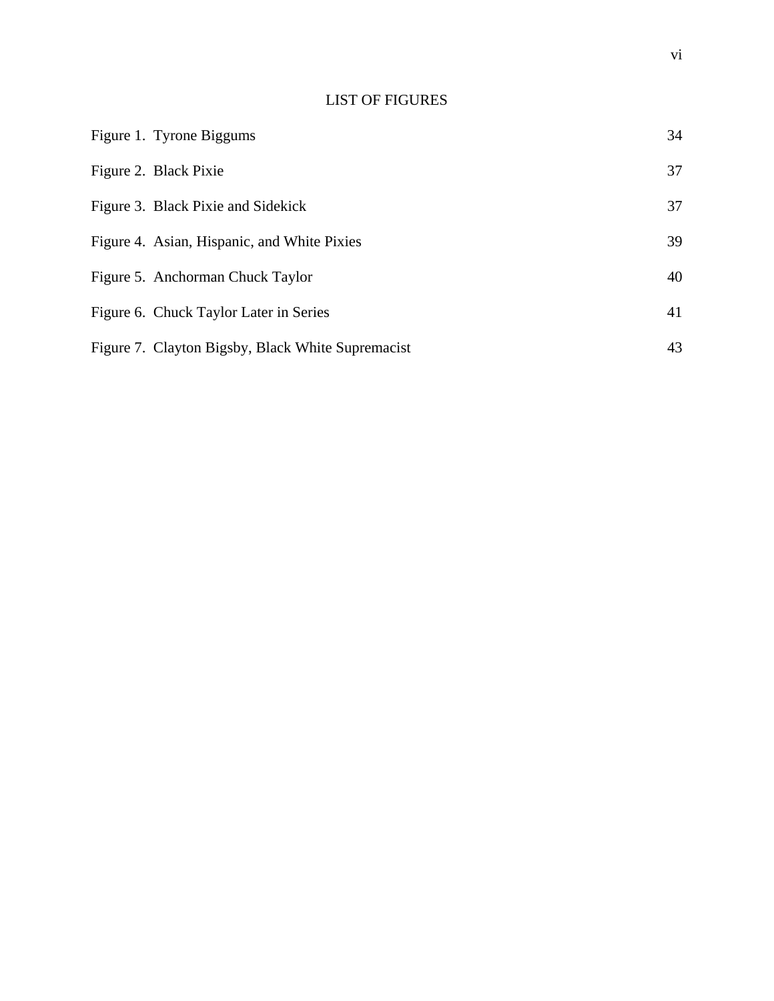# LIST OF FIGURES

| Figure 1. Tyrone Biggums                          | 34 |
|---------------------------------------------------|----|
| Figure 2. Black Pixie                             | 37 |
| Figure 3. Black Pixie and Sidekick                | 37 |
| Figure 4. Asian, Hispanic, and White Pixies       | 39 |
| Figure 5. Anchorman Chuck Taylor                  | 40 |
| Figure 6. Chuck Taylor Later in Series            | 41 |
| Figure 7. Clayton Bigsby, Black White Supremacist | 43 |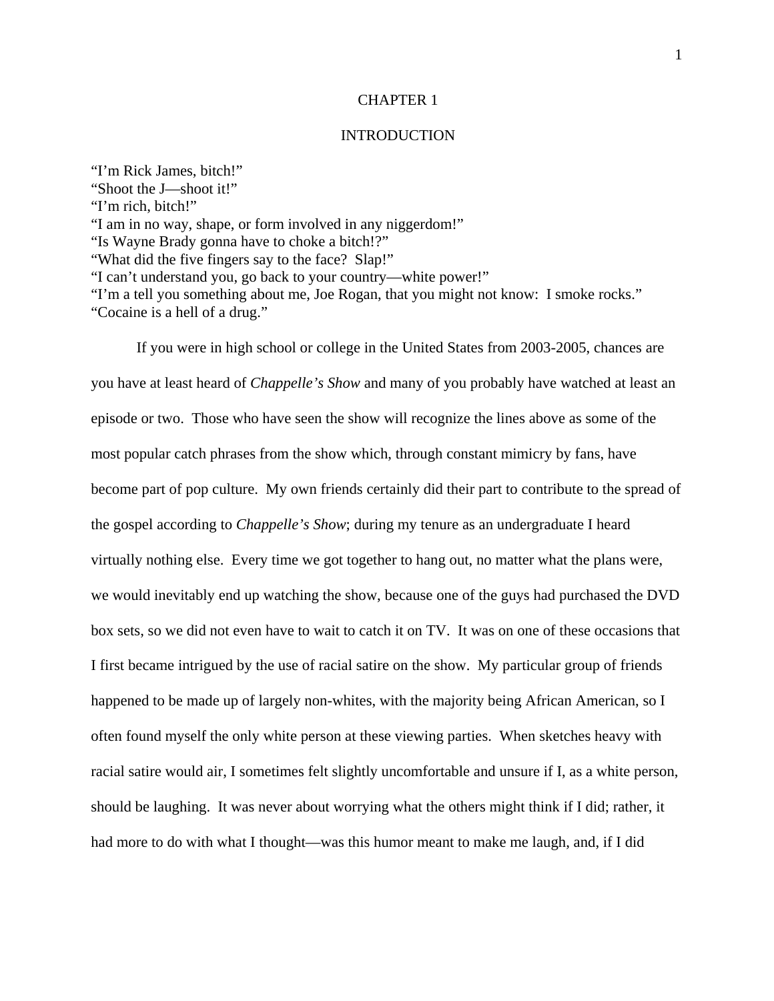#### CHAPTER 1

### **INTRODUCTION**

"I'm Rick James, bitch!" "Shoot the J—shoot it!" "I'm rich, bitch!" "I am in no way, shape, or form involved in any niggerdom!" "Is Wayne Brady gonna have to choke a bitch!?" "What did the five fingers say to the face? Slap!" "I can't understand you, go back to your country—white power!" "I'm a tell you something about me, Joe Rogan, that you might not know: I smoke rocks." "Cocaine is a hell of a drug."

If you were in high school or college in the United States from 2003-2005, chances are you have at least heard of *Chappelle's Show* and many of you probably have watched at least an episode or two. Those who have seen the show will recognize the lines above as some of the most popular catch phrases from the show which, through constant mimicry by fans, have become part of pop culture. My own friends certainly did their part to contribute to the spread of the gospel according to *Chappelle's Show*; during my tenure as an undergraduate I heard virtually nothing else. Every time we got together to hang out, no matter what the plans were, we would inevitably end up watching the show, because one of the guys had purchased the DVD box sets, so we did not even have to wait to catch it on TV. It was on one of these occasions that I first became intrigued by the use of racial satire on the show. My particular group of friends happened to be made up of largely non-whites, with the majority being African American, so I often found myself the only white person at these viewing parties. When sketches heavy with racial satire would air, I sometimes felt slightly uncomfortable and unsure if I, as a white person, should be laughing. It was never about worrying what the others might think if I did; rather, it had more to do with what I thought—was this humor meant to make me laugh, and, if I did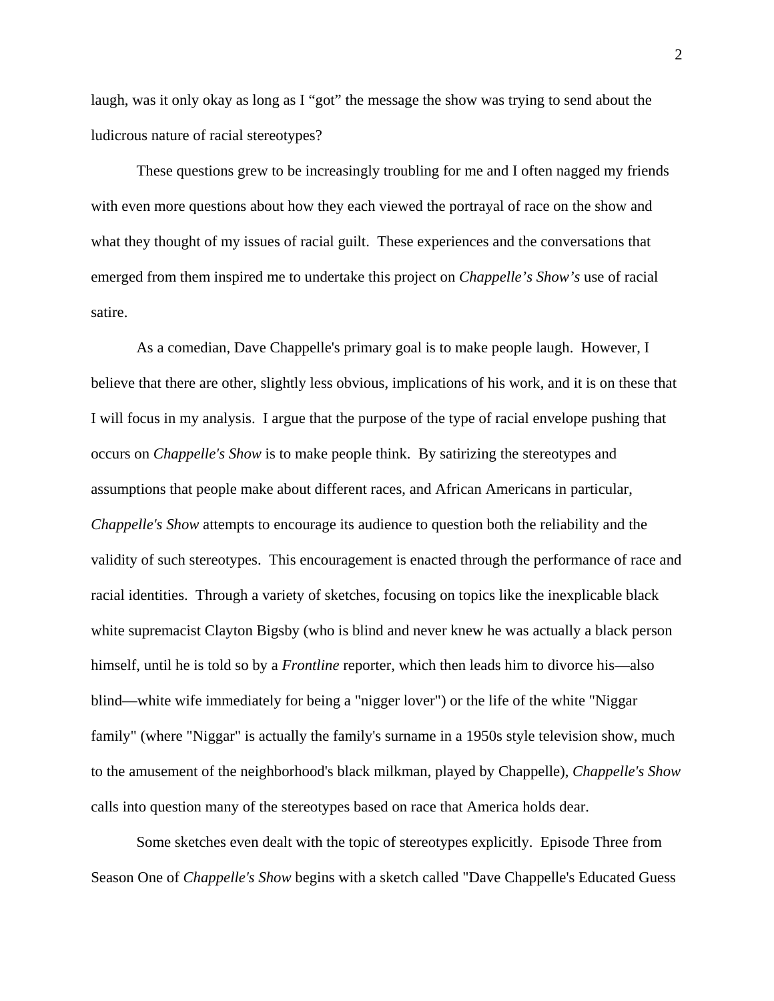laugh, was it only okay as long as I "got" the message the show was trying to send about the ludicrous nature of racial stereotypes?

These questions grew to be increasingly troubling for me and I often nagged my friends with even more questions about how they each viewed the portrayal of race on the show and what they thought of my issues of racial guilt. These experiences and the conversations that emerged from them inspired me to undertake this project on *Chappelle's Show's* use of racial satire.

As a comedian, Dave Chappelle's primary goal is to make people laugh. However, I believe that there are other, slightly less obvious, implications of his work, and it is on these that I will focus in my analysis. I argue that the purpose of the type of racial envelope pushing that occurs on *Chappelle's Show* is to make people think. By satirizing the stereotypes and assumptions that people make about different races, and African Americans in particular, *Chappelle's Show* attempts to encourage its audience to question both the reliability and the validity of such stereotypes. This encouragement is enacted through the performance of race and racial identities. Through a variety of sketches, focusing on topics like the inexplicable black white supremacist Clayton Bigsby (who is blind and never knew he was actually a black person himself, until he is told so by a *Frontline* reporter, which then leads him to divorce his—also blind—white wife immediately for being a "nigger lover") or the life of the white "Niggar family" (where "Niggar" is actually the family's surname in a 1950s style television show, much to the amusement of the neighborhood's black milkman, played by Chappelle), *Chappelle's Show* calls into question many of the stereotypes based on race that America holds dear.

Some sketches even dealt with the topic of stereotypes explicitly. Episode Three from Season One of *Chappelle's Show* begins with a sketch called "Dave Chappelle's Educated Guess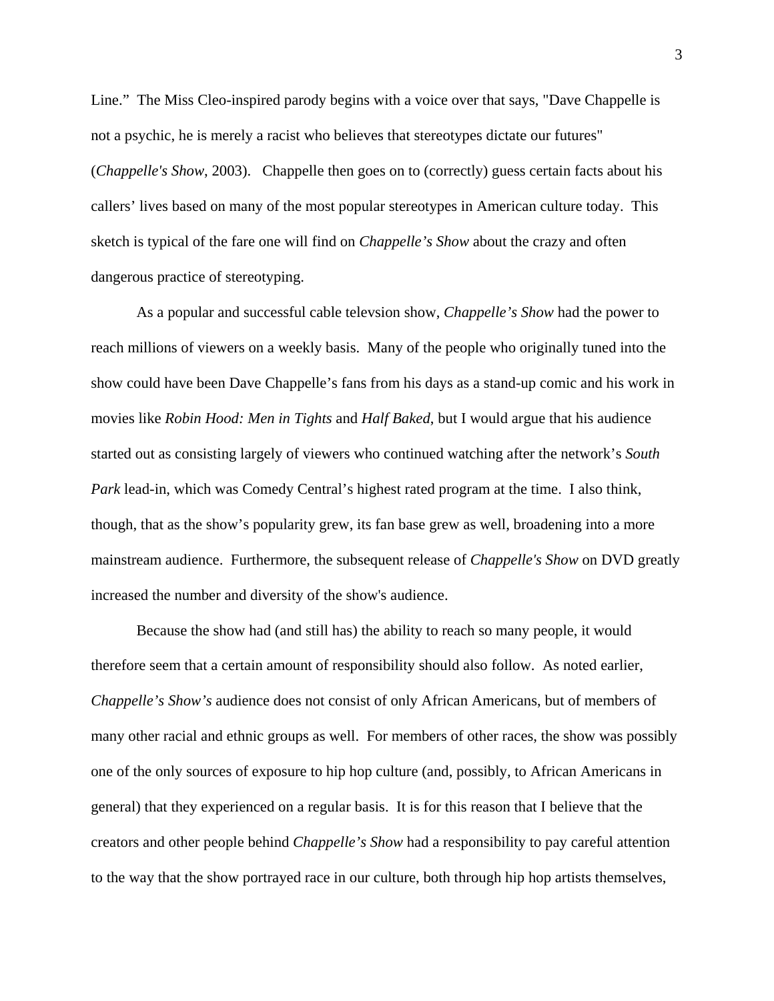Line." The Miss Cleo-inspired parody begins with a voice over that says, "Dave Chappelle is not a psychic, he is merely a racist who believes that stereotypes dictate our futures" (*Chappelle's Show*, 2003). Chappelle then goes on to (correctly) guess certain facts about his callers' lives based on many of the most popular stereotypes in American culture today. This sketch is typical of the fare one will find on *Chappelle's Show* about the crazy and often dangerous practice of stereotyping.

As a popular and successful cable televsion show, *Chappelle's Show* had the power to reach millions of viewers on a weekly basis. Many of the people who originally tuned into the show could have been Dave Chappelle's fans from his days as a stand-up comic and his work in movies like *Robin Hood: Men in Tights* and *Half Baked*, but I would argue that his audience started out as consisting largely of viewers who continued watching after the network's *South Park* lead-in, which was Comedy Central's highest rated program at the time. I also think, though, that as the show's popularity grew, its fan base grew as well, broadening into a more mainstream audience. Furthermore, the subsequent release of *Chappelle's Show* on DVD greatly increased the number and diversity of the show's audience.

Because the show had (and still has) the ability to reach so many people, it would therefore seem that a certain amount of responsibility should also follow. As noted earlier, *Chappelle's Show's* audience does not consist of only African Americans, but of members of many other racial and ethnic groups as well. For members of other races, the show was possibly one of the only sources of exposure to hip hop culture (and, possibly, to African Americans in general) that they experienced on a regular basis. It is for this reason that I believe that the creators and other people behind *Chappelle's Show* had a responsibility to pay careful attention to the way that the show portrayed race in our culture, both through hip hop artists themselves,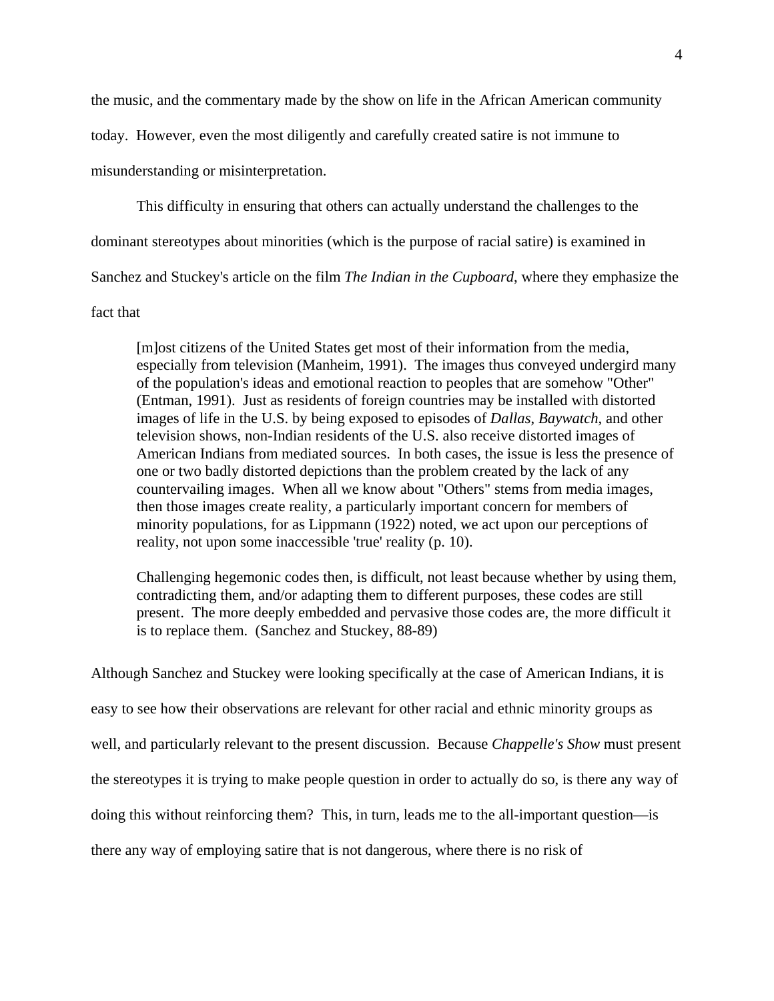the music, and the commentary made by the show on life in the African American community

today. However, even the most diligently and carefully created satire is not immune to

misunderstanding or misinterpretation.

This difficulty in ensuring that others can actually understand the challenges to the

dominant stereotypes about minorities (which is the purpose of racial satire) is examined in

Sanchez and Stuckey's article on the film *The Indian in the Cupboard*, where they emphasize the

fact that

[m]ost citizens of the United States get most of their information from the media, especially from television (Manheim, 1991). The images thus conveyed undergird many of the population's ideas and emotional reaction to peoples that are somehow "Other" (Entman, 1991). Just as residents of foreign countries may be installed with distorted images of life in the U.S. by being exposed to episodes of *Dallas*, *Baywatch*, and other television shows, non-Indian residents of the U.S. also receive distorted images of American Indians from mediated sources. In both cases, the issue is less the presence of one or two badly distorted depictions than the problem created by the lack of any countervailing images. When all we know about "Others" stems from media images, then those images create reality, a particularly important concern for members of minority populations, for as Lippmann (1922) noted, we act upon our perceptions of reality, not upon some inaccessible 'true' reality (p. 10).

Challenging hegemonic codes then, is difficult, not least because whether by using them, contradicting them, and/or adapting them to different purposes, these codes are still present. The more deeply embedded and pervasive those codes are, the more difficult it is to replace them. (Sanchez and Stuckey, 88-89)

Although Sanchez and Stuckey were looking specifically at the case of American Indians, it is easy to see how their observations are relevant for other racial and ethnic minority groups as well, and particularly relevant to the present discussion. Because *Chappelle's Show* must present the stereotypes it is trying to make people question in order to actually do so, is there any way of doing this without reinforcing them? This, in turn, leads me to the all-important question—is there any way of employing satire that is not dangerous, where there is no risk of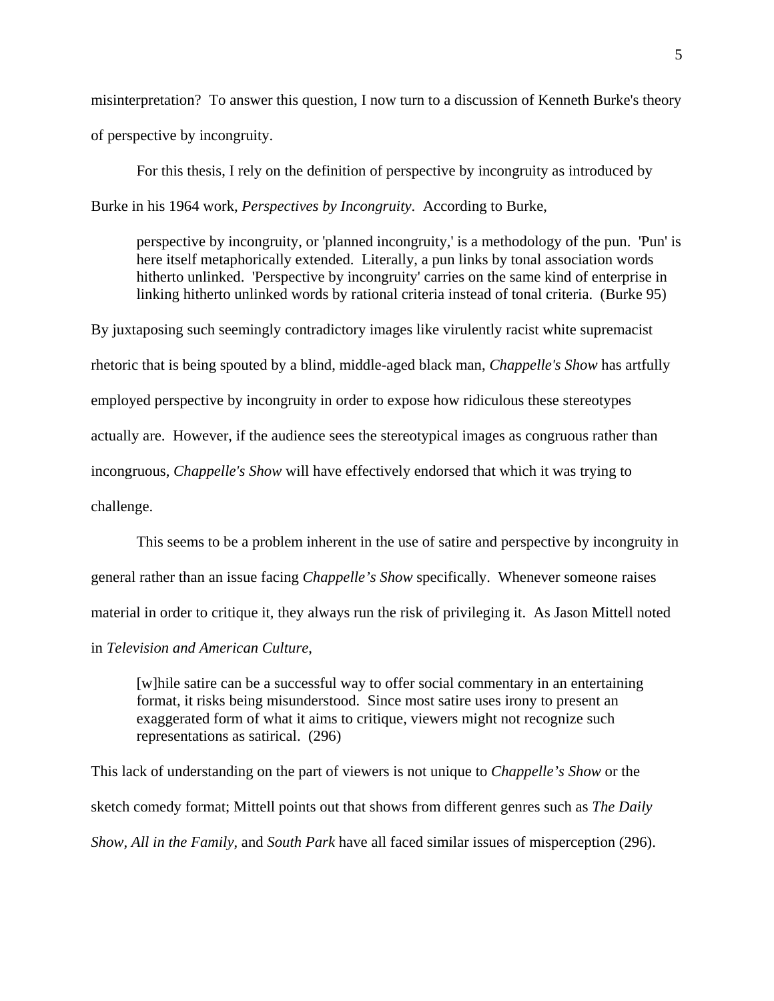misinterpretation? To answer this question, I now turn to a discussion of Kenneth Burke's theory of perspective by incongruity.

For this thesis, I rely on the definition of perspective by incongruity as introduced by Burke in his 1964 work, *Perspectives by Incongruity*. According to Burke,

perspective by incongruity, or 'planned incongruity,' is a methodology of the pun. 'Pun' is here itself metaphorically extended. Literally, a pun links by tonal association words hitherto unlinked. 'Perspective by incongruity' carries on the same kind of enterprise in linking hitherto unlinked words by rational criteria instead of tonal criteria. (Burke 95)

By juxtaposing such seemingly contradictory images like virulently racist white supremacist rhetoric that is being spouted by a blind, middle-aged black man, *Chappelle's Show* has artfully employed perspective by incongruity in order to expose how ridiculous these stereotypes actually are. However, if the audience sees the stereotypical images as congruous rather than incongruous, *Chappelle's Show* will have effectively endorsed that which it was trying to challenge.

This seems to be a problem inherent in the use of satire and perspective by incongruity in general rather than an issue facing *Chappelle's Show* specifically. Whenever someone raises material in order to critique it, they always run the risk of privileging it. As Jason Mittell noted in *Television and American Culture*,

[w]hile satire can be a successful way to offer social commentary in an entertaining format, it risks being misunderstood. Since most satire uses irony to present an exaggerated form of what it aims to critique, viewers might not recognize such representations as satirical. (296)

This lack of understanding on the part of viewers is not unique to *Chappelle's Show* or the sketch comedy format; Mittell points out that shows from different genres such as *The Daily Show*, *All in the Family*, and *South Park* have all faced similar issues of misperception (296).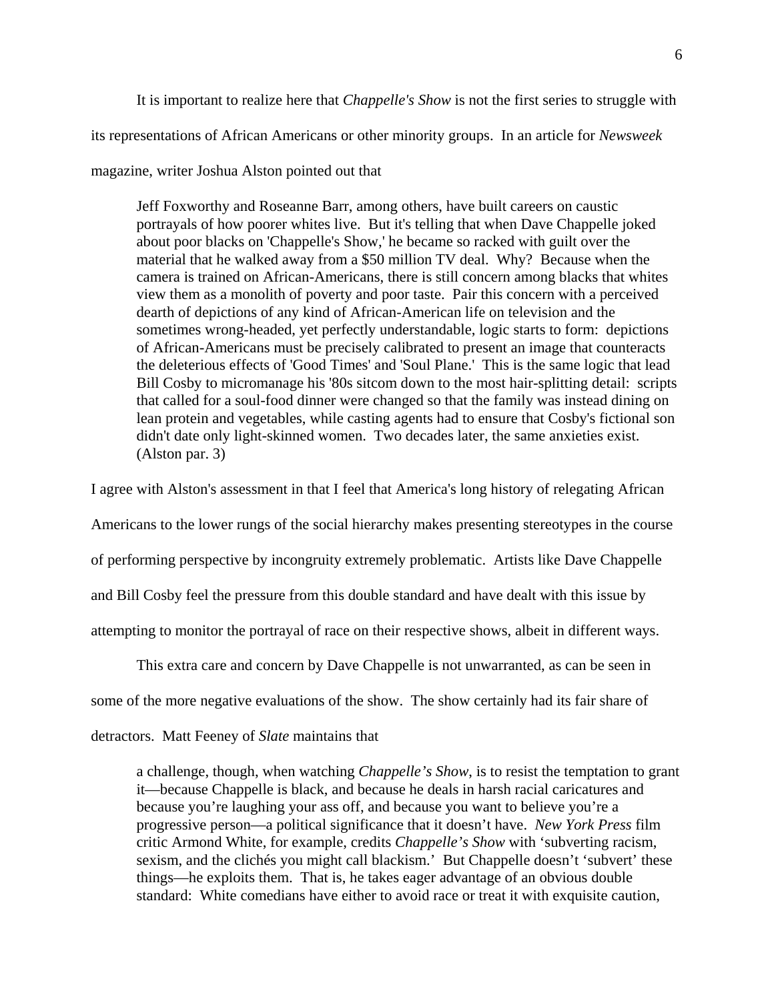It is important to realize here that *Chappelle's Show* is not the first series to struggle with

its representations of African Americans or other minority groups. In an article for *Newsweek*

#### magazine, writer Joshua Alston pointed out that

Jeff Foxworthy and Roseanne Barr, among others, have built careers on caustic portrayals of how poorer whites live. But it's telling that when Dave Chappelle joked about poor blacks on 'Chappelle's Show,' he became so racked with guilt over the material that he walked away from a \$50 million TV deal. Why? Because when the camera is trained on African-Americans, there is still concern among blacks that whites view them as a monolith of poverty and poor taste. Pair this concern with a perceived dearth of depictions of any kind of African-American life on television and the sometimes wrong-headed, yet perfectly understandable, logic starts to form: depictions of African-Americans must be precisely calibrated to present an image that counteracts the deleterious effects of 'Good Times' and 'Soul Plane.' This is the same logic that lead Bill Cosby to micromanage his '80s sitcom down to the most hair-splitting detail: scripts that called for a soul-food dinner were changed so that the family was instead dining on lean protein and vegetables, while casting agents had to ensure that Cosby's fictional son didn't date only light-skinned women. Two decades later, the same anxieties exist. (Alston par. 3)

I agree with Alston's assessment in that I feel that America's long history of relegating African

Americans to the lower rungs of the social hierarchy makes presenting stereotypes in the course

of performing perspective by incongruity extremely problematic. Artists like Dave Chappelle

and Bill Cosby feel the pressure from this double standard and have dealt with this issue by

attempting to monitor the portrayal of race on their respective shows, albeit in different ways.

This extra care and concern by Dave Chappelle is not unwarranted, as can be seen in

some of the more negative evaluations of the show. The show certainly had its fair share of

detractors. Matt Feeney of *Slate* maintains that

a challenge, though, when watching *Chappelle's Show*, is to resist the temptation to grant it—because Chappelle is black, and because he deals in harsh racial caricatures and because you're laughing your ass off, and because you want to believe you're a progressive person—a political significance that it doesn't have. *New York Press* film critic Armond White, for example, credits *Chappelle's Show* with 'subverting racism, sexism, and the clichés you might call blackism.' But Chappelle doesn't 'subvert' these things—he exploits them. That is, he takes eager advantage of an obvious double standard: White comedians have either to avoid race or treat it with exquisite caution,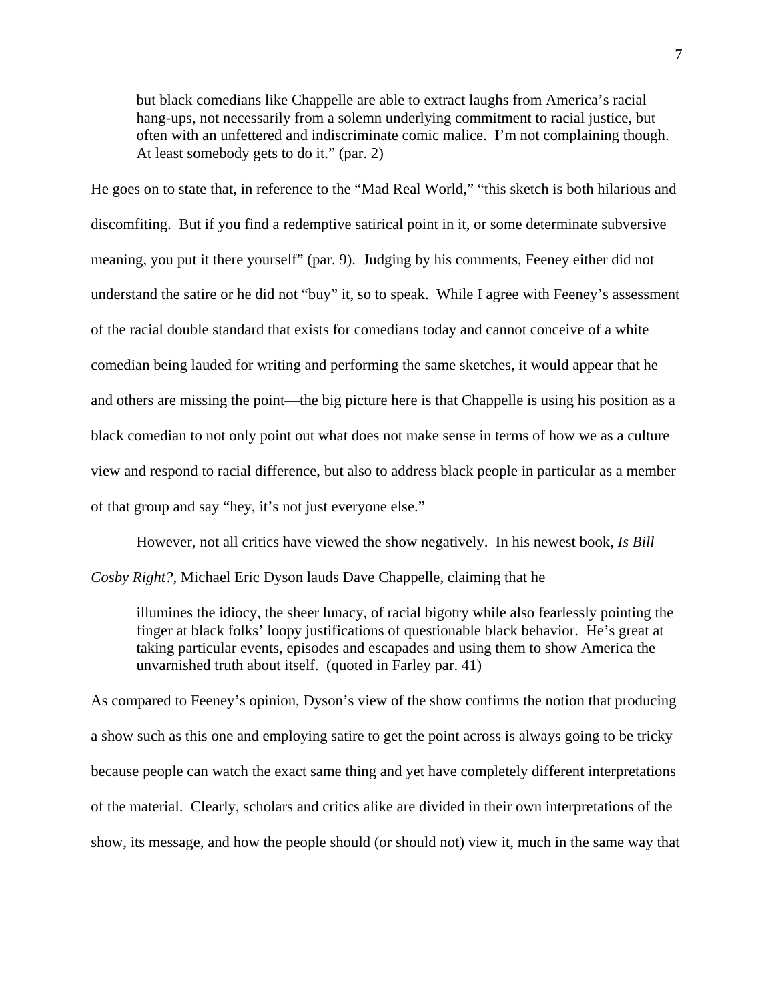but black comedians like Chappelle are able to extract laughs from America's racial hang-ups, not necessarily from a solemn underlying commitment to racial justice, but often with an unfettered and indiscriminate comic malice. I'm not complaining though. At least somebody gets to do it." (par. 2)

He goes on to state that, in reference to the "Mad Real World," "this sketch is both hilarious and discomfiting. But if you find a redemptive satirical point in it, or some determinate subversive meaning, you put it there yourself" (par. 9). Judging by his comments, Feeney either did not understand the satire or he did not "buy" it, so to speak. While I agree with Feeney's assessment of the racial double standard that exists for comedians today and cannot conceive of a white comedian being lauded for writing and performing the same sketches, it would appear that he and others are missing the point—the big picture here is that Chappelle is using his position as a black comedian to not only point out what does not make sense in terms of how we as a culture view and respond to racial difference, but also to address black people in particular as a member of that group and say "hey, it's not just everyone else."

However, not all critics have viewed the show negatively. In his newest book, *Is Bill Cosby Right?*, Michael Eric Dyson lauds Dave Chappelle, claiming that he

illumines the idiocy, the sheer lunacy, of racial bigotry while also fearlessly pointing the finger at black folks' loopy justifications of questionable black behavior. He's great at taking particular events, episodes and escapades and using them to show America the unvarnished truth about itself. (quoted in Farley par. 41)

As compared to Feeney's opinion, Dyson's view of the show confirms the notion that producing a show such as this one and employing satire to get the point across is always going to be tricky because people can watch the exact same thing and yet have completely different interpretations of the material. Clearly, scholars and critics alike are divided in their own interpretations of the show, its message, and how the people should (or should not) view it, much in the same way that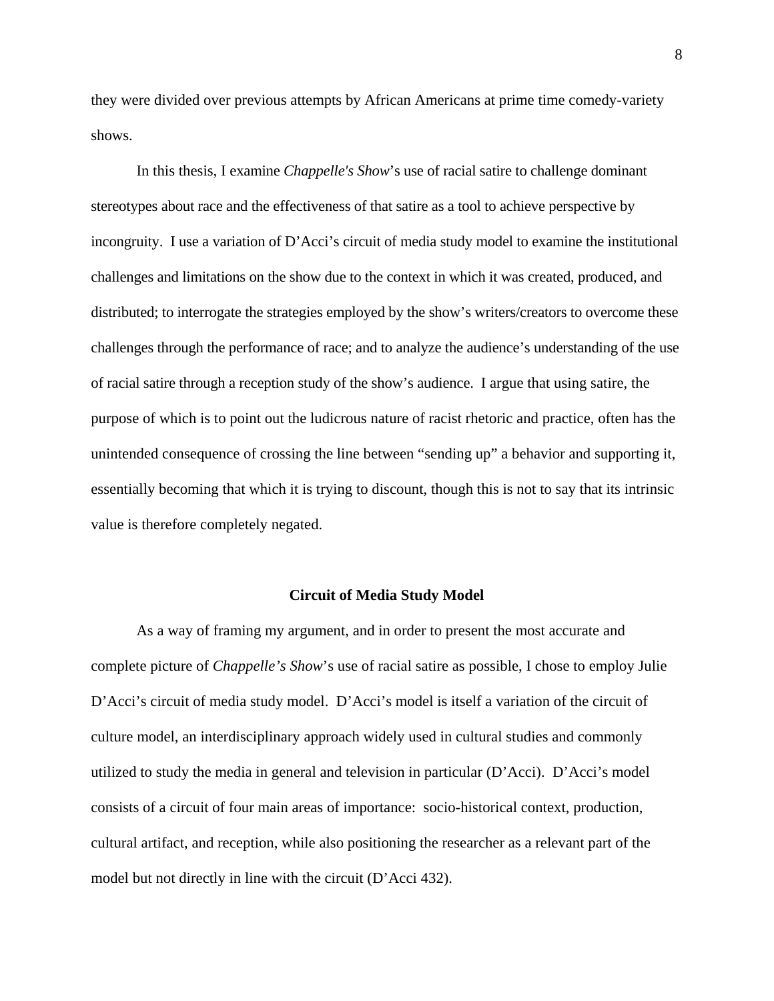they were divided over previous attempts by African Americans at prime time comedy-variety shows.

In this thesis, I examine *Chappelle's Show*'s use of racial satire to challenge dominant stereotypes about race and the effectiveness of that satire as a tool to achieve perspective by incongruity. I use a variation of D'Acci's circuit of media study model to examine the institutional challenges and limitations on the show due to the context in which it was created, produced, and distributed; to interrogate the strategies employed by the show's writers/creators to overcome these challenges through the performance of race; and to analyze the audience's understanding of the use of racial satire through a reception study of the show's audience. I argue that using satire, the purpose of which is to point out the ludicrous nature of racist rhetoric and practice, often has the unintended consequence of crossing the line between "sending up" a behavior and supporting it, essentially becoming that which it is trying to discount, though this is not to say that its intrinsic value is therefore completely negated.

#### **Circuit of Media Study Model**

As a way of framing my argument, and in order to present the most accurate and complete picture of *Chappelle's Show*'s use of racial satire as possible, I chose to employ Julie D'Acci's circuit of media study model. D'Acci's model is itself a variation of the circuit of culture model, an interdisciplinary approach widely used in cultural studies and commonly utilized to study the media in general and television in particular (D'Acci). D'Acci's model consists of a circuit of four main areas of importance: socio-historical context, production, cultural artifact, and reception, while also positioning the researcher as a relevant part of the model but not directly in line with the circuit (D'Acci 432).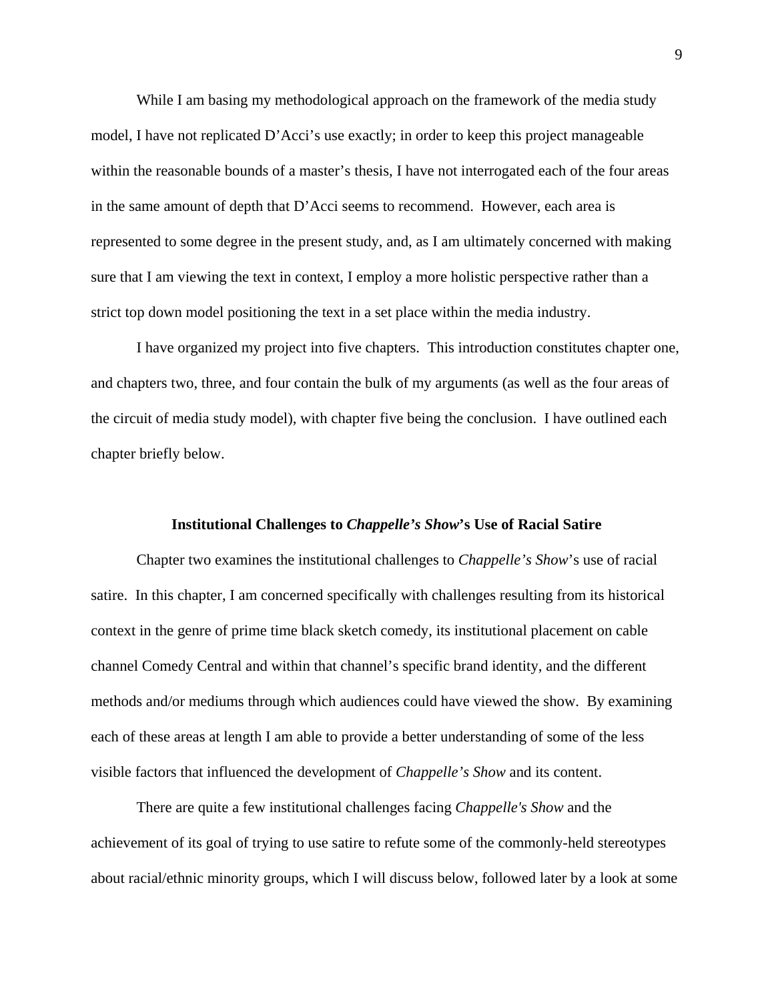While I am basing my methodological approach on the framework of the media study model, I have not replicated D'Acci's use exactly; in order to keep this project manageable within the reasonable bounds of a master's thesis, I have not interrogated each of the four areas in the same amount of depth that D'Acci seems to recommend. However, each area is represented to some degree in the present study, and, as I am ultimately concerned with making sure that I am viewing the text in context, I employ a more holistic perspective rather than a strict top down model positioning the text in a set place within the media industry.

I have organized my project into five chapters. This introduction constitutes chapter one, and chapters two, three, and four contain the bulk of my arguments (as well as the four areas of the circuit of media study model), with chapter five being the conclusion. I have outlined each chapter briefly below.

### **Institutional Challenges to** *Chappelle's Show***'s Use of Racial Satire**

Chapter two examines the institutional challenges to *Chappelle's Show*'s use of racial satire. In this chapter, I am concerned specifically with challenges resulting from its historical context in the genre of prime time black sketch comedy, its institutional placement on cable channel Comedy Central and within that channel's specific brand identity, and the different methods and/or mediums through which audiences could have viewed the show. By examining each of these areas at length I am able to provide a better understanding of some of the less visible factors that influenced the development of *Chappelle's Show* and its content.

There are quite a few institutional challenges facing *Chappelle's Show* and the achievement of its goal of trying to use satire to refute some of the commonly-held stereotypes about racial/ethnic minority groups, which I will discuss below, followed later by a look at some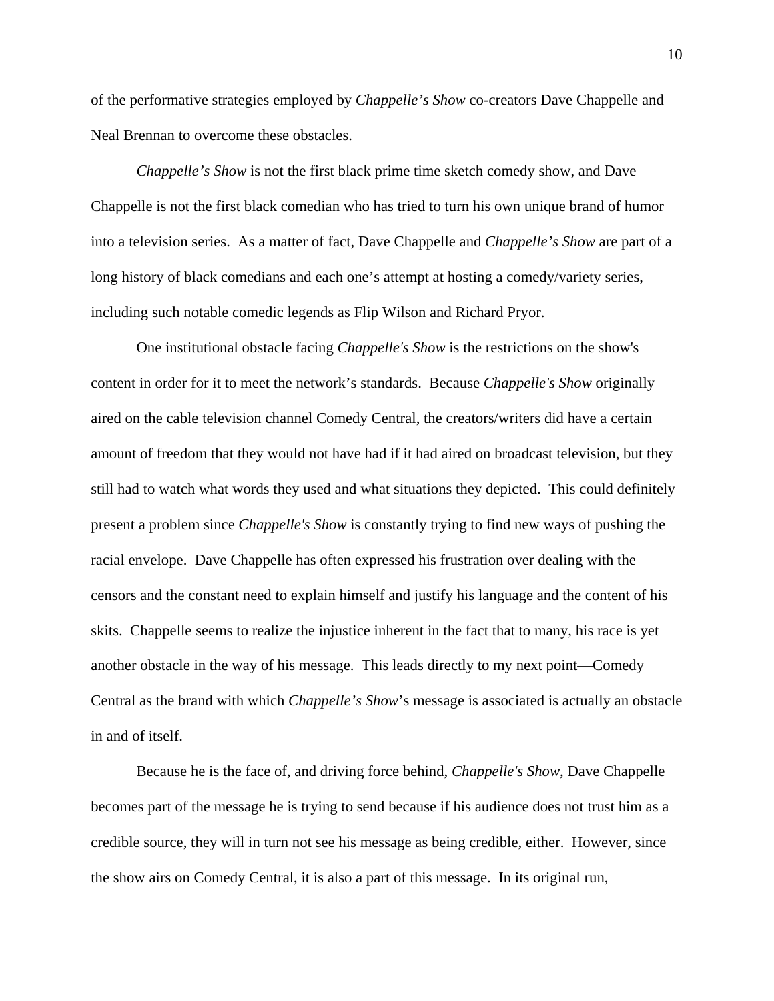of the performative strategies employed by *Chappelle's Show* co-creators Dave Chappelle and Neal Brennan to overcome these obstacles.

*Chappelle's Show* is not the first black prime time sketch comedy show, and Dave Chappelle is not the first black comedian who has tried to turn his own unique brand of humor into a television series. As a matter of fact, Dave Chappelle and *Chappelle's Show* are part of a long history of black comedians and each one's attempt at hosting a comedy/variety series, including such notable comedic legends as Flip Wilson and Richard Pryor.

One institutional obstacle facing *Chappelle's Show* is the restrictions on the show's content in order for it to meet the network's standards. Because *Chappelle's Show* originally aired on the cable television channel Comedy Central, the creators/writers did have a certain amount of freedom that they would not have had if it had aired on broadcast television, but they still had to watch what words they used and what situations they depicted. This could definitely present a problem since *Chappelle's Show* is constantly trying to find new ways of pushing the racial envelope. Dave Chappelle has often expressed his frustration over dealing with the censors and the constant need to explain himself and justify his language and the content of his skits. Chappelle seems to realize the injustice inherent in the fact that to many, his race is yet another obstacle in the way of his message. This leads directly to my next point—Comedy Central as the brand with which *Chappelle's Show*'s message is associated is actually an obstacle in and of itself.

Because he is the face of, and driving force behind, *Chappelle's Show*, Dave Chappelle becomes part of the message he is trying to send because if his audience does not trust him as a credible source, they will in turn not see his message as being credible, either. However, since the show airs on Comedy Central, it is also a part of this message. In its original run,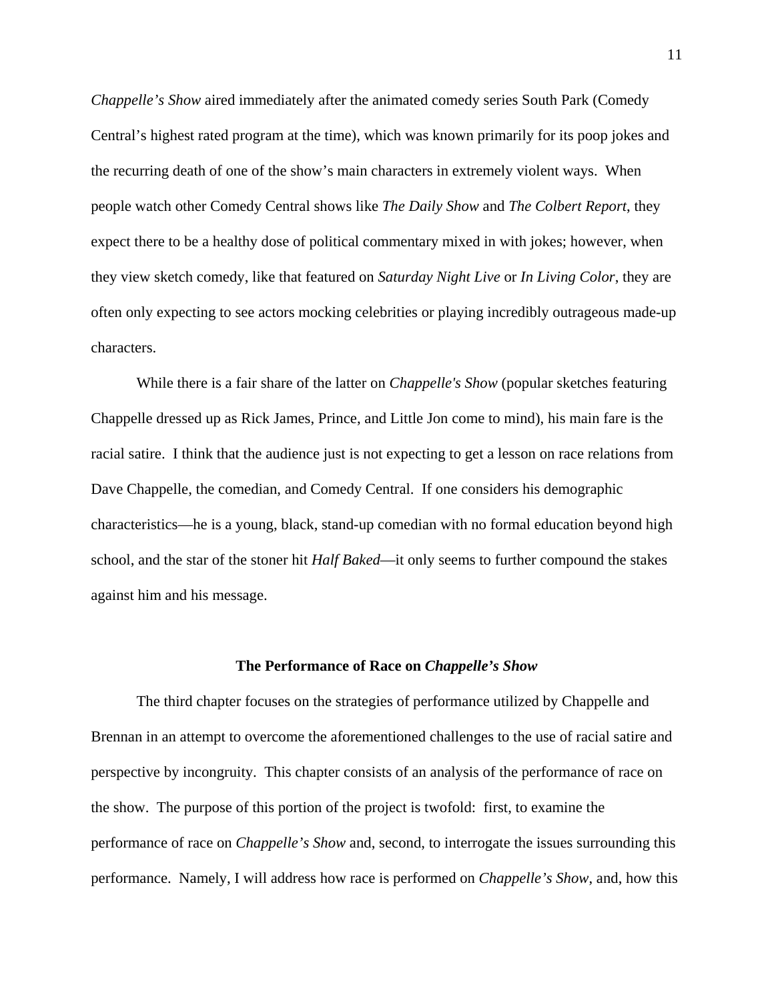*Chappelle's Show* aired immediately after the animated comedy series South Park (Comedy Central's highest rated program at the time), which was known primarily for its poop jokes and the recurring death of one of the show's main characters in extremely violent ways. When people watch other Comedy Central shows like *The Daily Show* and *The Colbert Report*, they expect there to be a healthy dose of political commentary mixed in with jokes; however, when they view sketch comedy, like that featured on *Saturday Night Live* or *In Living Color*, they are often only expecting to see actors mocking celebrities or playing incredibly outrageous made-up characters.

While there is a fair share of the latter on *Chappelle's Show* (popular sketches featuring Chappelle dressed up as Rick James, Prince, and Little Jon come to mind), his main fare is the racial satire. I think that the audience just is not expecting to get a lesson on race relations from Dave Chappelle, the comedian, and Comedy Central. If one considers his demographic characteristics—he is a young, black, stand-up comedian with no formal education beyond high school, and the star of the stoner hit *Half Baked*—it only seems to further compound the stakes against him and his message.

#### **The Performance of Race on** *Chappelle's Show*

The third chapter focuses on the strategies of performance utilized by Chappelle and Brennan in an attempt to overcome the aforementioned challenges to the use of racial satire and perspective by incongruity. This chapter consists of an analysis of the performance of race on the show. The purpose of this portion of the project is twofold: first, to examine the performance of race on *Chappelle's Show* and, second, to interrogate the issues surrounding this performance. Namely, I will address how race is performed on *Chappelle's Show*, and, how this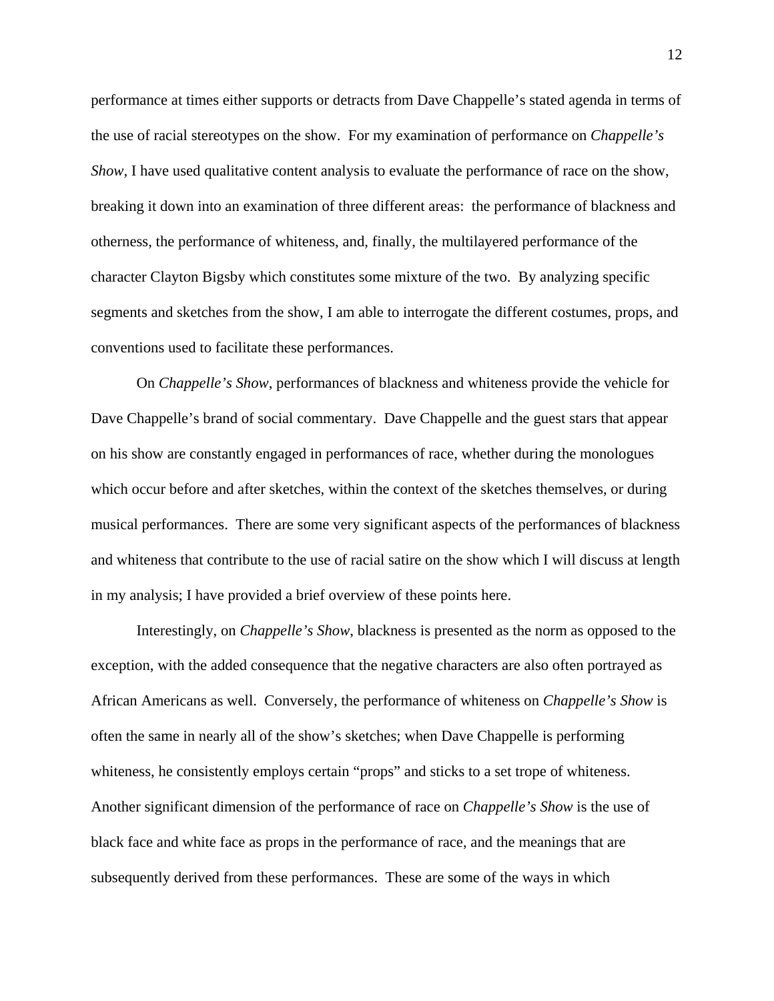performance at times either supports or detracts from Dave Chappelle's stated agenda in terms of the use of racial stereotypes on the show. For my examination of performance on *Chappelle's Show*, I have used qualitative content analysis to evaluate the performance of race on the show, breaking it down into an examination of three different areas: the performance of blackness and otherness, the performance of whiteness, and, finally, the multilayered performance of the character Clayton Bigsby which constitutes some mixture of the two. By analyzing specific segments and sketches from the show, I am able to interrogate the different costumes, props, and conventions used to facilitate these performances.

On *Chappelle's Show*, performances of blackness and whiteness provide the vehicle for Dave Chappelle's brand of social commentary. Dave Chappelle and the guest stars that appear on his show are constantly engaged in performances of race, whether during the monologues which occur before and after sketches, within the context of the sketches themselves, or during musical performances. There are some very significant aspects of the performances of blackness and whiteness that contribute to the use of racial satire on the show which I will discuss at length in my analysis; I have provided a brief overview of these points here.

Interestingly, on *Chappelle's Show*, blackness is presented as the norm as opposed to the exception, with the added consequence that the negative characters are also often portrayed as African Americans as well. Conversely, the performance of whiteness on *Chappelle's Show* is often the same in nearly all of the show's sketches; when Dave Chappelle is performing whiteness, he consistently employs certain "props" and sticks to a set trope of whiteness. Another significant dimension of the performance of race on *Chappelle's Show* is the use of black face and white face as props in the performance of race, and the meanings that are subsequently derived from these performances. These are some of the ways in which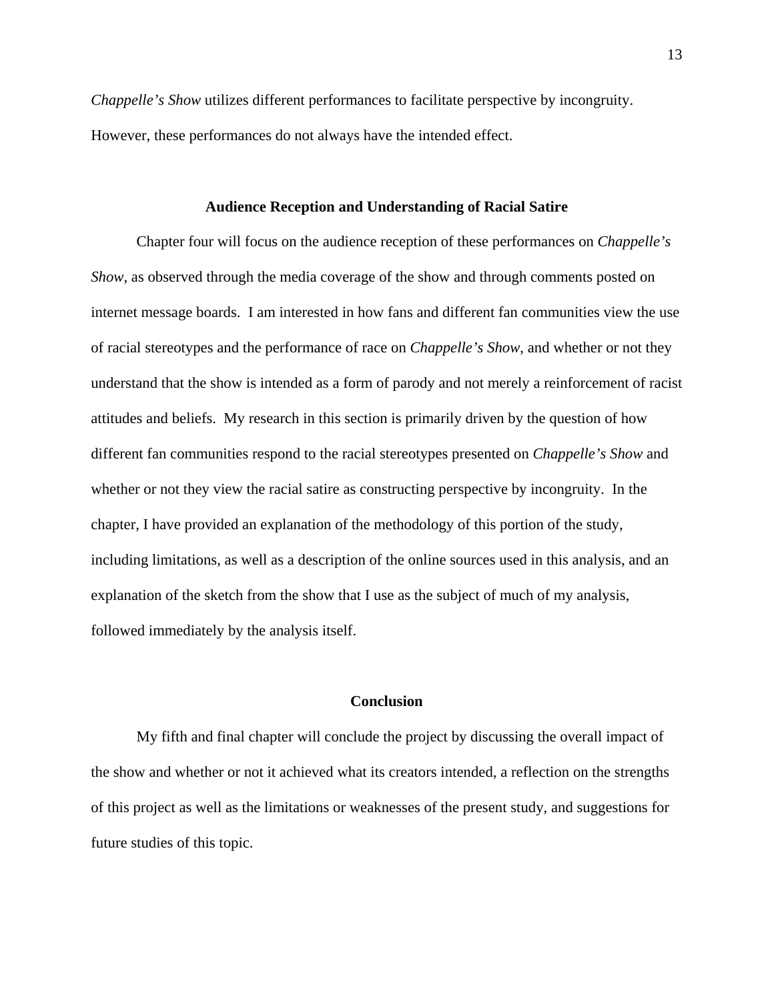*Chappelle's Show* utilizes different performances to facilitate perspective by incongruity. However, these performances do not always have the intended effect.

#### **Audience Reception and Understanding of Racial Satire**

Chapter four will focus on the audience reception of these performances on *Chappelle's Show*, as observed through the media coverage of the show and through comments posted on internet message boards. I am interested in how fans and different fan communities view the use of racial stereotypes and the performance of race on *Chappelle's Show*, and whether or not they understand that the show is intended as a form of parody and not merely a reinforcement of racist attitudes and beliefs. My research in this section is primarily driven by the question of how different fan communities respond to the racial stereotypes presented on *Chappelle's Show* and whether or not they view the racial satire as constructing perspective by incongruity. In the chapter, I have provided an explanation of the methodology of this portion of the study, including limitations, as well as a description of the online sources used in this analysis, and an explanation of the sketch from the show that I use as the subject of much of my analysis, followed immediately by the analysis itself.

### **Conclusion**

My fifth and final chapter will conclude the project by discussing the overall impact of the show and whether or not it achieved what its creators intended, a reflection on the strengths of this project as well as the limitations or weaknesses of the present study, and suggestions for future studies of this topic.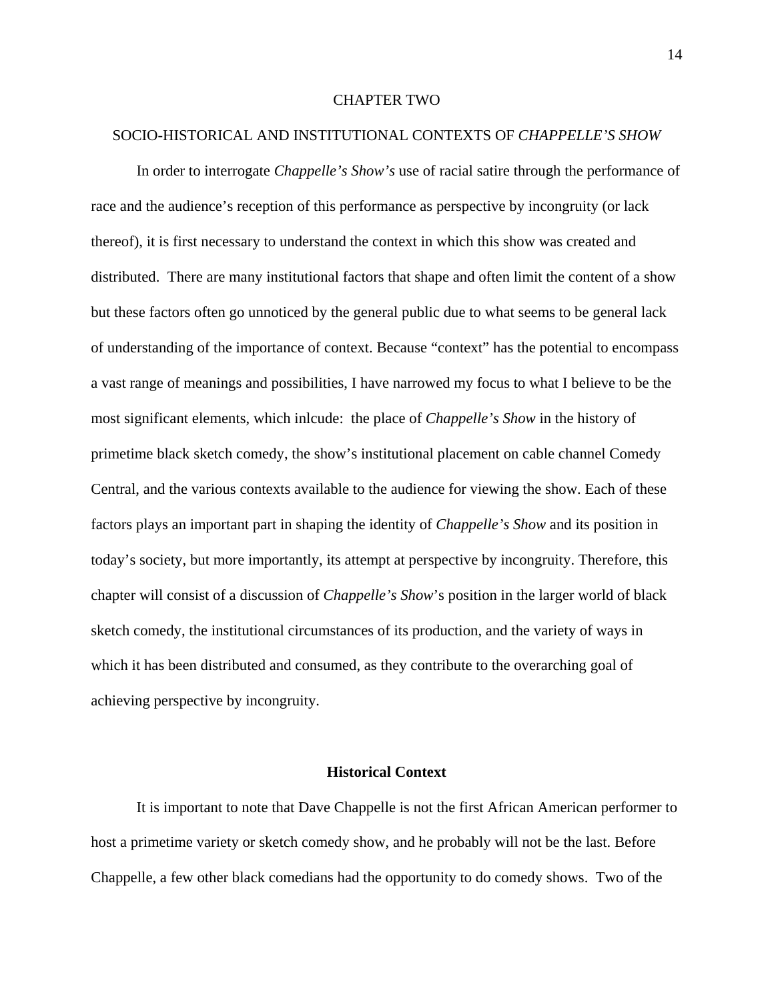### CHAPTER TWO

#### SOCIO-HISTORICAL AND INSTITUTIONAL CONTEXTS OF *CHAPPELLE'S SHOW*

In order to interrogate *Chappelle's Show's* use of racial satire through the performance of race and the audience's reception of this performance as perspective by incongruity (or lack thereof), it is first necessary to understand the context in which this show was created and distributed. There are many institutional factors that shape and often limit the content of a show but these factors often go unnoticed by the general public due to what seems to be general lack of understanding of the importance of context. Because "context" has the potential to encompass a vast range of meanings and possibilities, I have narrowed my focus to what I believe to be the most significant elements, which inlcude: the place of *Chappelle's Show* in the history of primetime black sketch comedy, the show's institutional placement on cable channel Comedy Central, and the various contexts available to the audience for viewing the show. Each of these factors plays an important part in shaping the identity of *Chappelle's Show* and its position in today's society, but more importantly, its attempt at perspective by incongruity. Therefore, this chapter will consist of a discussion of *Chappelle's Show*'s position in the larger world of black sketch comedy, the institutional circumstances of its production, and the variety of ways in which it has been distributed and consumed, as they contribute to the overarching goal of achieving perspective by incongruity.

## **Historical Context**

 It is important to note that Dave Chappelle is not the first African American performer to host a primetime variety or sketch comedy show, and he probably will not be the last. Before Chappelle, a few other black comedians had the opportunity to do comedy shows. Two of the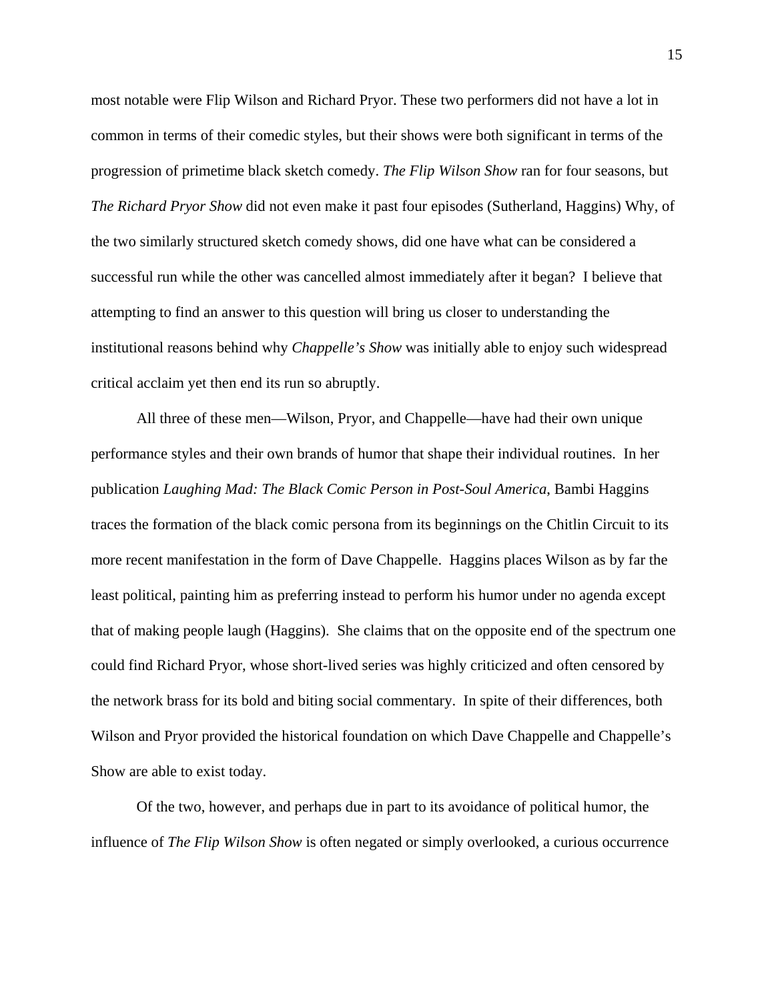most notable were Flip Wilson and Richard Pryor. These two performers did not have a lot in common in terms of their comedic styles, but their shows were both significant in terms of the progression of primetime black sketch comedy. *The Flip Wilson Show* ran for four seasons, but *The Richard Pryor Show* did not even make it past four episodes (Sutherland, Haggins) Why, of the two similarly structured sketch comedy shows, did one have what can be considered a successful run while the other was cancelled almost immediately after it began? I believe that attempting to find an answer to this question will bring us closer to understanding the institutional reasons behind why *Chappelle's Show* was initially able to enjoy such widespread critical acclaim yet then end its run so abruptly.

All three of these men—Wilson, Pryor, and Chappelle—have had their own unique performance styles and their own brands of humor that shape their individual routines. In her publication *Laughing Mad: The Black Comic Person in Post-Soul America*, Bambi Haggins traces the formation of the black comic persona from its beginnings on the Chitlin Circuit to its more recent manifestation in the form of Dave Chappelle. Haggins places Wilson as by far the least political, painting him as preferring instead to perform his humor under no agenda except that of making people laugh (Haggins). She claims that on the opposite end of the spectrum one could find Richard Pryor, whose short-lived series was highly criticized and often censored by the network brass for its bold and biting social commentary. In spite of their differences, both Wilson and Pryor provided the historical foundation on which Dave Chappelle and Chappelle's Show are able to exist today.

 Of the two, however, and perhaps due in part to its avoidance of political humor, the influence of *The Flip Wilson Show* is often negated or simply overlooked, a curious occurrence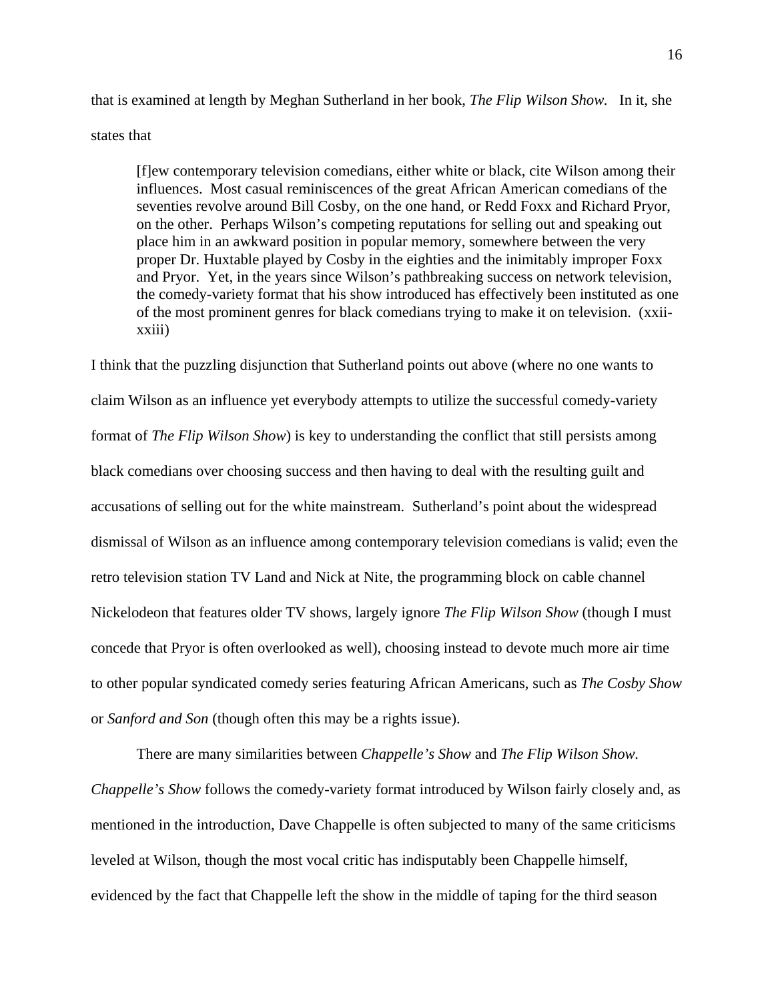that is examined at length by Meghan Sutherland in her book, *The Flip Wilson Show.* In it, she states that

[f]ew contemporary television comedians, either white or black, cite Wilson among their influences. Most casual reminiscences of the great African American comedians of the seventies revolve around Bill Cosby, on the one hand, or Redd Foxx and Richard Pryor, on the other. Perhaps Wilson's competing reputations for selling out and speaking out place him in an awkward position in popular memory, somewhere between the very proper Dr. Huxtable played by Cosby in the eighties and the inimitably improper Foxx and Pryor. Yet, in the years since Wilson's pathbreaking success on network television, the comedy-variety format that his show introduced has effectively been instituted as one of the most prominent genres for black comedians trying to make it on television. (xxiixxiii)

I think that the puzzling disjunction that Sutherland points out above (where no one wants to claim Wilson as an influence yet everybody attempts to utilize the successful comedy-variety format of *The Flip Wilson Show*) is key to understanding the conflict that still persists among black comedians over choosing success and then having to deal with the resulting guilt and accusations of selling out for the white mainstream. Sutherland's point about the widespread dismissal of Wilson as an influence among contemporary television comedians is valid; even the retro television station TV Land and Nick at Nite, the programming block on cable channel Nickelodeon that features older TV shows, largely ignore *The Flip Wilson Show* (though I must concede that Pryor is often overlooked as well), choosing instead to devote much more air time to other popular syndicated comedy series featuring African Americans, such as *The Cosby Show* or *Sanford and Son* (though often this may be a rights issue).

There are many similarities between *Chappelle's Show* and *The Flip Wilson Show. Chappelle's Show* follows the comedy-variety format introduced by Wilson fairly closely and, as mentioned in the introduction, Dave Chappelle is often subjected to many of the same criticisms leveled at Wilson, though the most vocal critic has indisputably been Chappelle himself, evidenced by the fact that Chappelle left the show in the middle of taping for the third season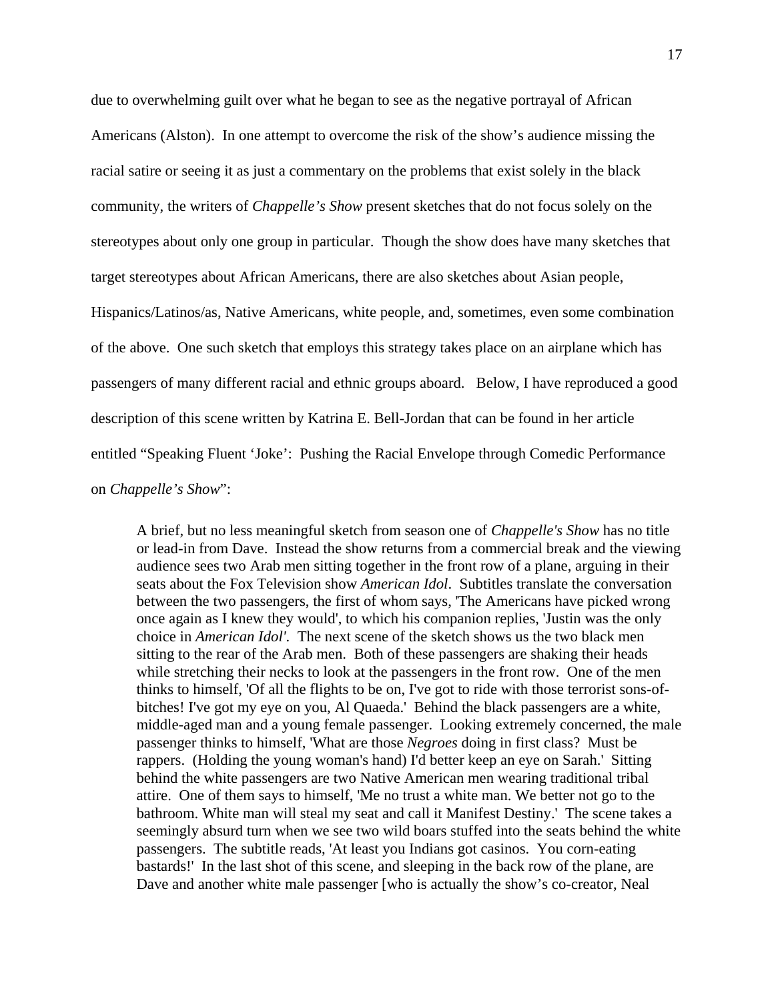due to overwhelming guilt over what he began to see as the negative portrayal of African Americans (Alston). In one attempt to overcome the risk of the show's audience missing the racial satire or seeing it as just a commentary on the problems that exist solely in the black community, the writers of *Chappelle's Show* present sketches that do not focus solely on the stereotypes about only one group in particular. Though the show does have many sketches that target stereotypes about African Americans, there are also sketches about Asian people, Hispanics/Latinos/as, Native Americans, white people, and, sometimes, even some combination of the above. One such sketch that employs this strategy takes place on an airplane which has passengers of many different racial and ethnic groups aboard. Below, I have reproduced a good description of this scene written by Katrina E. Bell-Jordan that can be found in her article entitled "Speaking Fluent 'Joke': Pushing the Racial Envelope through Comedic Performance on *Chappelle's Show*":

A brief, but no less meaningful sketch from season one of *Chappelle's Show* has no title or lead-in from Dave. Instead the show returns from a commercial break and the viewing audience sees two Arab men sitting together in the front row of a plane, arguing in their seats about the Fox Television show *American Idol*. Subtitles translate the conversation between the two passengers, the first of whom says, 'The Americans have picked wrong once again as I knew they would', to which his companion replies, 'Justin was the only choice in *American Idol'*. The next scene of the sketch shows us the two black men sitting to the rear of the Arab men. Both of these passengers are shaking their heads while stretching their necks to look at the passengers in the front row. One of the men thinks to himself, 'Of all the flights to be on, I've got to ride with those terrorist sons-ofbitches! I've got my eye on you, Al Quaeda.' Behind the black passengers are a white, middle-aged man and a young female passenger. Looking extremely concerned, the male passenger thinks to himself, 'What are those *Negroes* doing in first class? Must be rappers. (Holding the young woman's hand) I'd better keep an eye on Sarah.' Sitting behind the white passengers are two Native American men wearing traditional tribal attire. One of them says to himself, 'Me no trust a white man. We better not go to the bathroom. White man will steal my seat and call it Manifest Destiny.' The scene takes a seemingly absurd turn when we see two wild boars stuffed into the seats behind the white passengers. The subtitle reads, 'At least you Indians got casinos. You corn-eating bastards!' In the last shot of this scene, and sleeping in the back row of the plane, are Dave and another white male passenger [who is actually the show's co-creator, Neal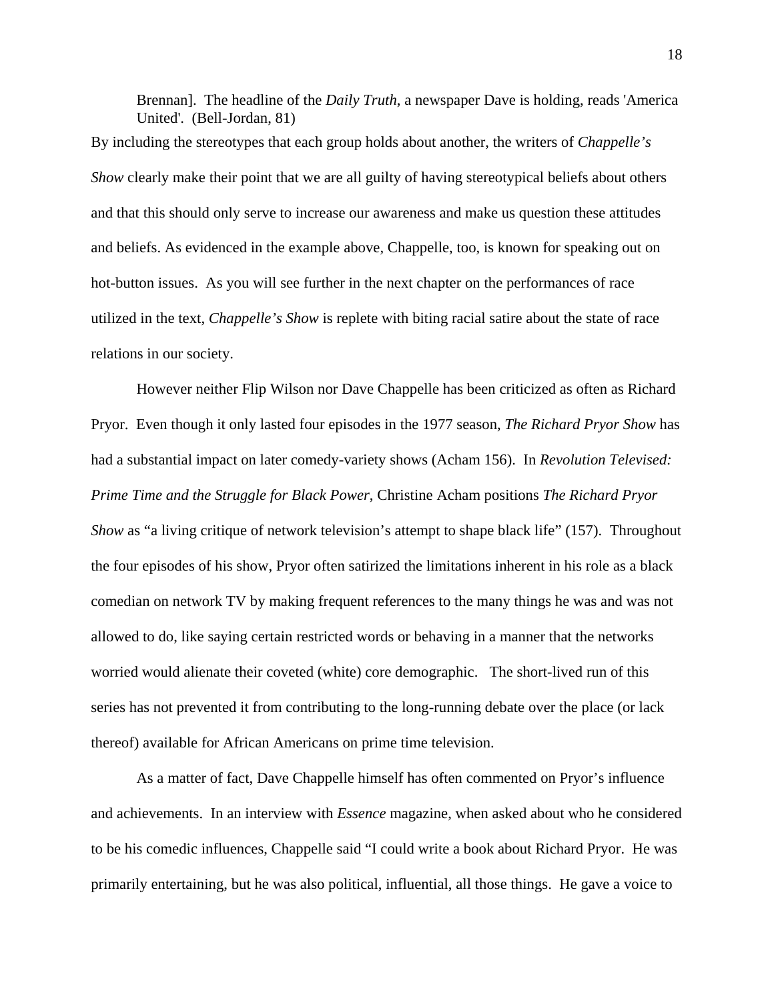Brennan]. The headline of the *Daily Truth*, a newspaper Dave is holding, reads 'America United'. (Bell-Jordan, 81)

By including the stereotypes that each group holds about another, the writers of *Chappelle's Show* clearly make their point that we are all guilty of having stereotypical beliefs about others and that this should only serve to increase our awareness and make us question these attitudes and beliefs. As evidenced in the example above, Chappelle, too, is known for speaking out on hot-button issues. As you will see further in the next chapter on the performances of race utilized in the text, *Chappelle's Show* is replete with biting racial satire about the state of race relations in our society.

However neither Flip Wilson nor Dave Chappelle has been criticized as often as Richard Pryor. Even though it only lasted four episodes in the 1977 season, *The Richard Pryor Show* has had a substantial impact on later comedy-variety shows (Acham 156). In *Revolution Televised: Prime Time and the Struggle for Black Power*, Christine Acham positions *The Richard Pryor Show* as "a living critique of network television's attempt to shape black life" (157). Throughout the four episodes of his show, Pryor often satirized the limitations inherent in his role as a black comedian on network TV by making frequent references to the many things he was and was not allowed to do, like saying certain restricted words or behaving in a manner that the networks worried would alienate their coveted (white) core demographic. The short-lived run of this series has not prevented it from contributing to the long-running debate over the place (or lack thereof) available for African Americans on prime time television.

As a matter of fact, Dave Chappelle himself has often commented on Pryor's influence and achievements. In an interview with *Essence* magazine, when asked about who he considered to be his comedic influences, Chappelle said "I could write a book about Richard Pryor. He was primarily entertaining, but he was also political, influential, all those things. He gave a voice to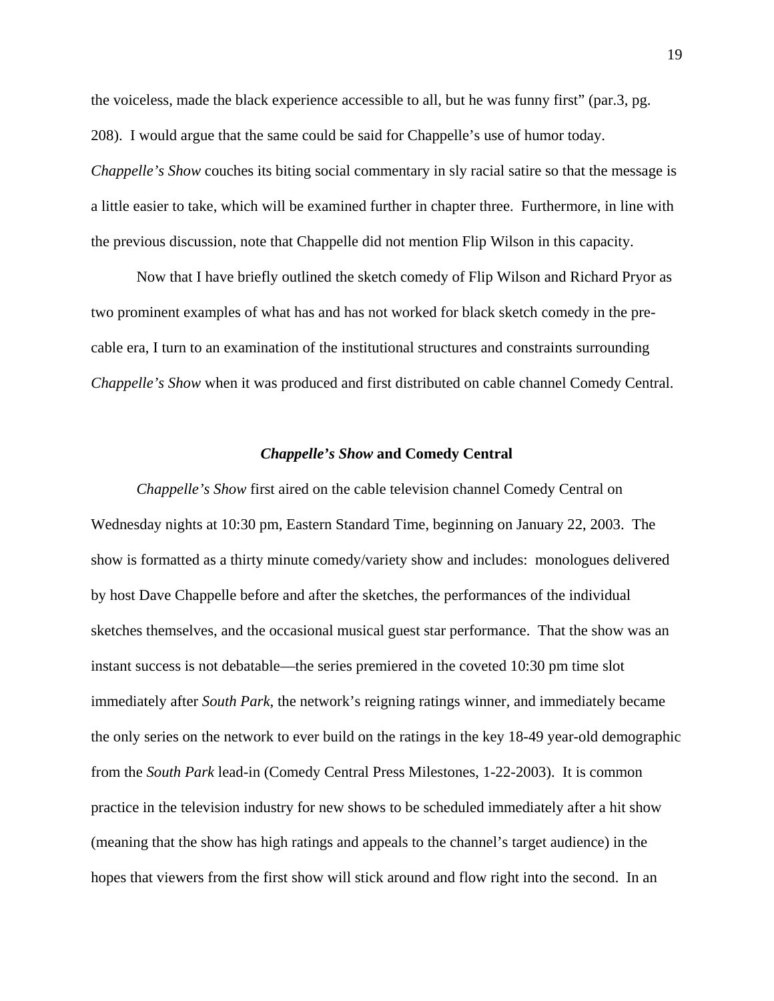the voiceless, made the black experience accessible to all, but he was funny first" (par.3, pg. 208). I would argue that the same could be said for Chappelle's use of humor today. *Chappelle's Show couches its biting social commentary in sly racial satire so that the message is* a little easier to take, which will be examined further in chapter three. Furthermore, in line with the previous discussion, note that Chappelle did not mention Flip Wilson in this capacity.

Now that I have briefly outlined the sketch comedy of Flip Wilson and Richard Pryor as two prominent examples of what has and has not worked for black sketch comedy in the precable era, I turn to an examination of the institutional structures and constraints surrounding *Chappelle's Show* when it was produced and first distributed on cable channel Comedy Central.

### *Chappelle's Show* **and Comedy Central**

*Chappelle's Show* first aired on the cable television channel Comedy Central on Wednesday nights at 10:30 pm, Eastern Standard Time, beginning on January 22, 2003. The show is formatted as a thirty minute comedy/variety show and includes: monologues delivered by host Dave Chappelle before and after the sketches, the performances of the individual sketches themselves, and the occasional musical guest star performance. That the show was an instant success is not debatable—the series premiered in the coveted 10:30 pm time slot immediately after *South Park*, the network's reigning ratings winner, and immediately became the only series on the network to ever build on the ratings in the key 18-49 year-old demographic from the *South Park* lead-in (Comedy Central Press Milestones, 1-22-2003). It is common practice in the television industry for new shows to be scheduled immediately after a hit show (meaning that the show has high ratings and appeals to the channel's target audience) in the hopes that viewers from the first show will stick around and flow right into the second. In an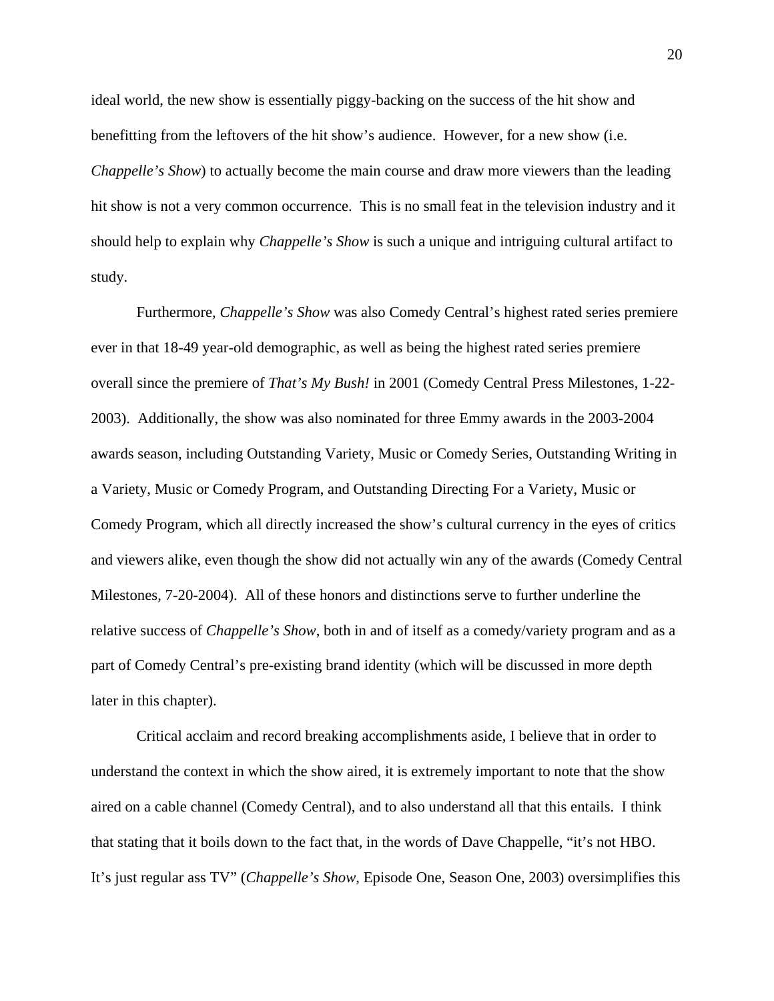ideal world, the new show is essentially piggy-backing on the success of the hit show and benefitting from the leftovers of the hit show's audience. However, for a new show (i.e. *Chappelle's Show*) to actually become the main course and draw more viewers than the leading hit show is not a very common occurrence. This is no small feat in the television industry and it should help to explain why *Chappelle's Show* is such a unique and intriguing cultural artifact to study.

Furthermore, *Chappelle's Show* was also Comedy Central's highest rated series premiere ever in that 18-49 year-old demographic, as well as being the highest rated series premiere overall since the premiere of *That's My Bush!* in 2001 (Comedy Central Press Milestones, 1-22- 2003). Additionally, the show was also nominated for three Emmy awards in the 2003-2004 awards season, including Outstanding Variety, Music or Comedy Series, Outstanding Writing in a Variety, Music or Comedy Program, and Outstanding Directing For a Variety, Music or Comedy Program, which all directly increased the show's cultural currency in the eyes of critics and viewers alike, even though the show did not actually win any of the awards (Comedy Central Milestones, 7-20-2004). All of these honors and distinctions serve to further underline the relative success of *Chappelle's Show*, both in and of itself as a comedy/variety program and as a part of Comedy Central's pre-existing brand identity (which will be discussed in more depth later in this chapter).

Critical acclaim and record breaking accomplishments aside, I believe that in order to understand the context in which the show aired, it is extremely important to note that the show aired on a cable channel (Comedy Central), and to also understand all that this entails. I think that stating that it boils down to the fact that, in the words of Dave Chappelle, "it's not HBO. It's just regular ass TV" (*Chappelle's Show*, Episode One, Season One, 2003) oversimplifies this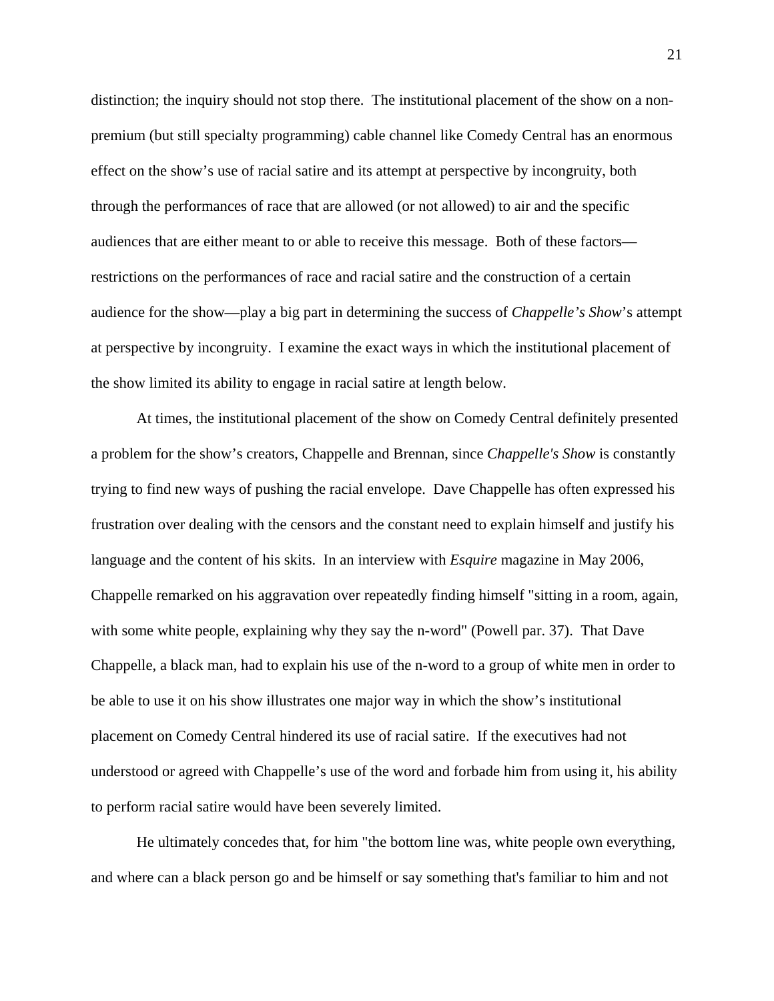distinction; the inquiry should not stop there. The institutional placement of the show on a nonpremium (but still specialty programming) cable channel like Comedy Central has an enormous effect on the show's use of racial satire and its attempt at perspective by incongruity, both through the performances of race that are allowed (or not allowed) to air and the specific audiences that are either meant to or able to receive this message. Both of these factors restrictions on the performances of race and racial satire and the construction of a certain audience for the show—play a big part in determining the success of *Chappelle's Show*'s attempt at perspective by incongruity. I examine the exact ways in which the institutional placement of the show limited its ability to engage in racial satire at length below.

At times, the institutional placement of the show on Comedy Central definitely presented a problem for the show's creators, Chappelle and Brennan, since *Chappelle's Show* is constantly trying to find new ways of pushing the racial envelope. Dave Chappelle has often expressed his frustration over dealing with the censors and the constant need to explain himself and justify his language and the content of his skits. In an interview with *Esquire* magazine in May 2006, Chappelle remarked on his aggravation over repeatedly finding himself "sitting in a room, again, with some white people, explaining why they say the n-word" (Powell par. 37). That Dave Chappelle, a black man, had to explain his use of the n-word to a group of white men in order to be able to use it on his show illustrates one major way in which the show's institutional placement on Comedy Central hindered its use of racial satire. If the executives had not understood or agreed with Chappelle's use of the word and forbade him from using it, his ability to perform racial satire would have been severely limited.

He ultimately concedes that, for him "the bottom line was, white people own everything, and where can a black person go and be himself or say something that's familiar to him and not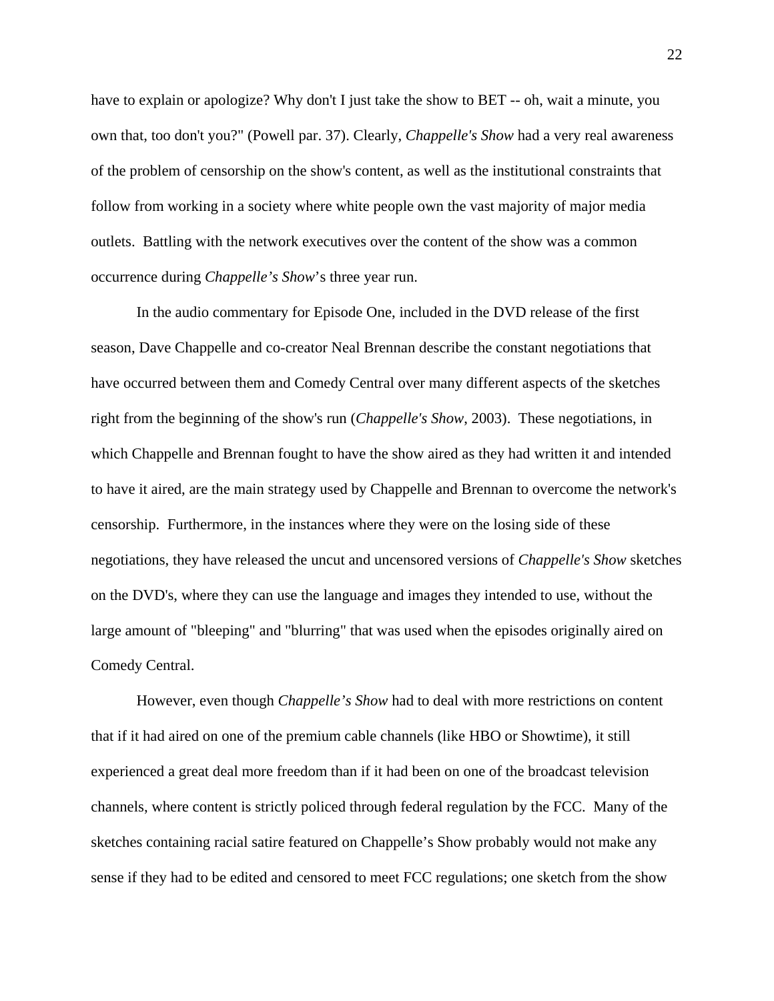have to explain or apologize? Why don't I just take the show to BET -- oh, wait a minute, you own that, too don't you?" (Powell par. 37). Clearly, *Chappelle's Show* had a very real awareness of the problem of censorship on the show's content, as well as the institutional constraints that follow from working in a society where white people own the vast majority of major media outlets. Battling with the network executives over the content of the show was a common occurrence during *Chappelle's Show*'s three year run.

In the audio commentary for Episode One, included in the DVD release of the first season, Dave Chappelle and co-creator Neal Brennan describe the constant negotiations that have occurred between them and Comedy Central over many different aspects of the sketches right from the beginning of the show's run (*Chappelle's Show*, 2003). These negotiations, in which Chappelle and Brennan fought to have the show aired as they had written it and intended to have it aired, are the main strategy used by Chappelle and Brennan to overcome the network's censorship. Furthermore, in the instances where they were on the losing side of these negotiations, they have released the uncut and uncensored versions of *Chappelle's Show* sketches on the DVD's, where they can use the language and images they intended to use, without the large amount of "bleeping" and "blurring" that was used when the episodes originally aired on Comedy Central.

However, even though *Chappelle's Show* had to deal with more restrictions on content that if it had aired on one of the premium cable channels (like HBO or Showtime), it still experienced a great deal more freedom than if it had been on one of the broadcast television channels, where content is strictly policed through federal regulation by the FCC. Many of the sketches containing racial satire featured on Chappelle's Show probably would not make any sense if they had to be edited and censored to meet FCC regulations; one sketch from the show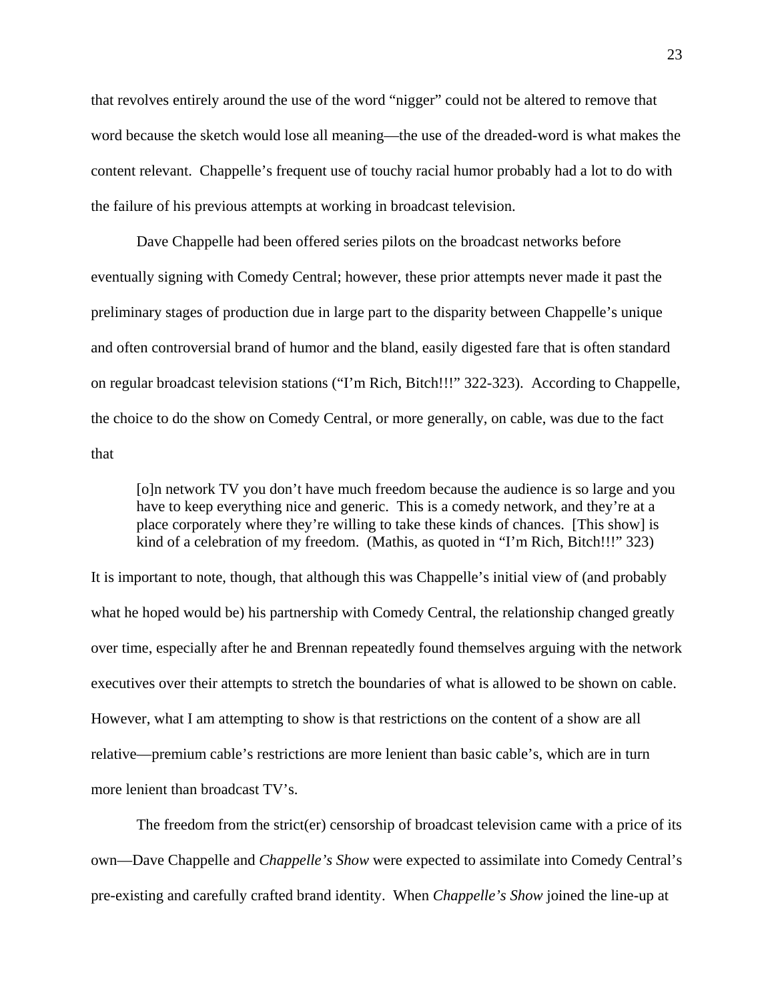that revolves entirely around the use of the word "nigger" could not be altered to remove that word because the sketch would lose all meaning—the use of the dreaded-word is what makes the content relevant. Chappelle's frequent use of touchy racial humor probably had a lot to do with the failure of his previous attempts at working in broadcast television.

Dave Chappelle had been offered series pilots on the broadcast networks before eventually signing with Comedy Central; however, these prior attempts never made it past the preliminary stages of production due in large part to the disparity between Chappelle's unique and often controversial brand of humor and the bland, easily digested fare that is often standard on regular broadcast television stations ("I'm Rich, Bitch!!!" 322-323). According to Chappelle, the choice to do the show on Comedy Central, or more generally, on cable, was due to the fact that

[o]n network TV you don't have much freedom because the audience is so large and you have to keep everything nice and generic. This is a comedy network, and they're at a place corporately where they're willing to take these kinds of chances. [This show] is kind of a celebration of my freedom. (Mathis, as quoted in "I'm Rich, Bitch!!!" 323)

It is important to note, though, that although this was Chappelle's initial view of (and probably what he hoped would be) his partnership with Comedy Central, the relationship changed greatly over time, especially after he and Brennan repeatedly found themselves arguing with the network executives over their attempts to stretch the boundaries of what is allowed to be shown on cable. However, what I am attempting to show is that restrictions on the content of a show are all relative—premium cable's restrictions are more lenient than basic cable's, which are in turn more lenient than broadcast TV's.

The freedom from the strict(er) censorship of broadcast television came with a price of its own—Dave Chappelle and *Chappelle's Show* were expected to assimilate into Comedy Central's pre-existing and carefully crafted brand identity. When *Chappelle's Show* joined the line-up at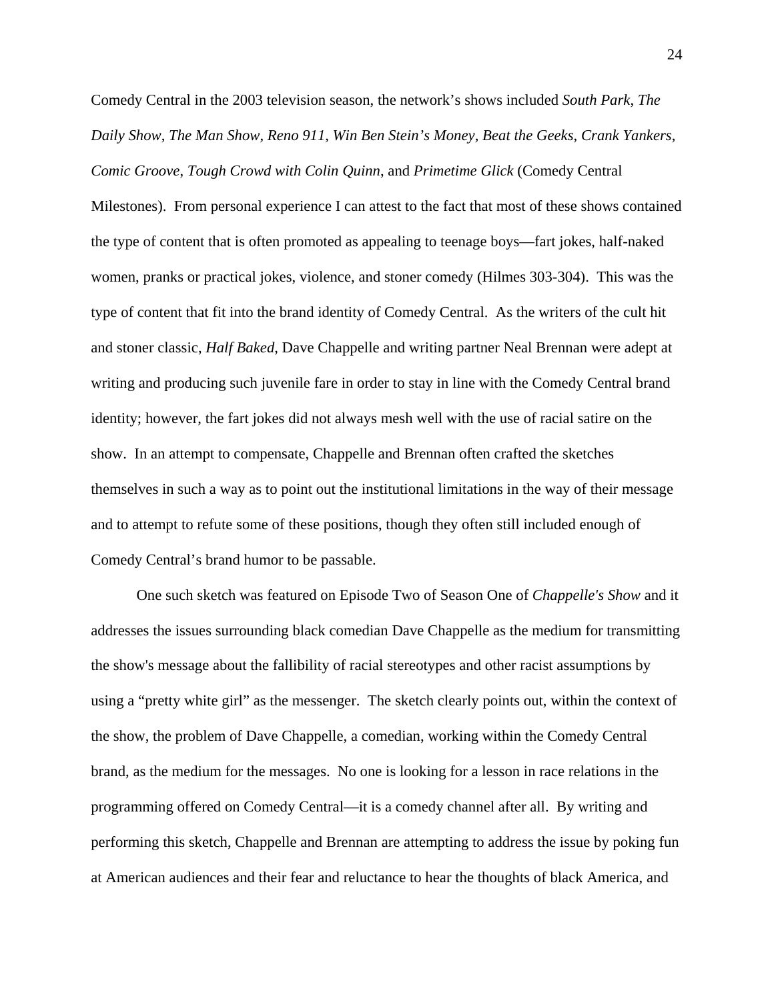Comedy Central in the 2003 television season, the network's shows included *South Park*, *The Daily Show*, *The Man Show*, *Reno 911*, *Win Ben Stein's Money*, *Beat the Geeks*, *Crank Yankers*, *Comic Groove*, *Tough Crowd with Colin Quinn*, and *Primetime Glick* (Comedy Central

Milestones). From personal experience I can attest to the fact that most of these shows contained the type of content that is often promoted as appealing to teenage boys—fart jokes, half-naked women, pranks or practical jokes, violence, and stoner comedy (Hilmes 303-304). This was the type of content that fit into the brand identity of Comedy Central. As the writers of the cult hit and stoner classic, *Half Baked*, Dave Chappelle and writing partner Neal Brennan were adept at writing and producing such juvenile fare in order to stay in line with the Comedy Central brand identity; however, the fart jokes did not always mesh well with the use of racial satire on the show. In an attempt to compensate, Chappelle and Brennan often crafted the sketches themselves in such a way as to point out the institutional limitations in the way of their message and to attempt to refute some of these positions, though they often still included enough of Comedy Central's brand humor to be passable.

One such sketch was featured on Episode Two of Season One of *Chappelle's Show* and it addresses the issues surrounding black comedian Dave Chappelle as the medium for transmitting the show's message about the fallibility of racial stereotypes and other racist assumptions by using a "pretty white girl" as the messenger. The sketch clearly points out, within the context of the show, the problem of Dave Chappelle, a comedian, working within the Comedy Central brand, as the medium for the messages. No one is looking for a lesson in race relations in the programming offered on Comedy Central—it is a comedy channel after all. By writing and performing this sketch, Chappelle and Brennan are attempting to address the issue by poking fun at American audiences and their fear and reluctance to hear the thoughts of black America, and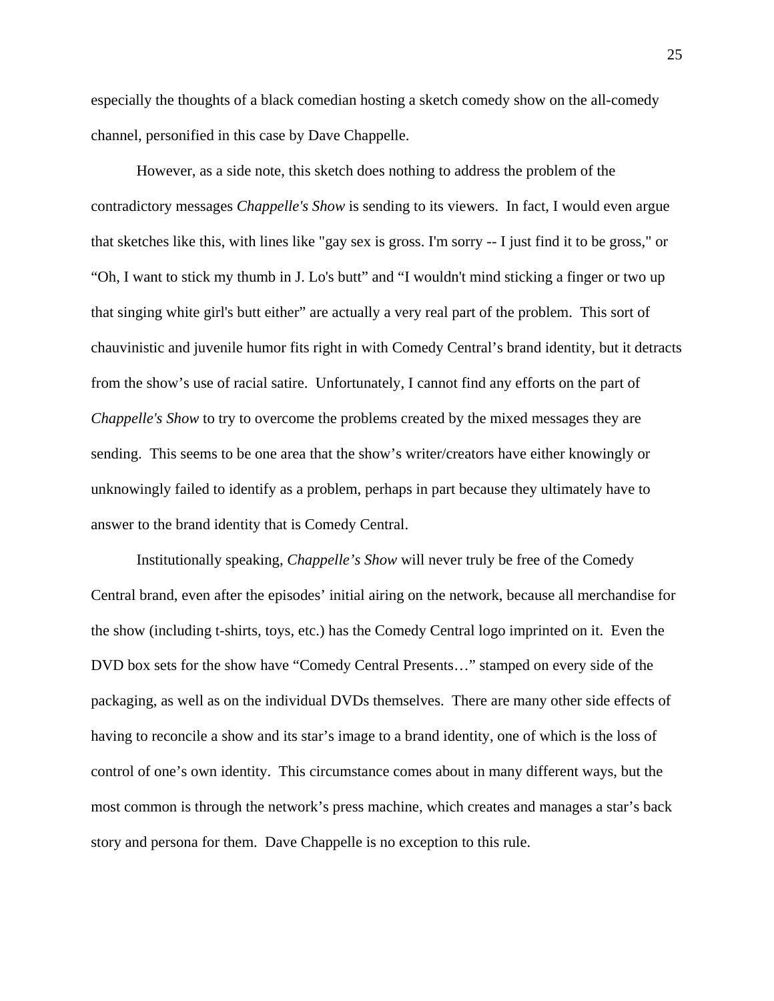especially the thoughts of a black comedian hosting a sketch comedy show on the all-comedy channel, personified in this case by Dave Chappelle.

However, as a side note, this sketch does nothing to address the problem of the contradictory messages *Chappelle's Show* is sending to its viewers. In fact, I would even argue that sketches like this, with lines like "gay sex is gross. I'm sorry -- I just find it to be gross," or "Oh, I want to stick my thumb in J. Lo's butt" and "I wouldn't mind sticking a finger or two up that singing white girl's butt either" are actually a very real part of the problem. This sort of chauvinistic and juvenile humor fits right in with Comedy Central's brand identity, but it detracts from the show's use of racial satire. Unfortunately, I cannot find any efforts on the part of *Chappelle's Show* to try to overcome the problems created by the mixed messages they are sending. This seems to be one area that the show's writer/creators have either knowingly or unknowingly failed to identify as a problem, perhaps in part because they ultimately have to answer to the brand identity that is Comedy Central.

Institutionally speaking, *Chappelle's Show* will never truly be free of the Comedy Central brand, even after the episodes' initial airing on the network, because all merchandise for the show (including t-shirts, toys, etc.) has the Comedy Central logo imprinted on it. Even the DVD box sets for the show have "Comedy Central Presents…" stamped on every side of the packaging, as well as on the individual DVDs themselves. There are many other side effects of having to reconcile a show and its star's image to a brand identity, one of which is the loss of control of one's own identity. This circumstance comes about in many different ways, but the most common is through the network's press machine, which creates and manages a star's back story and persona for them. Dave Chappelle is no exception to this rule.

25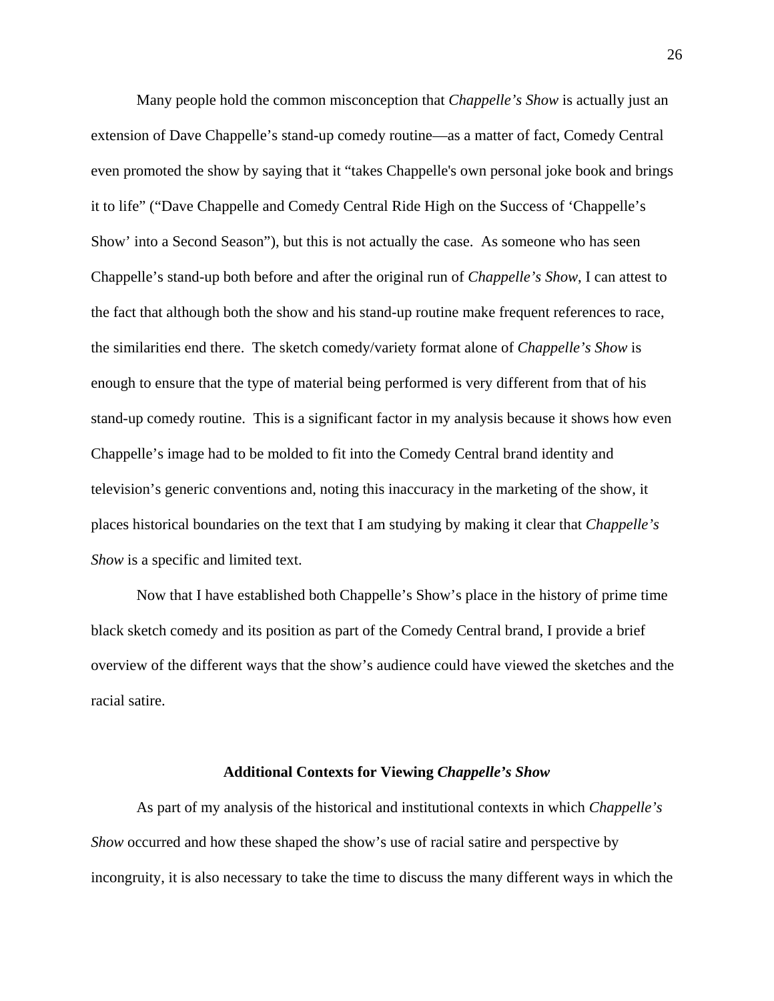Many people hold the common misconception that *Chappelle's Show* is actually just an extension of Dave Chappelle's stand-up comedy routine—as a matter of fact, Comedy Central even promoted the show by saying that it "takes Chappelle's own personal joke book and brings it to life" ("Dave Chappelle and Comedy Central Ride High on the Success of 'Chappelle's Show' into a Second Season"), but this is not actually the case. As someone who has seen Chappelle's stand-up both before and after the original run of *Chappelle's Show*, I can attest to the fact that although both the show and his stand-up routine make frequent references to race, the similarities end there. The sketch comedy/variety format alone of *Chappelle's Show* is enough to ensure that the type of material being performed is very different from that of his stand-up comedy routine. This is a significant factor in my analysis because it shows how even Chappelle's image had to be molded to fit into the Comedy Central brand identity and television's generic conventions and, noting this inaccuracy in the marketing of the show, it places historical boundaries on the text that I am studying by making it clear that *Chappelle's Show* is a specific and limited text.

 Now that I have established both Chappelle's Show's place in the history of prime time black sketch comedy and its position as part of the Comedy Central brand, I provide a brief overview of the different ways that the show's audience could have viewed the sketches and the racial satire.

#### **Additional Contexts for Viewing** *Chappelle's Show*

 As part of my analysis of the historical and institutional contexts in which *Chappelle's Show* occurred and how these shaped the show's use of racial satire and perspective by incongruity, it is also necessary to take the time to discuss the many different ways in which the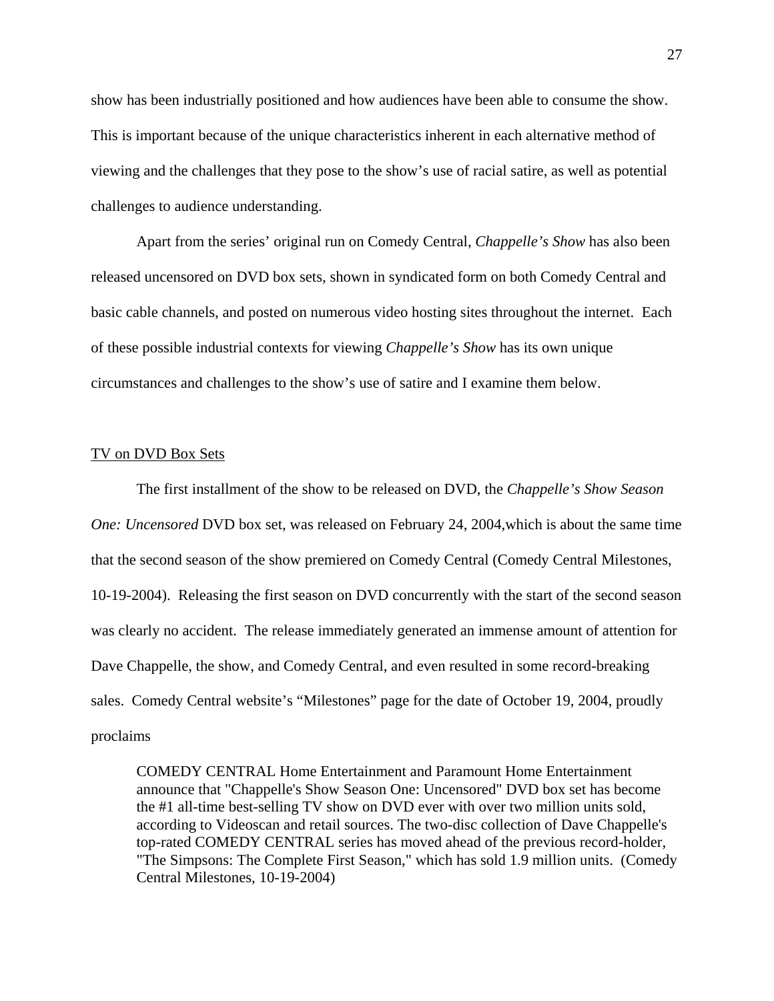show has been industrially positioned and how audiences have been able to consume the show. This is important because of the unique characteristics inherent in each alternative method of viewing and the challenges that they pose to the show's use of racial satire, as well as potential challenges to audience understanding.

Apart from the series' original run on Comedy Central, *Chappelle's Show* has also been released uncensored on DVD box sets, shown in syndicated form on both Comedy Central and basic cable channels, and posted on numerous video hosting sites throughout the internet. Each of these possible industrial contexts for viewing *Chappelle's Show* has its own unique circumstances and challenges to the show's use of satire and I examine them below.

### TV on DVD Box Sets

The first installment of the show to be released on DVD, the *Chappelle's Show Season One: Uncensored* DVD box set, was released on February 24, 2004,which is about the same time that the second season of the show premiered on Comedy Central (Comedy Central Milestones, 10-19-2004). Releasing the first season on DVD concurrently with the start of the second season was clearly no accident. The release immediately generated an immense amount of attention for Dave Chappelle, the show, and Comedy Central, and even resulted in some record-breaking sales. Comedy Central website's "Milestones" page for the date of October 19, 2004, proudly proclaims

COMEDY CENTRAL Home Entertainment and Paramount Home Entertainment announce that "Chappelle's Show Season One: Uncensored" DVD box set has become the #1 all-time best-selling TV show on DVD ever with over two million units sold, according to Videoscan and retail sources. The two-disc collection of Dave Chappelle's top-rated COMEDY CENTRAL series has moved ahead of the previous record-holder, "The Simpsons: The Complete First Season," which has sold 1.9 million units. (Comedy Central Milestones, 10-19-2004)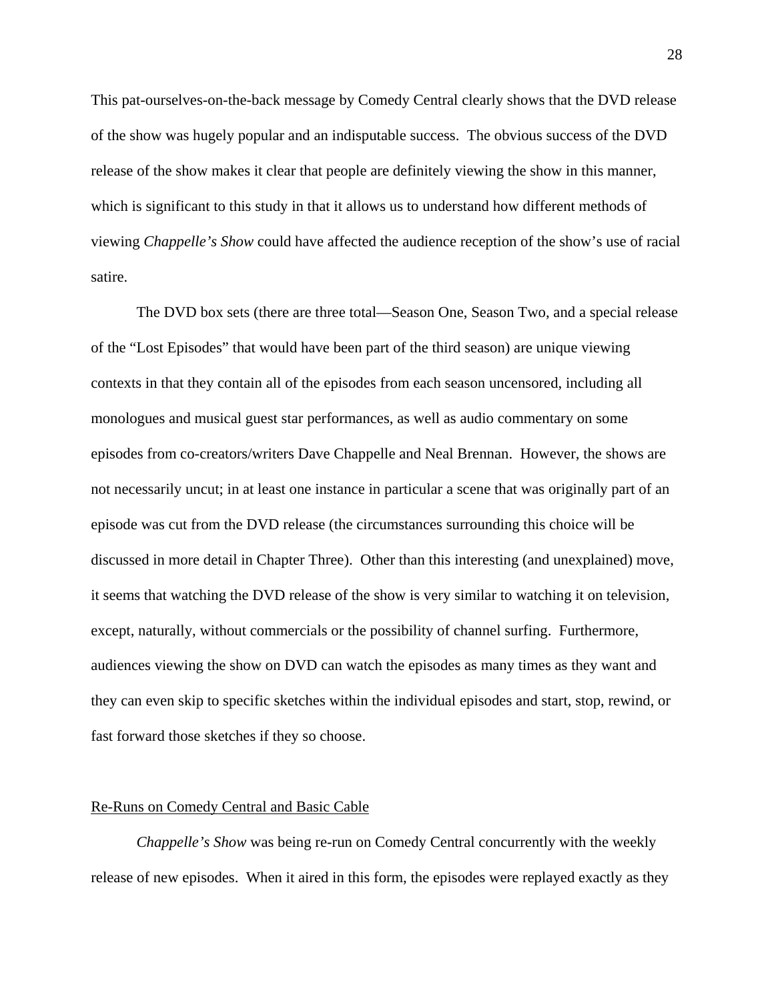This pat-ourselves-on-the-back message by Comedy Central clearly shows that the DVD release of the show was hugely popular and an indisputable success. The obvious success of the DVD release of the show makes it clear that people are definitely viewing the show in this manner, which is significant to this study in that it allows us to understand how different methods of viewing *Chappelle's Show* could have affected the audience reception of the show's use of racial satire.

The DVD box sets (there are three total—Season One, Season Two, and a special release of the "Lost Episodes" that would have been part of the third season) are unique viewing contexts in that they contain all of the episodes from each season uncensored, including all monologues and musical guest star performances, as well as audio commentary on some episodes from co-creators/writers Dave Chappelle and Neal Brennan. However, the shows are not necessarily uncut; in at least one instance in particular a scene that was originally part of an episode was cut from the DVD release (the circumstances surrounding this choice will be discussed in more detail in Chapter Three). Other than this interesting (and unexplained) move, it seems that watching the DVD release of the show is very similar to watching it on television, except, naturally, without commercials or the possibility of channel surfing. Furthermore, audiences viewing the show on DVD can watch the episodes as many times as they want and they can even skip to specific sketches within the individual episodes and start, stop, rewind, or fast forward those sketches if they so choose.

# Re-Runs on Comedy Central and Basic Cable

*Chappelle's Show* was being re-run on Comedy Central concurrently with the weekly release of new episodes. When it aired in this form, the episodes were replayed exactly as they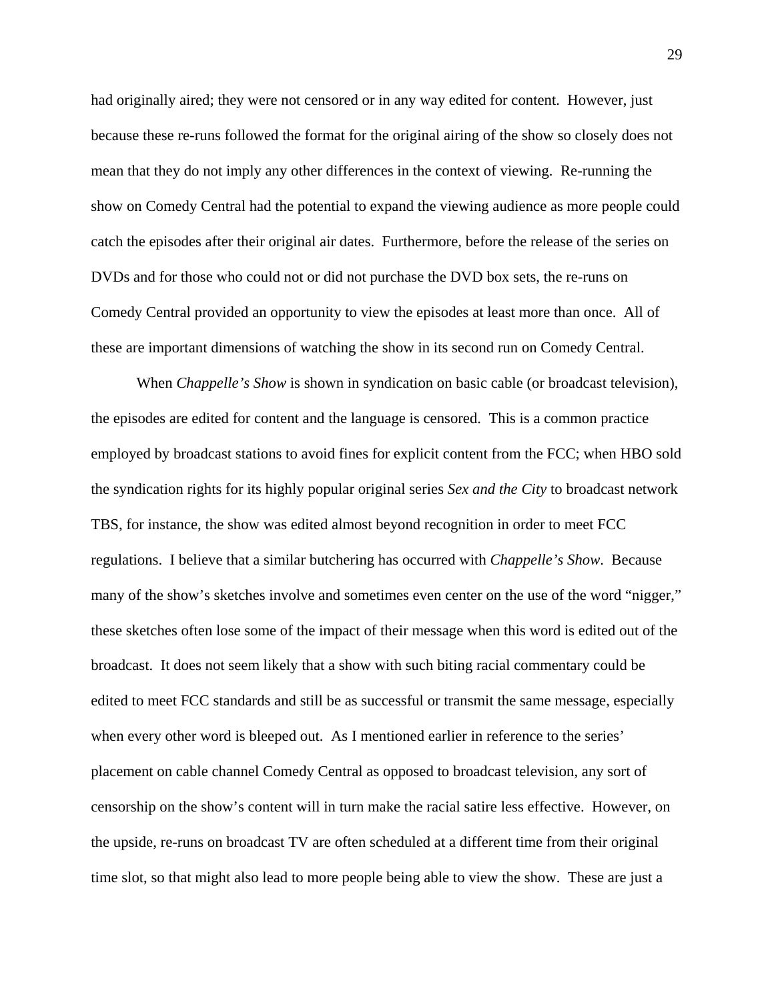had originally aired; they were not censored or in any way edited for content. However, just because these re-runs followed the format for the original airing of the show so closely does not mean that they do not imply any other differences in the context of viewing. Re-running the show on Comedy Central had the potential to expand the viewing audience as more people could catch the episodes after their original air dates. Furthermore, before the release of the series on DVDs and for those who could not or did not purchase the DVD box sets, the re-runs on Comedy Central provided an opportunity to view the episodes at least more than once. All of these are important dimensions of watching the show in its second run on Comedy Central.

When *Chappelle's Show* is shown in syndication on basic cable (or broadcast television), the episodes are edited for content and the language is censored. This is a common practice employed by broadcast stations to avoid fines for explicit content from the FCC; when HBO sold the syndication rights for its highly popular original series *Sex and the City* to broadcast network TBS, for instance, the show was edited almost beyond recognition in order to meet FCC regulations. I believe that a similar butchering has occurred with *Chappelle's Show*. Because many of the show's sketches involve and sometimes even center on the use of the word "nigger," these sketches often lose some of the impact of their message when this word is edited out of the broadcast. It does not seem likely that a show with such biting racial commentary could be edited to meet FCC standards and still be as successful or transmit the same message, especially when every other word is bleeped out. As I mentioned earlier in reference to the series' placement on cable channel Comedy Central as opposed to broadcast television, any sort of censorship on the show's content will in turn make the racial satire less effective. However, on the upside, re-runs on broadcast TV are often scheduled at a different time from their original time slot, so that might also lead to more people being able to view the show. These are just a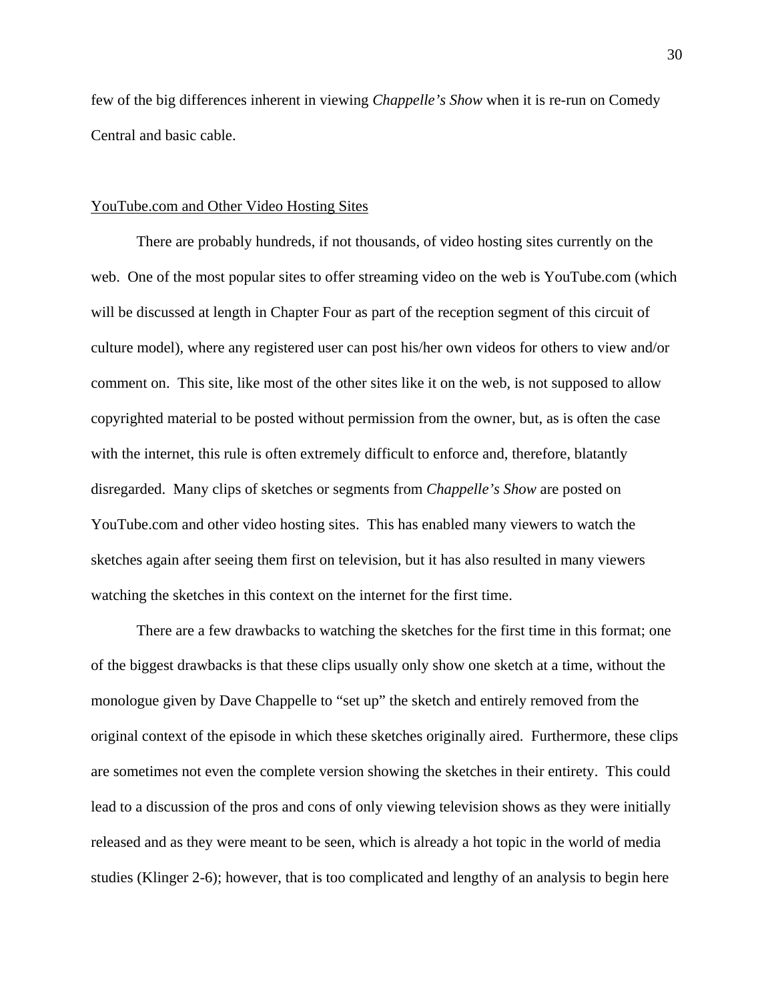few of the big differences inherent in viewing *Chappelle's Show* when it is re-run on Comedy Central and basic cable.

#### YouTube.com and Other Video Hosting Sites

There are probably hundreds, if not thousands, of video hosting sites currently on the web. One of the most popular sites to offer streaming video on the web is YouTube.com (which will be discussed at length in Chapter Four as part of the reception segment of this circuit of culture model), where any registered user can post his/her own videos for others to view and/or comment on. This site, like most of the other sites like it on the web, is not supposed to allow copyrighted material to be posted without permission from the owner, but, as is often the case with the internet, this rule is often extremely difficult to enforce and, therefore, blatantly disregarded. Many clips of sketches or segments from *Chappelle's Show* are posted on YouTube.com and other video hosting sites. This has enabled many viewers to watch the sketches again after seeing them first on television, but it has also resulted in many viewers watching the sketches in this context on the internet for the first time.

There are a few drawbacks to watching the sketches for the first time in this format; one of the biggest drawbacks is that these clips usually only show one sketch at a time, without the monologue given by Dave Chappelle to "set up" the sketch and entirely removed from the original context of the episode in which these sketches originally aired. Furthermore, these clips are sometimes not even the complete version showing the sketches in their entirety. This could lead to a discussion of the pros and cons of only viewing television shows as they were initially released and as they were meant to be seen, which is already a hot topic in the world of media studies (Klinger 2-6); however, that is too complicated and lengthy of an analysis to begin here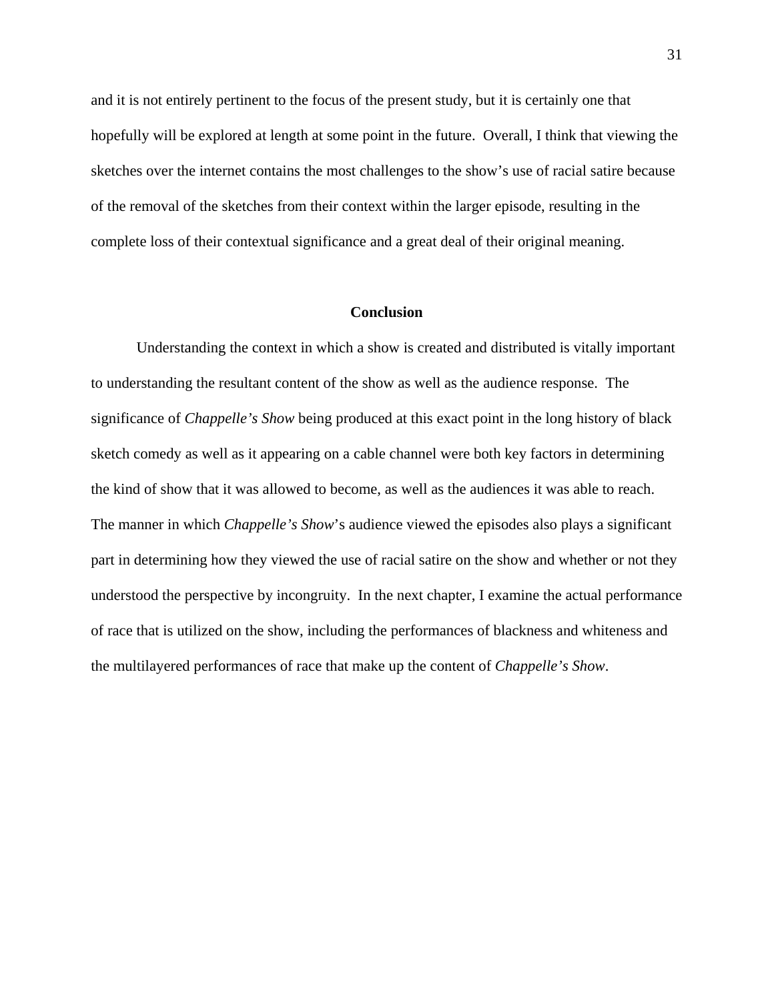and it is not entirely pertinent to the focus of the present study, but it is certainly one that hopefully will be explored at length at some point in the future. Overall, I think that viewing the sketches over the internet contains the most challenges to the show's use of racial satire because of the removal of the sketches from their context within the larger episode, resulting in the complete loss of their contextual significance and a great deal of their original meaning.

# **Conclusion**

Understanding the context in which a show is created and distributed is vitally important to understanding the resultant content of the show as well as the audience response. The significance of *Chappelle's Show* being produced at this exact point in the long history of black sketch comedy as well as it appearing on a cable channel were both key factors in determining the kind of show that it was allowed to become, as well as the audiences it was able to reach. The manner in which *Chappelle's Show*'s audience viewed the episodes also plays a significant part in determining how they viewed the use of racial satire on the show and whether or not they understood the perspective by incongruity. In the next chapter, I examine the actual performance of race that is utilized on the show, including the performances of blackness and whiteness and the multilayered performances of race that make up the content of *Chappelle's Show*.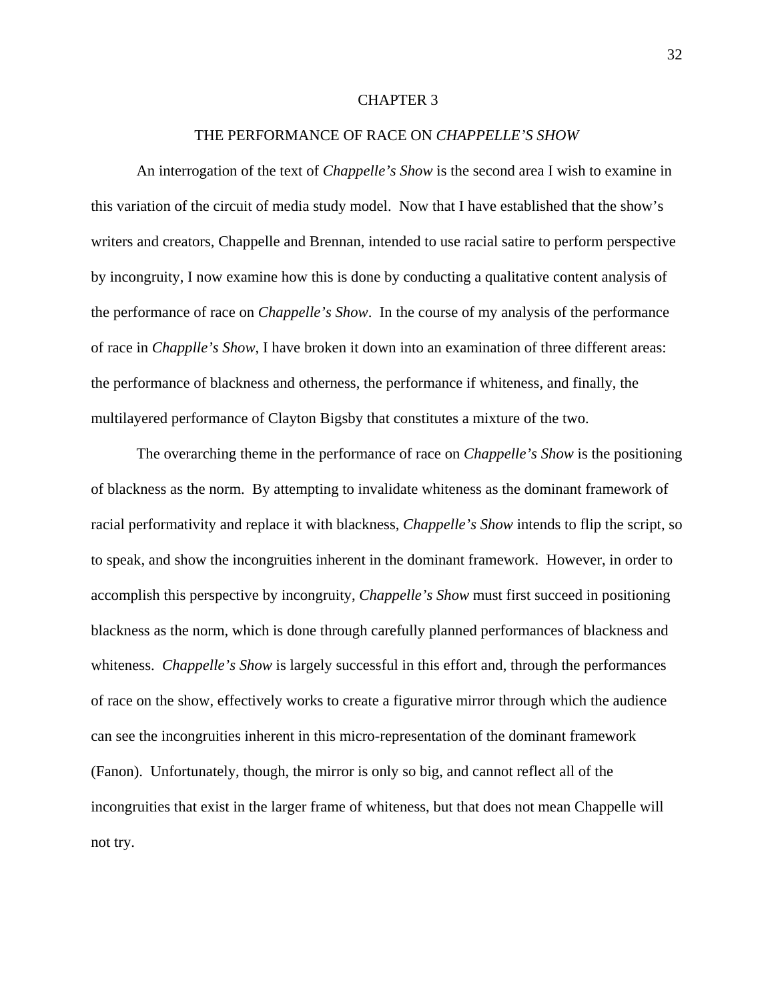## CHAPTER 3

# THE PERFORMANCE OF RACE ON *CHAPPELLE'S SHOW*

An interrogation of the text of *Chappelle's Show* is the second area I wish to examine in this variation of the circuit of media study model. Now that I have established that the show's writers and creators, Chappelle and Brennan, intended to use racial satire to perform perspective by incongruity, I now examine how this is done by conducting a qualitative content analysis of the performance of race on *Chappelle's Show*. In the course of my analysis of the performance of race in *Chapplle's Show*, I have broken it down into an examination of three different areas: the performance of blackness and otherness, the performance if whiteness, and finally, the multilayered performance of Clayton Bigsby that constitutes a mixture of the two.

The overarching theme in the performance of race on *Chappelle's Show* is the positioning of blackness as the norm. By attempting to invalidate whiteness as the dominant framework of racial performativity and replace it with blackness, *Chappelle's Show* intends to flip the script, so to speak, and show the incongruities inherent in the dominant framework. However, in order to accomplish this perspective by incongruity, *Chappelle's Show* must first succeed in positioning blackness as the norm, which is done through carefully planned performances of blackness and whiteness. *Chappelle's Show* is largely successful in this effort and, through the performances of race on the show, effectively works to create a figurative mirror through which the audience can see the incongruities inherent in this micro-representation of the dominant framework (Fanon). Unfortunately, though, the mirror is only so big, and cannot reflect all of the incongruities that exist in the larger frame of whiteness, but that does not mean Chappelle will not try.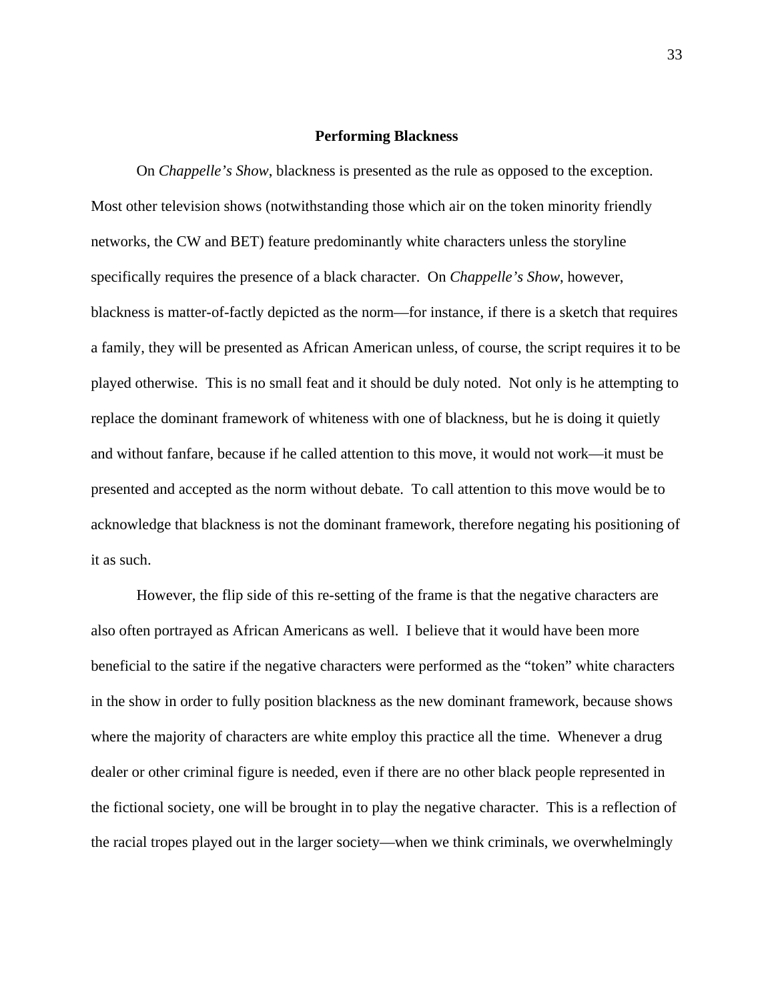#### **Performing Blackness**

On *Chappelle's Show*, blackness is presented as the rule as opposed to the exception. Most other television shows (notwithstanding those which air on the token minority friendly networks, the CW and BET) feature predominantly white characters unless the storyline specifically requires the presence of a black character. On *Chappelle's Show*, however, blackness is matter-of-factly depicted as the norm—for instance, if there is a sketch that requires a family, they will be presented as African American unless, of course, the script requires it to be played otherwise. This is no small feat and it should be duly noted. Not only is he attempting to replace the dominant framework of whiteness with one of blackness, but he is doing it quietly and without fanfare, because if he called attention to this move, it would not work—it must be presented and accepted as the norm without debate. To call attention to this move would be to acknowledge that blackness is not the dominant framework, therefore negating his positioning of it as such.

However, the flip side of this re-setting of the frame is that the negative characters are also often portrayed as African Americans as well. I believe that it would have been more beneficial to the satire if the negative characters were performed as the "token" white characters in the show in order to fully position blackness as the new dominant framework, because shows where the majority of characters are white employ this practice all the time. Whenever a drug dealer or other criminal figure is needed, even if there are no other black people represented in the fictional society, one will be brought in to play the negative character. This is a reflection of the racial tropes played out in the larger society—when we think criminals, we overwhelmingly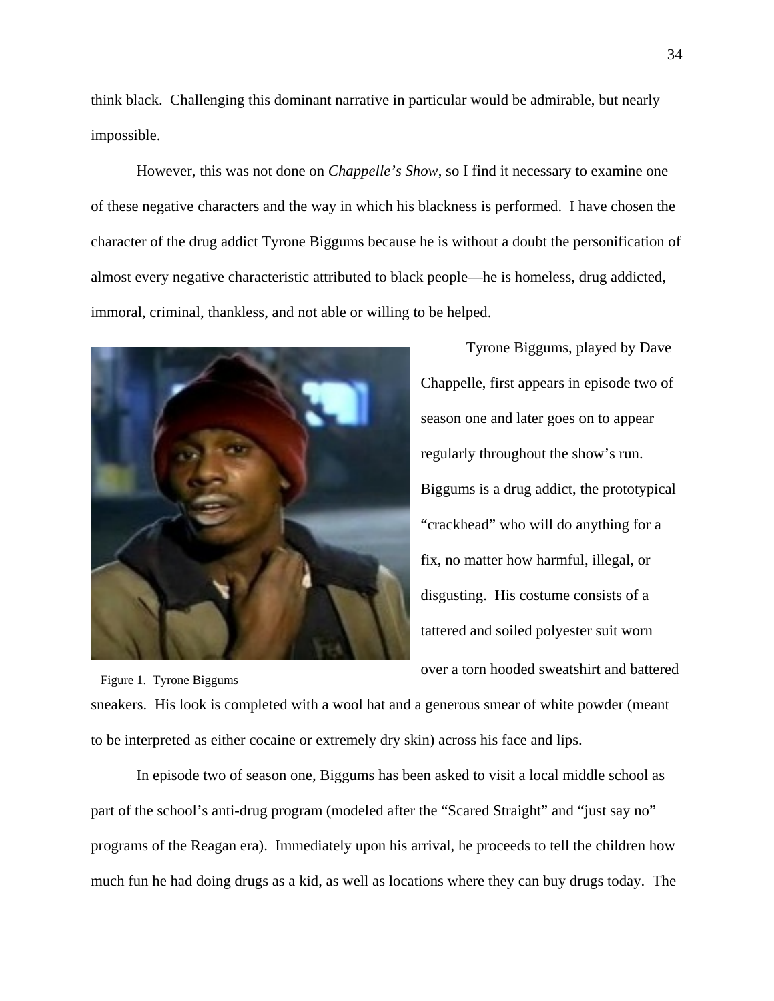think black. Challenging this dominant narrative in particular would be admirable, but nearly impossible.

However, this was not done on *Chappelle's Show*, so I find it necessary to examine one of these negative characters and the way in which his blackness is performed. I have chosen the character of the drug addict Tyrone Biggums because he is without a doubt the personification of almost every negative characteristic attributed to black people—he is homeless, drug addicted, immoral, criminal, thankless, and not able or willing to be helped.



Figure 1. Tyrone Biggums

Tyrone Biggums, played by Dave Chappelle, first appears in episode two of season one and later goes on to appear regularly throughout the show's run. Biggums is a drug addict, the prototypical "crackhead" who will do anything for a fix, no matter how harmful, illegal, or disgusting. His costume consists of a tattered and soiled polyester suit worn over a torn hooded sweatshirt and battered

sneakers. His look is completed with a wool hat and a generous smear of white powder (meant to be interpreted as either cocaine or extremely dry skin) across his face and lips.

In episode two of season one, Biggums has been asked to visit a local middle school as part of the school's anti-drug program (modeled after the "Scared Straight" and "just say no" programs of the Reagan era). Immediately upon his arrival, he proceeds to tell the children how much fun he had doing drugs as a kid, as well as locations where they can buy drugs today. The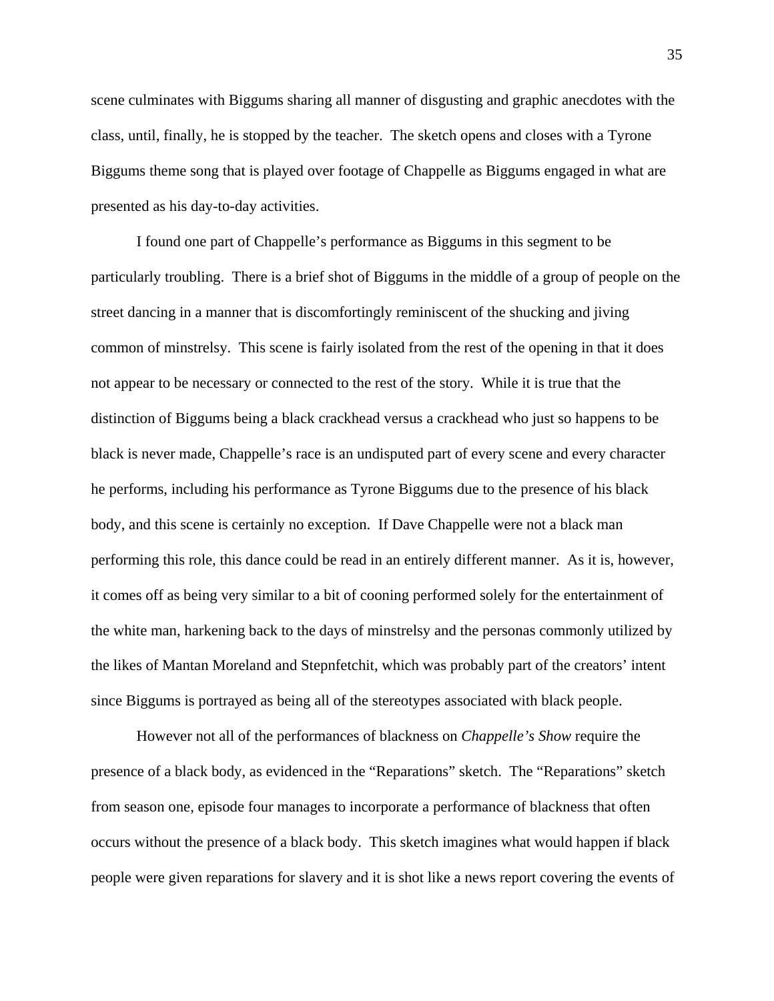scene culminates with Biggums sharing all manner of disgusting and graphic anecdotes with the class, until, finally, he is stopped by the teacher. The sketch opens and closes with a Tyrone Biggums theme song that is played over footage of Chappelle as Biggums engaged in what are presented as his day-to-day activities.

I found one part of Chappelle's performance as Biggums in this segment to be particularly troubling. There is a brief shot of Biggums in the middle of a group of people on the street dancing in a manner that is discomfortingly reminiscent of the shucking and jiving common of minstrelsy. This scene is fairly isolated from the rest of the opening in that it does not appear to be necessary or connected to the rest of the story. While it is true that the distinction of Biggums being a black crackhead versus a crackhead who just so happens to be black is never made, Chappelle's race is an undisputed part of every scene and every character he performs, including his performance as Tyrone Biggums due to the presence of his black body, and this scene is certainly no exception. If Dave Chappelle were not a black man performing this role, this dance could be read in an entirely different manner. As it is, however, it comes off as being very similar to a bit of cooning performed solely for the entertainment of the white man, harkening back to the days of minstrelsy and the personas commonly utilized by the likes of Mantan Moreland and Stepnfetchit, which was probably part of the creators' intent since Biggums is portrayed as being all of the stereotypes associated with black people.

However not all of the performances of blackness on *Chappelle's Show* require the presence of a black body, as evidenced in the "Reparations" sketch. The "Reparations" sketch from season one, episode four manages to incorporate a performance of blackness that often occurs without the presence of a black body. This sketch imagines what would happen if black people were given reparations for slavery and it is shot like a news report covering the events of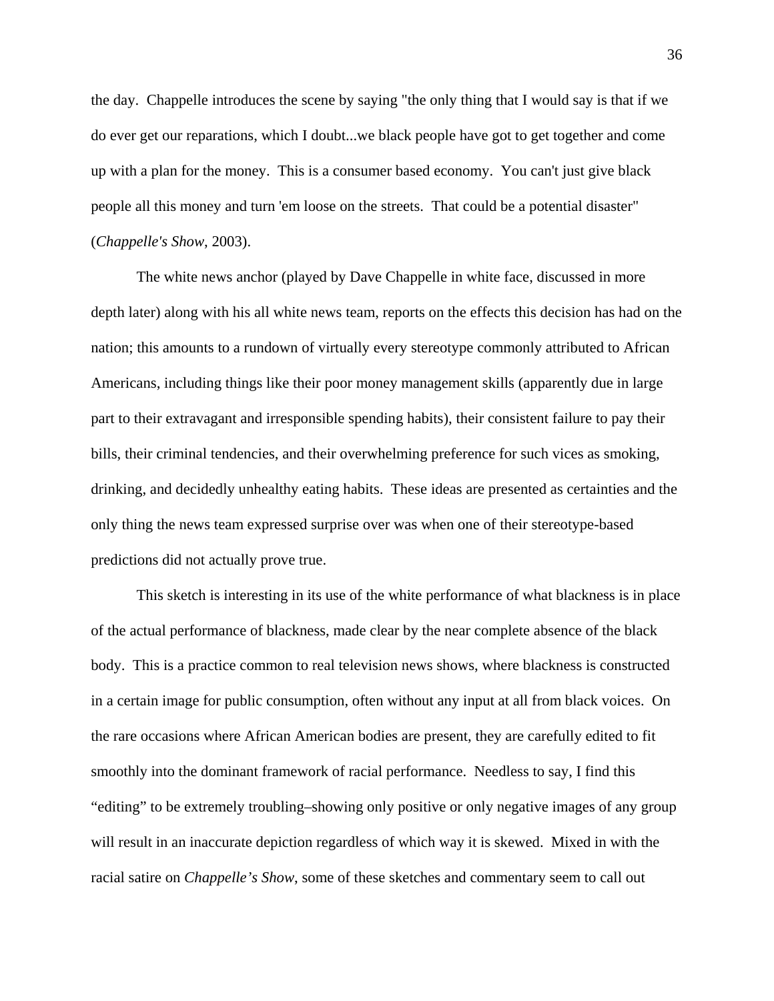the day. Chappelle introduces the scene by saying "the only thing that I would say is that if we do ever get our reparations, which I doubt...we black people have got to get together and come up with a plan for the money. This is a consumer based economy. You can't just give black people all this money and turn 'em loose on the streets. That could be a potential disaster" (*Chappelle's Show*, 2003).

The white news anchor (played by Dave Chappelle in white face, discussed in more depth later) along with his all white news team, reports on the effects this decision has had on the nation; this amounts to a rundown of virtually every stereotype commonly attributed to African Americans, including things like their poor money management skills (apparently due in large part to their extravagant and irresponsible spending habits), their consistent failure to pay their bills, their criminal tendencies, and their overwhelming preference for such vices as smoking, drinking, and decidedly unhealthy eating habits. These ideas are presented as certainties and the only thing the news team expressed surprise over was when one of their stereotype-based predictions did not actually prove true.

This sketch is interesting in its use of the white performance of what blackness is in place of the actual performance of blackness, made clear by the near complete absence of the black body. This is a practice common to real television news shows, where blackness is constructed in a certain image for public consumption, often without any input at all from black voices. On the rare occasions where African American bodies are present, they are carefully edited to fit smoothly into the dominant framework of racial performance. Needless to say, I find this "editing" to be extremely troubling–showing only positive or only negative images of any group will result in an inaccurate depiction regardless of which way it is skewed. Mixed in with the racial satire on *Chappelle's Show*, some of these sketches and commentary seem to call out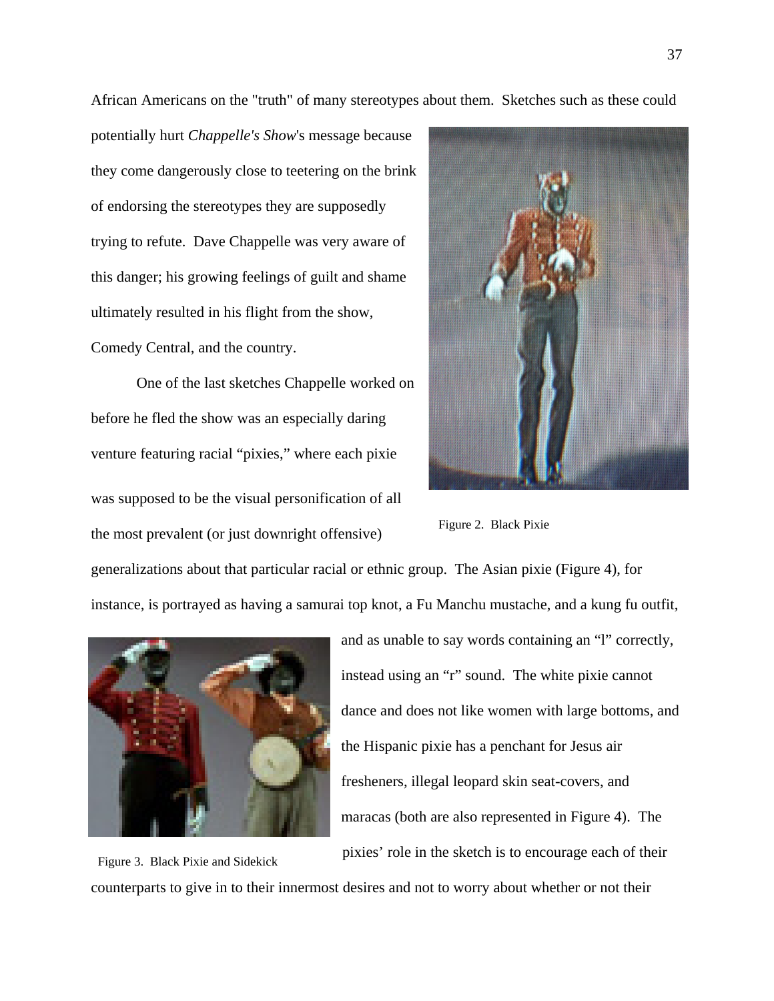African Americans on the "truth" of many stereotypes about them. Sketches such as these could

potentially hurt *Chappelle's Show*'s message because they come dangerously close to teetering on the brink of endorsing the stereotypes they are supposedly trying to refute. Dave Chappelle was very aware of this danger; his growing feelings of guilt and shame ultimately resulted in his flight from the show, Comedy Central, and the country.

One of the last sketches Chappelle worked on before he fled the show was an especially daring venture featuring racial "pixies," where each pixie was supposed to be the visual personification of all the most prevalent (or just downright offensive)



Figure 2. Black Pixie

generalizations about that particular racial or ethnic group. The Asian pixie (Figure 4), for instance, is portrayed as having a samurai top knot, a Fu Manchu mustache, and a kung fu outfit,



and as unable to say words containing an "l" correctly, instead using an "r" sound. The white pixie cannot dance and does not like women with large bottoms, and the Hispanic pixie has a penchant for Jesus air fresheners, illegal leopard skin seat-covers, and maracas (both are also represented in Figure 4). The pixies' role in the sketch is to encourage each of their

Figure 3. Black Pixie and Sidekick counterparts to give in to their innermost desires and not to worry about whether or not their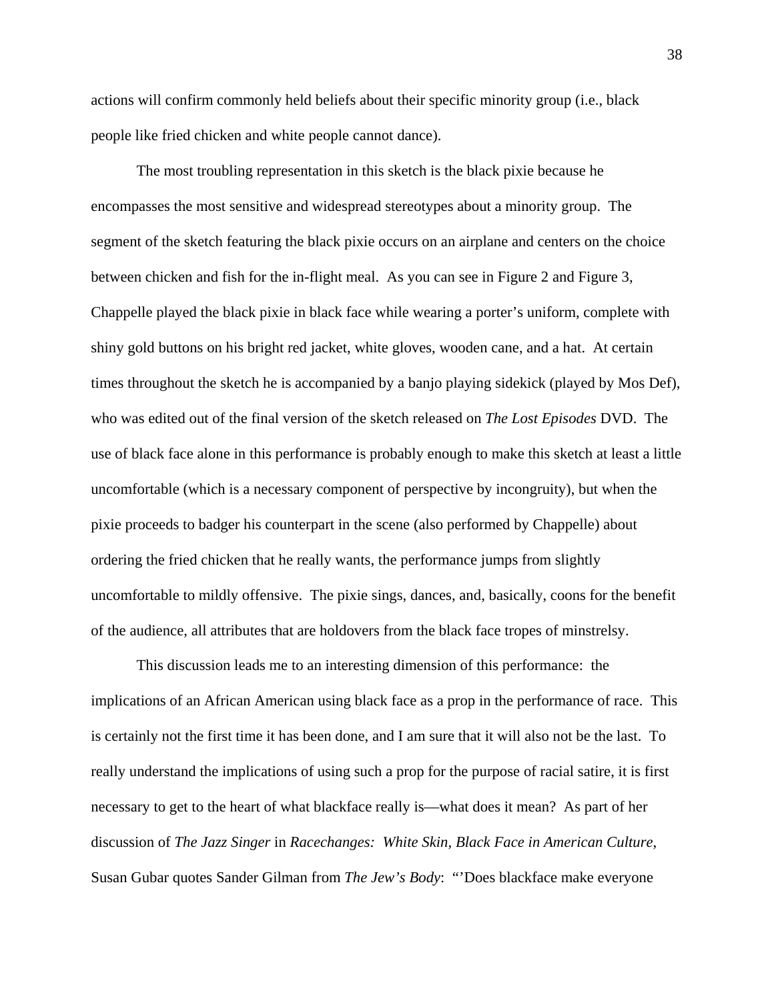actions will confirm commonly held beliefs about their specific minority group (i.e., black people like fried chicken and white people cannot dance).

The most troubling representation in this sketch is the black pixie because he encompasses the most sensitive and widespread stereotypes about a minority group. The segment of the sketch featuring the black pixie occurs on an airplane and centers on the choice between chicken and fish for the in-flight meal. As you can see in Figure 2 and Figure 3, Chappelle played the black pixie in black face while wearing a porter's uniform, complete with shiny gold buttons on his bright red jacket, white gloves, wooden cane, and a hat. At certain times throughout the sketch he is accompanied by a banjo playing sidekick (played by Mos Def), who was edited out of the final version of the sketch released on *The Lost Episodes* DVD. The use of black face alone in this performance is probably enough to make this sketch at least a little uncomfortable (which is a necessary component of perspective by incongruity), but when the pixie proceeds to badger his counterpart in the scene (also performed by Chappelle) about ordering the fried chicken that he really wants, the performance jumps from slightly uncomfortable to mildly offensive. The pixie sings, dances, and, basically, coons for the benefit of the audience, all attributes that are holdovers from the black face tropes of minstrelsy.

This discussion leads me to an interesting dimension of this performance: the implications of an African American using black face as a prop in the performance of race. This is certainly not the first time it has been done, and I am sure that it will also not be the last. To really understand the implications of using such a prop for the purpose of racial satire, it is first necessary to get to the heart of what blackface really is—what does it mean? As part of her discussion of *The Jazz Singer* in *Racechanges: White Skin, Black Face in American Culture*, Susan Gubar quotes Sander Gilman from *The Jew's Body*: "'Does blackface make everyone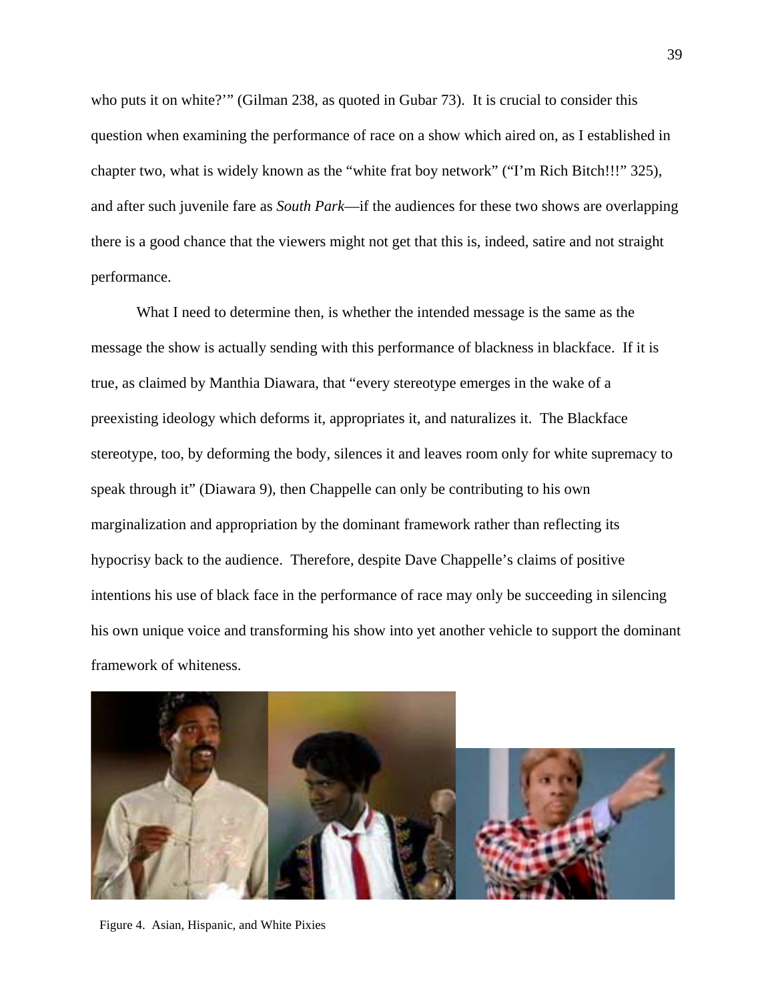who puts it on white?'" (Gilman 238, as quoted in Gubar 73). It is crucial to consider this question when examining the performance of race on a show which aired on, as I established in chapter two, what is widely known as the "white frat boy network" ("I'm Rich Bitch!!!" 325), and after such juvenile fare as *South Park*—if the audiences for these two shows are overlapping there is a good chance that the viewers might not get that this is, indeed, satire and not straight performance.

What I need to determine then, is whether the intended message is the same as the message the show is actually sending with this performance of blackness in blackface. If it is true, as claimed by Manthia Diawara, that "every stereotype emerges in the wake of a preexisting ideology which deforms it, appropriates it, and naturalizes it. The Blackface stereotype, too, by deforming the body, silences it and leaves room only for white supremacy to speak through it" (Diawara 9), then Chappelle can only be contributing to his own marginalization and appropriation by the dominant framework rather than reflecting its hypocrisy back to the audience. Therefore, despite Dave Chappelle's claims of positive intentions his use of black face in the performance of race may only be succeeding in silencing his own unique voice and transforming his show into yet another vehicle to support the dominant framework of whiteness.



Figure 4. Asian, Hispanic, and White Pixies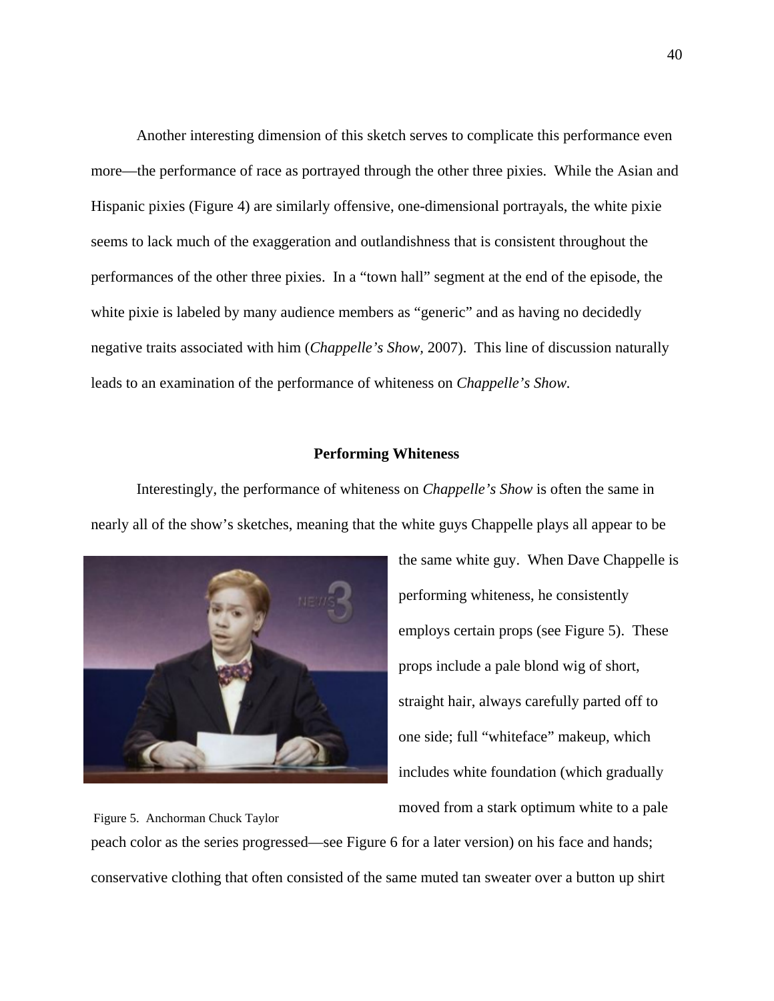Another interesting dimension of this sketch serves to complicate this performance even more—the performance of race as portrayed through the other three pixies. While the Asian and Hispanic pixies (Figure 4) are similarly offensive, one-dimensional portrayals, the white pixie seems to lack much of the exaggeration and outlandishness that is consistent throughout the performances of the other three pixies. In a "town hall" segment at the end of the episode, the white pixie is labeled by many audience members as "generic" and as having no decidedly negative traits associated with him (*Chappelle's Show,* 2007). This line of discussion naturally leads to an examination of the performance of whiteness on *Chappelle's Show.*

## **Performing Whiteness**

Interestingly, the performance of whiteness on *Chappelle's Show* is often the same in nearly all of the show's sketches, meaning that the white guys Chappelle plays all appear to be



the same white guy. When Dave Chappelle is performing whiteness, he consistently employs certain props (see Figure 5). These props include a pale blond wig of short, straight hair, always carefully parted off to one side; full "whiteface" makeup, which includes white foundation (which gradually moved from a stark optimum white to a pale

peach color as the series progressed—see Figure 6 for a later version) on his face and hands; conservative clothing that often consisted of the same muted tan sweater over a button up shirt Figure 5. Anchorman Chuck Taylor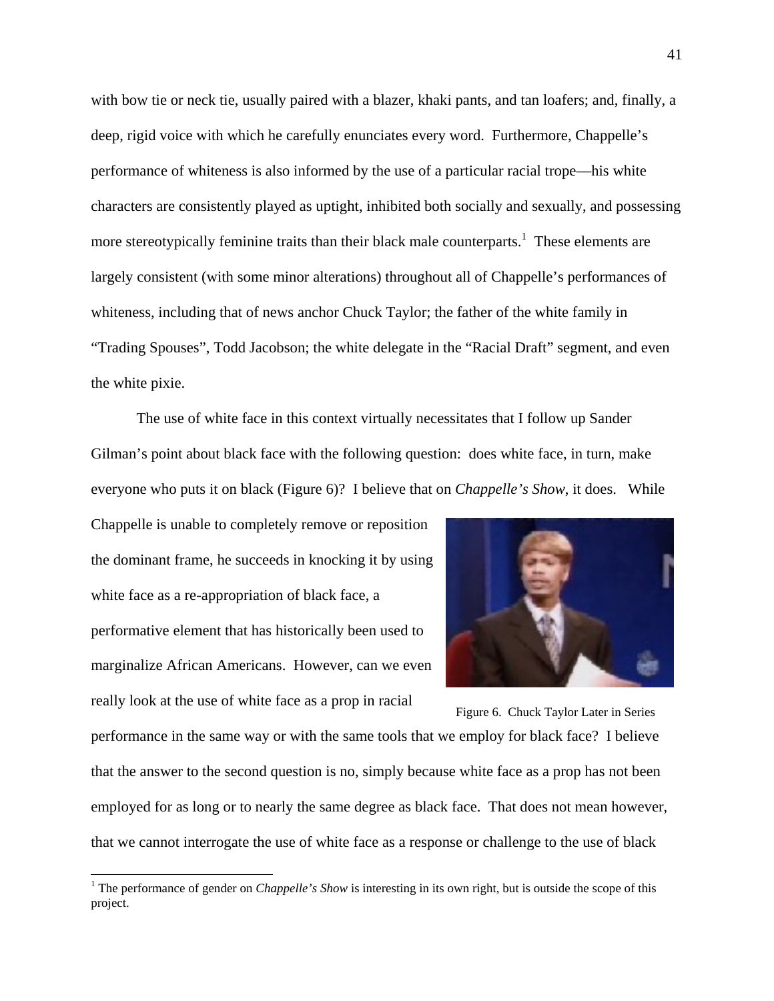with bow tie or neck tie, usually paired with a blazer, khaki pants, and tan loafers; and, finally, a deep, rigid voice with which he carefully enunciates every word. Furthermore, Chappelle's performance of whiteness is also informed by the use of a particular racial trope—his white characters are consistently played as uptight, inhibited both socially and sexually, and possessing more stereotypically feminine traits than their black male counterparts.<sup>1</sup> These elements are largely consistent (with some minor alterations) throughout all of Chappelle's performances of whiteness, including that of news anchor Chuck Taylor; the father of the white family in "Trading Spouses", Todd Jacobson; the white delegate in the "Racial Draft" segment, and even the white pixie.

 The use of white face in this context virtually necessitates that I follow up Sander Gilman's point about black face with the following question: does white face, in turn, make everyone who puts it on black (Figure 6)? I believe that on *Chappelle's Show*, it does. While

Chappelle is unable to completely remove or reposition the dominant frame, he succeeds in knocking it by using white face as a re-appropriation of black face, a performative element that has historically been used to marginalize African Americans. However, can we even really look at the use of white face as a prop in racial



performance in the same way or with the same tools that we employ for black face? I believe that the answer to the second question is no, simply because white face as a prop has not been employed for as long or to nearly the same degree as black face. That does not mean however, that we cannot interrogate the use of white face as a response or challenge to the use of black Figure 6. Chuck Taylor Later in Series

<sup>&</sup>lt;sup>1</sup> The performance of gender on *Chappelle's Show* is interesting in its own right, but is outside the scope of this project.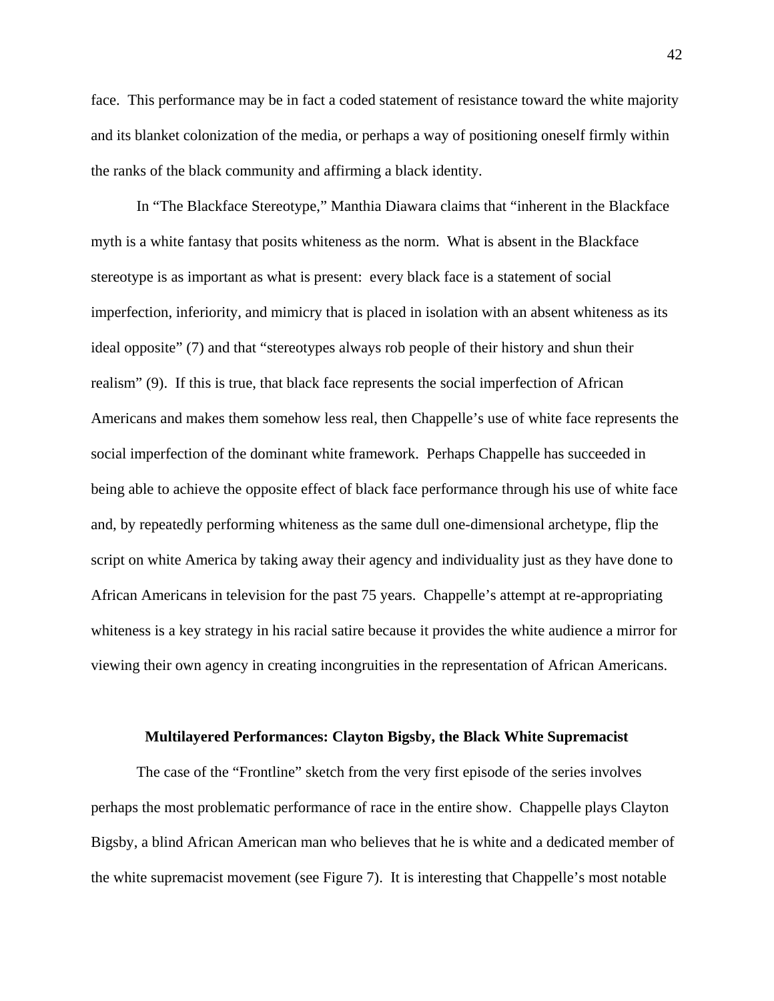face. This performance may be in fact a coded statement of resistance toward the white majority and its blanket colonization of the media, or perhaps a way of positioning oneself firmly within the ranks of the black community and affirming a black identity.

In "The Blackface Stereotype," Manthia Diawara claims that "inherent in the Blackface myth is a white fantasy that posits whiteness as the norm. What is absent in the Blackface stereotype is as important as what is present: every black face is a statement of social imperfection, inferiority, and mimicry that is placed in isolation with an absent whiteness as its ideal opposite" (7) and that "stereotypes always rob people of their history and shun their realism" (9). If this is true, that black face represents the social imperfection of African Americans and makes them somehow less real, then Chappelle's use of white face represents the social imperfection of the dominant white framework. Perhaps Chappelle has succeeded in being able to achieve the opposite effect of black face performance through his use of white face and, by repeatedly performing whiteness as the same dull one-dimensional archetype, flip the script on white America by taking away their agency and individuality just as they have done to African Americans in television for the past 75 years. Chappelle's attempt at re-appropriating whiteness is a key strategy in his racial satire because it provides the white audience a mirror for viewing their own agency in creating incongruities in the representation of African Americans.

## **Multilayered Performances: Clayton Bigsby, the Black White Supremacist**

The case of the "Frontline" sketch from the very first episode of the series involves perhaps the most problematic performance of race in the entire show. Chappelle plays Clayton Bigsby, a blind African American man who believes that he is white and a dedicated member of the white supremacist movement (see Figure 7). It is interesting that Chappelle's most notable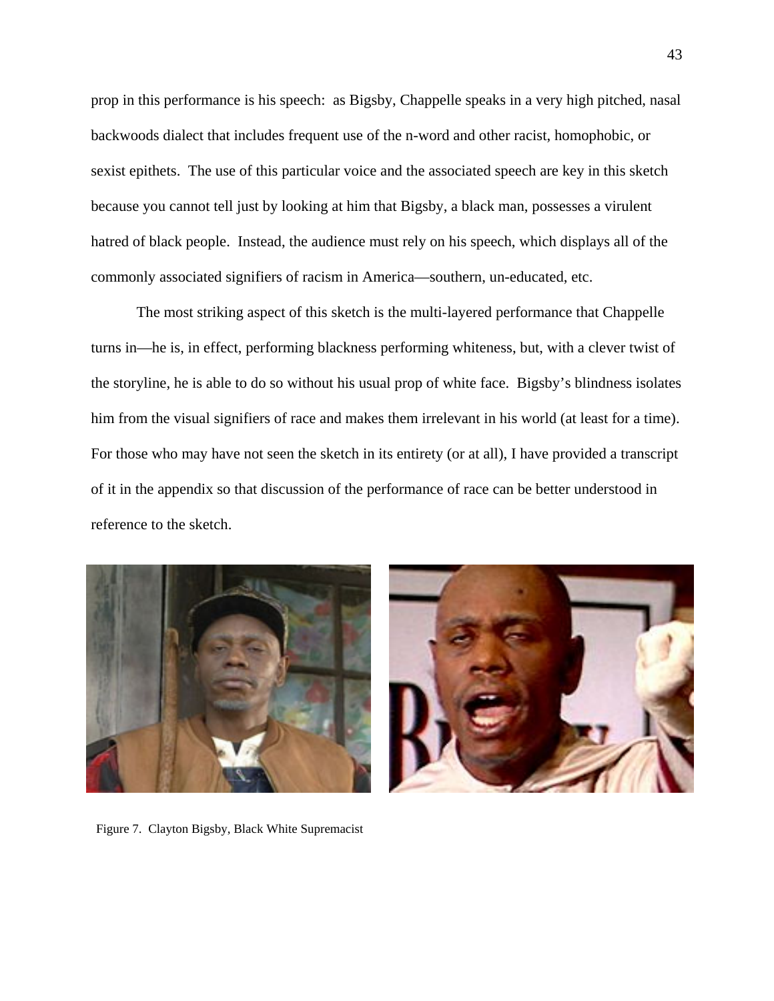prop in this performance is his speech: as Bigsby, Chappelle speaks in a very high pitched, nasal backwoods dialect that includes frequent use of the n-word and other racist, homophobic, or sexist epithets. The use of this particular voice and the associated speech are key in this sketch because you cannot tell just by looking at him that Bigsby, a black man, possesses a virulent hatred of black people. Instead, the audience must rely on his speech, which displays all of the commonly associated signifiers of racism in America—southern, un-educated, etc.

The most striking aspect of this sketch is the multi-layered performance that Chappelle turns in—he is, in effect, performing blackness performing whiteness, but, with a clever twist of the storyline, he is able to do so without his usual prop of white face. Bigsby's blindness isolates him from the visual signifiers of race and makes them irrelevant in his world (at least for a time). For those who may have not seen the sketch in its entirety (or at all), I have provided a transcript of it in the appendix so that discussion of the performance of race can be better understood in reference to the sketch.



Figure 7. Clayton Bigsby, Black White Supremacist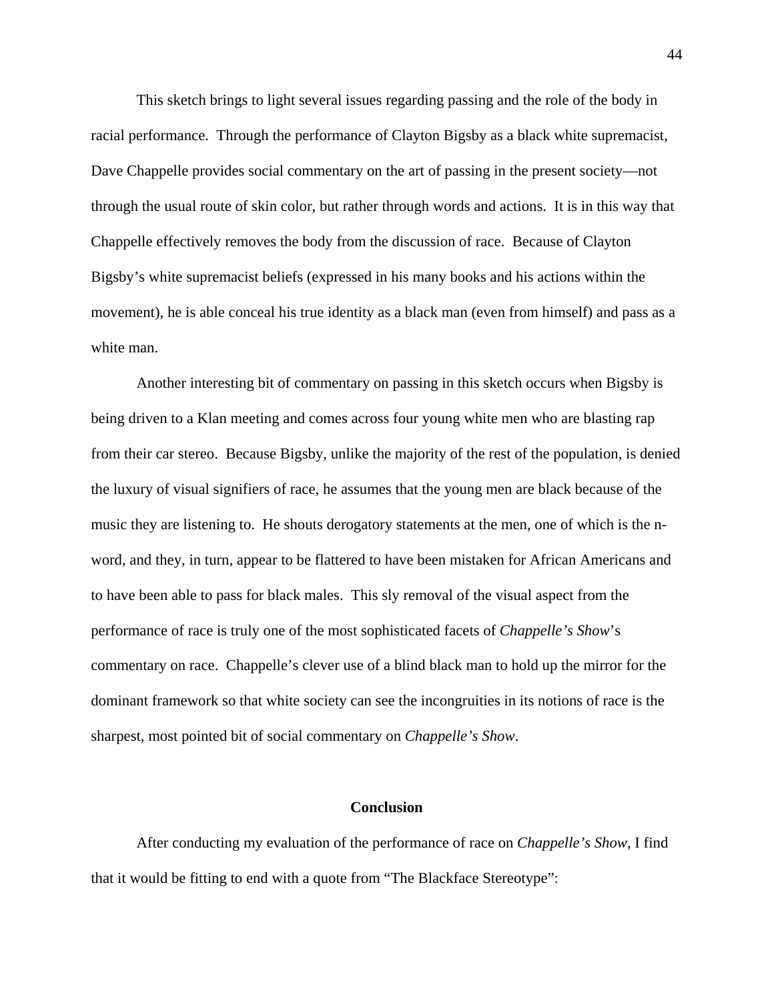This sketch brings to light several issues regarding passing and the role of the body in racial performance. Through the performance of Clayton Bigsby as a black white supremacist, Dave Chappelle provides social commentary on the art of passing in the present society—not through the usual route of skin color, but rather through words and actions. It is in this way that Chappelle effectively removes the body from the discussion of race. Because of Clayton Bigsby's white supremacist beliefs (expressed in his many books and his actions within the movement), he is able conceal his true identity as a black man (even from himself) and pass as a white man.

Another interesting bit of commentary on passing in this sketch occurs when Bigsby is being driven to a Klan meeting and comes across four young white men who are blasting rap from their car stereo. Because Bigsby, unlike the majority of the rest of the population, is denied the luxury of visual signifiers of race, he assumes that the young men are black because of the music they are listening to. He shouts derogatory statements at the men, one of which is the nword, and they, in turn, appear to be flattered to have been mistaken for African Americans and to have been able to pass for black males. This sly removal of the visual aspect from the performance of race is truly one of the most sophisticated facets of *Chappelle's Show*'s commentary on race. Chappelle's clever use of a blind black man to hold up the mirror for the dominant framework so that white society can see the incongruities in its notions of race is the sharpest, most pointed bit of social commentary on *Chappelle's Show*.

# **Conclusion**

After conducting my evaluation of the performance of race on *Chappelle's Show*, I find that it would be fitting to end with a quote from "The Blackface Stereotype":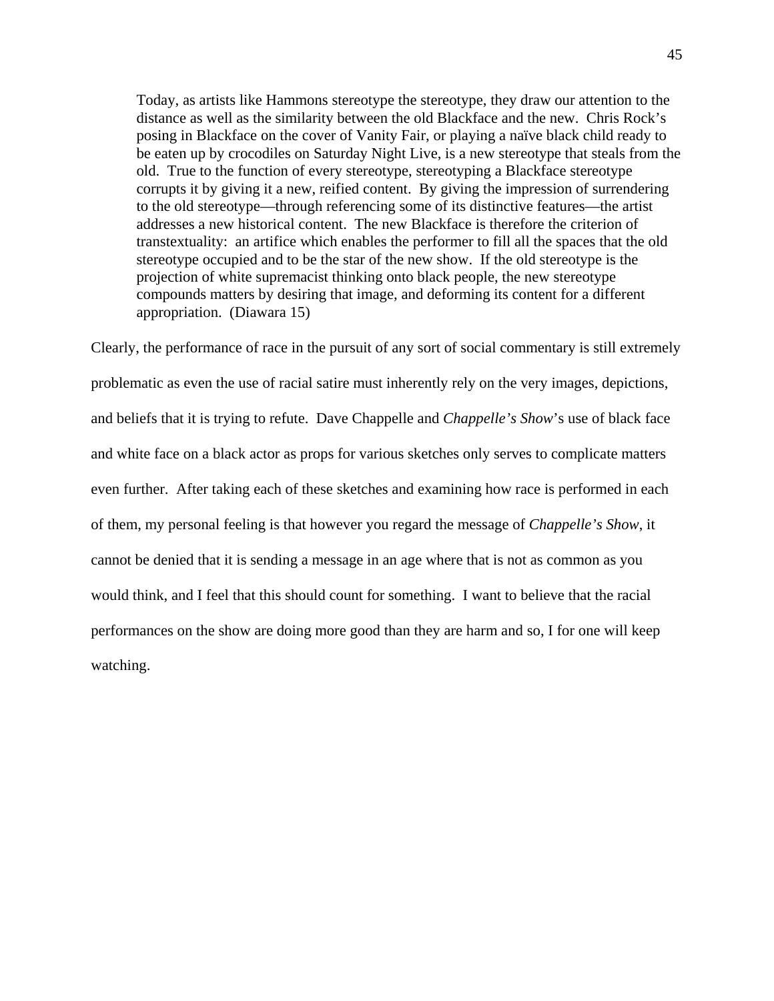Today, as artists like Hammons stereotype the stereotype, they draw our attention to the distance as well as the similarity between the old Blackface and the new. Chris Rock's posing in Blackface on the cover of Vanity Fair, or playing a naïve black child ready to be eaten up by crocodiles on Saturday Night Live, is a new stereotype that steals from the old. True to the function of every stereotype, stereotyping a Blackface stereotype corrupts it by giving it a new, reified content. By giving the impression of surrendering to the old stereotype—through referencing some of its distinctive features—the artist addresses a new historical content. The new Blackface is therefore the criterion of transtextuality: an artifice which enables the performer to fill all the spaces that the old stereotype occupied and to be the star of the new show. If the old stereotype is the projection of white supremacist thinking onto black people, the new stereotype compounds matters by desiring that image, and deforming its content for a different appropriation. (Diawara 15)

Clearly, the performance of race in the pursuit of any sort of social commentary is still extremely problematic as even the use of racial satire must inherently rely on the very images, depictions, and beliefs that it is trying to refute. Dave Chappelle and *Chappelle's Show*'s use of black face and white face on a black actor as props for various sketches only serves to complicate matters even further. After taking each of these sketches and examining how race is performed in each of them, my personal feeling is that however you regard the message of *Chappelle's Show*, it cannot be denied that it is sending a message in an age where that is not as common as you would think, and I feel that this should count for something. I want to believe that the racial performances on the show are doing more good than they are harm and so, I for one will keep watching.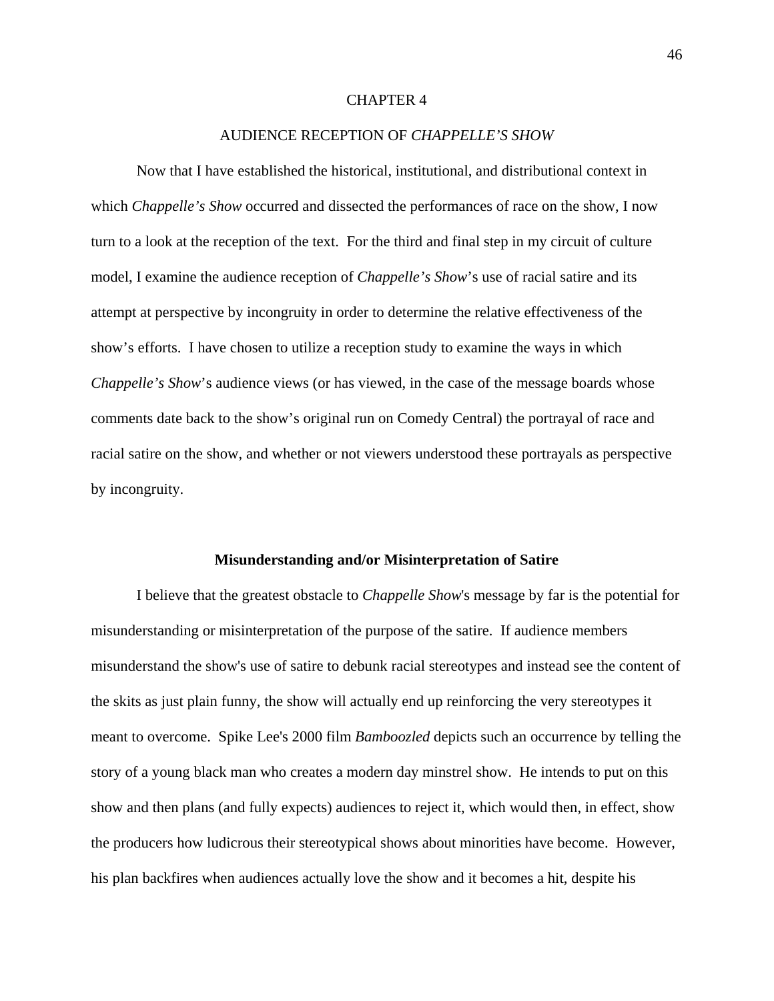## CHAPTER 4

## AUDIENCE RECEPTION OF *CHAPPELLE'S SHOW*

Now that I have established the historical, institutional, and distributional context in which *Chappelle's Show* occurred and dissected the performances of race on the show, I now turn to a look at the reception of the text. For the third and final step in my circuit of culture model, I examine the audience reception of *Chappelle's Show*'s use of racial satire and its attempt at perspective by incongruity in order to determine the relative effectiveness of the show's efforts. I have chosen to utilize a reception study to examine the ways in which *Chappelle's Show*'s audience views (or has viewed, in the case of the message boards whose comments date back to the show's original run on Comedy Central) the portrayal of race and racial satire on the show, and whether or not viewers understood these portrayals as perspective by incongruity.

#### **Misunderstanding and/or Misinterpretation of Satire**

I believe that the greatest obstacle to *Chappelle Show*'s message by far is the potential for misunderstanding or misinterpretation of the purpose of the satire. If audience members misunderstand the show's use of satire to debunk racial stereotypes and instead see the content of the skits as just plain funny, the show will actually end up reinforcing the very stereotypes it meant to overcome. Spike Lee's 2000 film *Bamboozled* depicts such an occurrence by telling the story of a young black man who creates a modern day minstrel show. He intends to put on this show and then plans (and fully expects) audiences to reject it, which would then, in effect, show the producers how ludicrous their stereotypical shows about minorities have become. However, his plan backfires when audiences actually love the show and it becomes a hit, despite his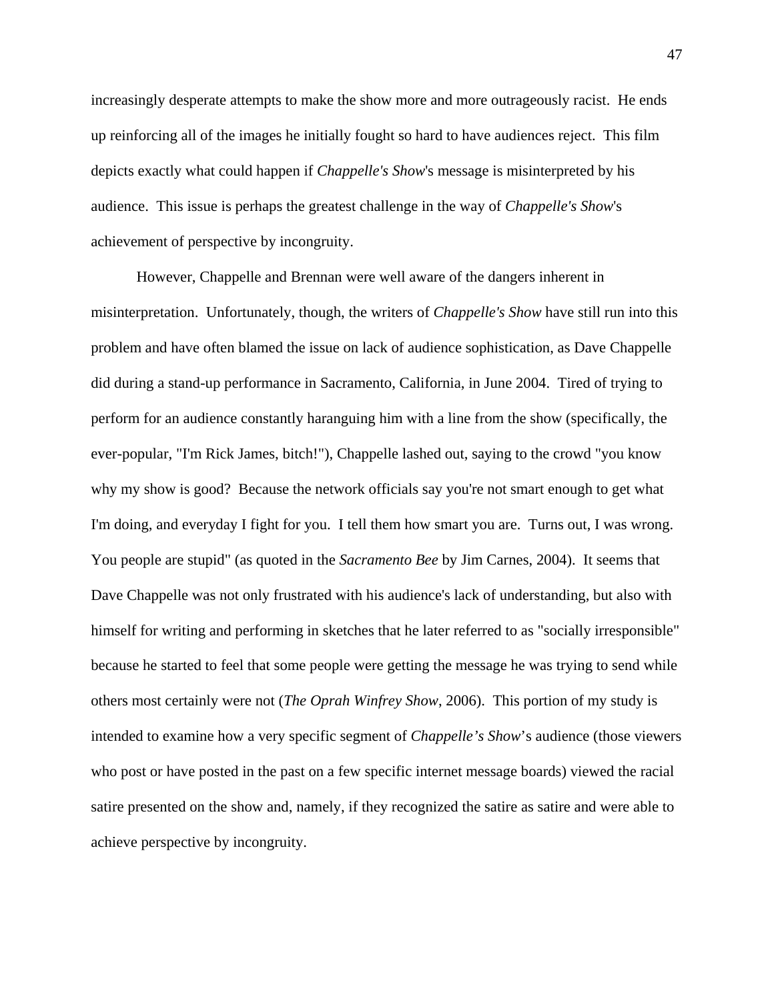increasingly desperate attempts to make the show more and more outrageously racist. He ends up reinforcing all of the images he initially fought so hard to have audiences reject. This film depicts exactly what could happen if *Chappelle's Show*'s message is misinterpreted by his audience. This issue is perhaps the greatest challenge in the way of *Chappelle's Show*'s achievement of perspective by incongruity.

However, Chappelle and Brennan were well aware of the dangers inherent in misinterpretation. Unfortunately, though, the writers of *Chappelle's Show* have still run into this problem and have often blamed the issue on lack of audience sophistication, as Dave Chappelle did during a stand-up performance in Sacramento, California, in June 2004. Tired of trying to perform for an audience constantly haranguing him with a line from the show (specifically, the ever-popular, "I'm Rick James, bitch!"), Chappelle lashed out, saying to the crowd "you know why my show is good? Because the network officials say you're not smart enough to get what I'm doing, and everyday I fight for you. I tell them how smart you are. Turns out, I was wrong. You people are stupid" (as quoted in the *Sacramento Bee* by Jim Carnes, 2004). It seems that Dave Chappelle was not only frustrated with his audience's lack of understanding, but also with himself for writing and performing in sketches that he later referred to as "socially irresponsible" because he started to feel that some people were getting the message he was trying to send while others most certainly were not (*The Oprah Winfrey Show*, 2006). This portion of my study is intended to examine how a very specific segment of *Chappelle's Show*'s audience (those viewers who post or have posted in the past on a few specific internet message boards) viewed the racial satire presented on the show and, namely, if they recognized the satire as satire and were able to achieve perspective by incongruity.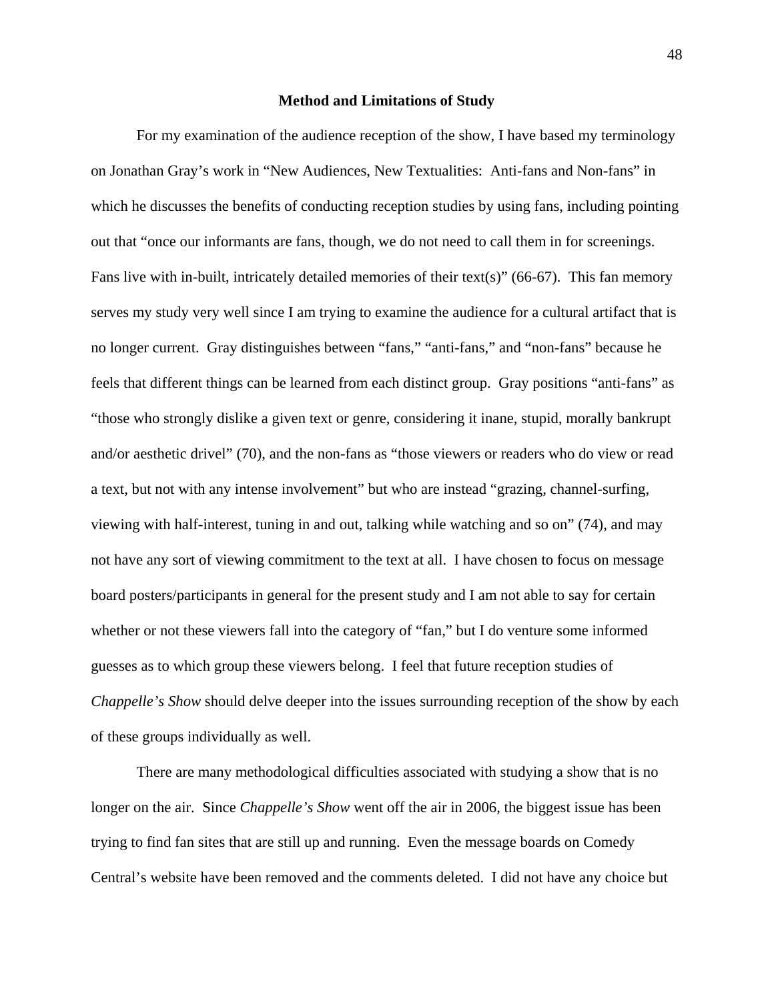#### **Method and Limitations of Study**

For my examination of the audience reception of the show, I have based my terminology on Jonathan Gray's work in "New Audiences, New Textualities: Anti-fans and Non-fans" in which he discusses the benefits of conducting reception studies by using fans, including pointing out that "once our informants are fans, though, we do not need to call them in for screenings. Fans live with in-built, intricately detailed memories of their text(s)" (66-67). This fan memory serves my study very well since I am trying to examine the audience for a cultural artifact that is no longer current. Gray distinguishes between "fans," "anti-fans," and "non-fans" because he feels that different things can be learned from each distinct group. Gray positions "anti-fans" as "those who strongly dislike a given text or genre, considering it inane, stupid, morally bankrupt and/or aesthetic drivel" (70), and the non-fans as "those viewers or readers who do view or read a text, but not with any intense involvement" but who are instead "grazing, channel-surfing, viewing with half-interest, tuning in and out, talking while watching and so on" (74), and may not have any sort of viewing commitment to the text at all. I have chosen to focus on message board posters/participants in general for the present study and I am not able to say for certain whether or not these viewers fall into the category of "fan," but I do venture some informed guesses as to which group these viewers belong. I feel that future reception studies of *Chappelle's Show* should delve deeper into the issues surrounding reception of the show by each of these groups individually as well.

There are many methodological difficulties associated with studying a show that is no longer on the air. Since *Chappelle's Show* went off the air in 2006, the biggest issue has been trying to find fan sites that are still up and running. Even the message boards on Comedy Central's website have been removed and the comments deleted. I did not have any choice but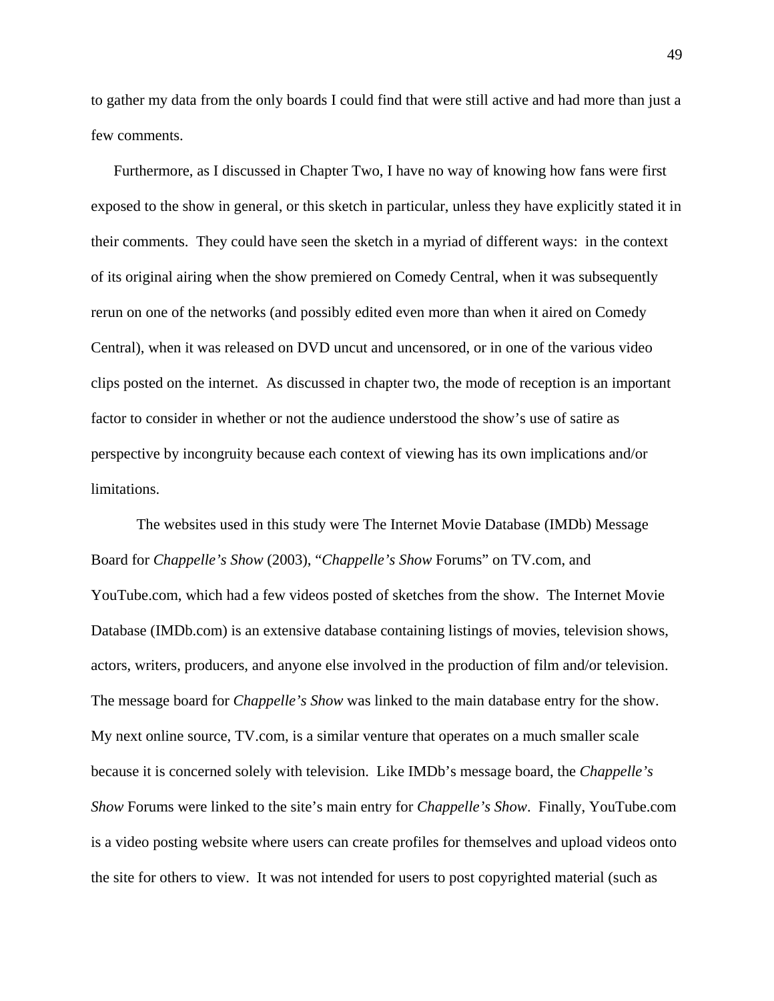to gather my data from the only boards I could find that were still active and had more than just a few comments.

Furthermore, as I discussed in Chapter Two, I have no way of knowing how fans were first exposed to the show in general, or this sketch in particular, unless they have explicitly stated it in their comments. They could have seen the sketch in a myriad of different ways: in the context of its original airing when the show premiered on Comedy Central, when it was subsequently rerun on one of the networks (and possibly edited even more than when it aired on Comedy Central), when it was released on DVD uncut and uncensored, or in one of the various video clips posted on the internet. As discussed in chapter two, the mode of reception is an important factor to consider in whether or not the audience understood the show's use of satire as perspective by incongruity because each context of viewing has its own implications and/or limitations.

 The websites used in this study were The Internet Movie Database (IMDb) Message Board for *Chappelle's Show* (2003), "*Chappelle's Show* Forums" on TV.com, and YouTube.com, which had a few videos posted of sketches from the show. The Internet Movie Database (IMDb.com) is an extensive database containing listings of movies, television shows, actors, writers, producers, and anyone else involved in the production of film and/or television. The message board for *Chappelle's Show* was linked to the main database entry for the show. My next online source, TV.com, is a similar venture that operates on a much smaller scale because it is concerned solely with television. Like IMDb's message board, the *Chappelle's Show* Forums were linked to the site's main entry for *Chappelle's Show*. Finally, YouTube.com is a video posting website where users can create profiles for themselves and upload videos onto the site for others to view. It was not intended for users to post copyrighted material (such as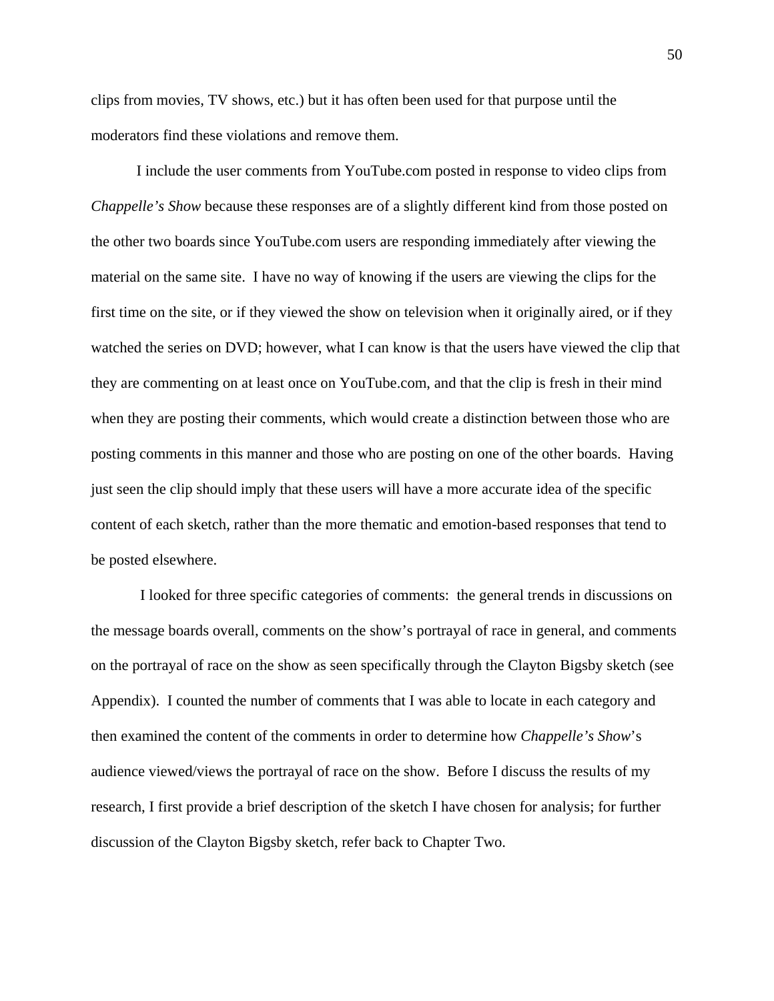clips from movies, TV shows, etc.) but it has often been used for that purpose until the moderators find these violations and remove them.

I include the user comments from YouTube.com posted in response to video clips from *Chappelle's Show* because these responses are of a slightly different kind from those posted on the other two boards since YouTube.com users are responding immediately after viewing the material on the same site. I have no way of knowing if the users are viewing the clips for the first time on the site, or if they viewed the show on television when it originally aired, or if they watched the series on DVD; however, what I can know is that the users have viewed the clip that they are commenting on at least once on YouTube.com, and that the clip is fresh in their mind when they are posting their comments, which would create a distinction between those who are posting comments in this manner and those who are posting on one of the other boards. Having just seen the clip should imply that these users will have a more accurate idea of the specific content of each sketch, rather than the more thematic and emotion-based responses that tend to be posted elsewhere.

 I looked for three specific categories of comments: the general trends in discussions on the message boards overall, comments on the show's portrayal of race in general, and comments on the portrayal of race on the show as seen specifically through the Clayton Bigsby sketch (see Appendix). I counted the number of comments that I was able to locate in each category and then examined the content of the comments in order to determine how *Chappelle's Show*'s audience viewed/views the portrayal of race on the show. Before I discuss the results of my research, I first provide a brief description of the sketch I have chosen for analysis; for further discussion of the Clayton Bigsby sketch, refer back to Chapter Two.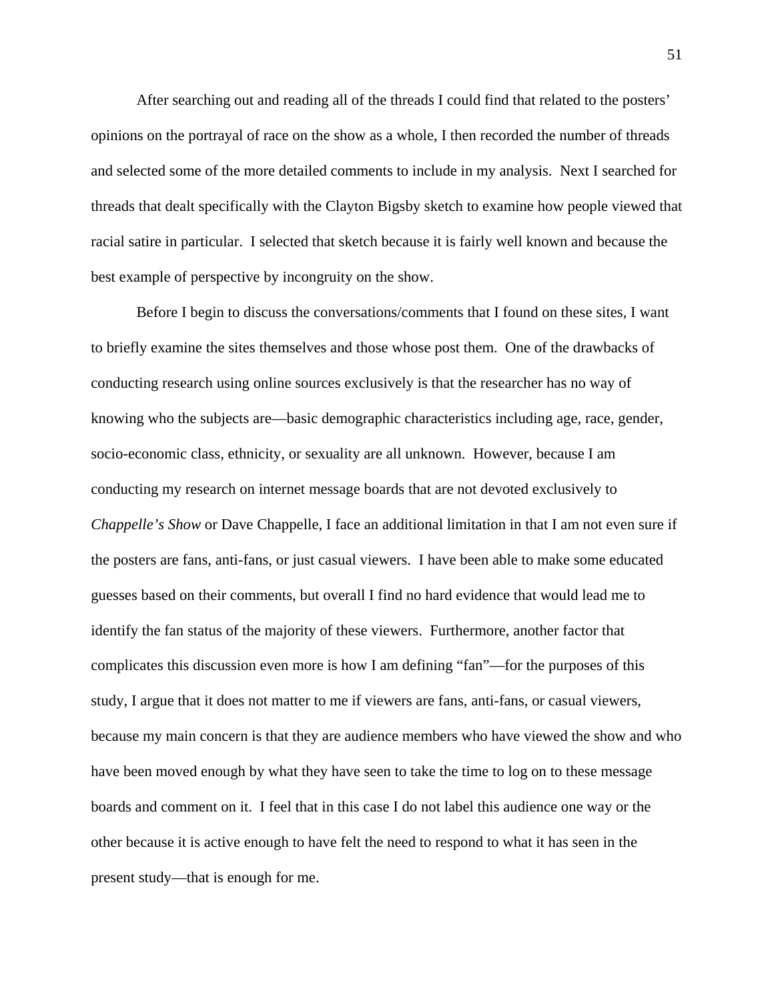After searching out and reading all of the threads I could find that related to the posters' opinions on the portrayal of race on the show as a whole, I then recorded the number of threads and selected some of the more detailed comments to include in my analysis. Next I searched for threads that dealt specifically with the Clayton Bigsby sketch to examine how people viewed that racial satire in particular. I selected that sketch because it is fairly well known and because the best example of perspective by incongruity on the show.

Before I begin to discuss the conversations/comments that I found on these sites, I want to briefly examine the sites themselves and those whose post them. One of the drawbacks of conducting research using online sources exclusively is that the researcher has no way of knowing who the subjects are—basic demographic characteristics including age, race, gender, socio-economic class, ethnicity, or sexuality are all unknown. However, because I am conducting my research on internet message boards that are not devoted exclusively to *Chappelle's Show* or Dave Chappelle, I face an additional limitation in that I am not even sure if the posters are fans, anti-fans, or just casual viewers. I have been able to make some educated guesses based on their comments, but overall I find no hard evidence that would lead me to identify the fan status of the majority of these viewers. Furthermore, another factor that complicates this discussion even more is how I am defining "fan"—for the purposes of this study, I argue that it does not matter to me if viewers are fans, anti-fans, or casual viewers, because my main concern is that they are audience members who have viewed the show and who have been moved enough by what they have seen to take the time to log on to these message boards and comment on it. I feel that in this case I do not label this audience one way or the other because it is active enough to have felt the need to respond to what it has seen in the present study—that is enough for me.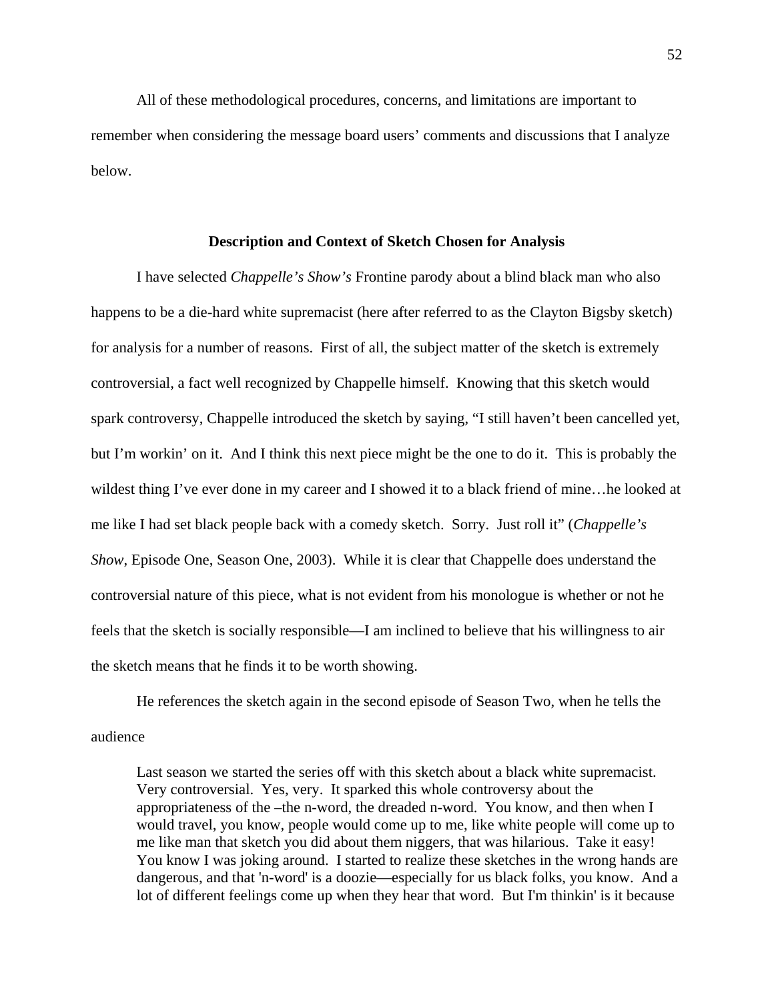All of these methodological procedures, concerns, and limitations are important to remember when considering the message board users' comments and discussions that I analyze below.

## **Description and Context of Sketch Chosen for Analysis**

I have selected *Chappelle's Show's* Frontine parody about a blind black man who also happens to be a die-hard white supremacist (here after referred to as the Clayton Bigsby sketch) for analysis for a number of reasons. First of all, the subject matter of the sketch is extremely controversial, a fact well recognized by Chappelle himself. Knowing that this sketch would spark controversy, Chappelle introduced the sketch by saying, "I still haven't been cancelled yet, but I'm workin' on it. And I think this next piece might be the one to do it. This is probably the wildest thing I've ever done in my career and I showed it to a black friend of mine…he looked at me like I had set black people back with a comedy sketch. Sorry. Just roll it" (*Chappelle's Show*, Episode One, Season One, 2003). While it is clear that Chappelle does understand the controversial nature of this piece, what is not evident from his monologue is whether or not he feels that the sketch is socially responsible—I am inclined to believe that his willingness to air the sketch means that he finds it to be worth showing.

He references the sketch again in the second episode of Season Two, when he tells the audience

Last season we started the series off with this sketch about a black white supremacist. Very controversial. Yes, very. It sparked this whole controversy about the appropriateness of the –the n-word, the dreaded n-word. You know, and then when I would travel, you know, people would come up to me, like white people will come up to me like man that sketch you did about them niggers, that was hilarious. Take it easy! You know I was joking around. I started to realize these sketches in the wrong hands are dangerous, and that 'n-word' is a doozie—especially for us black folks, you know. And a lot of different feelings come up when they hear that word. But I'm thinkin' is it because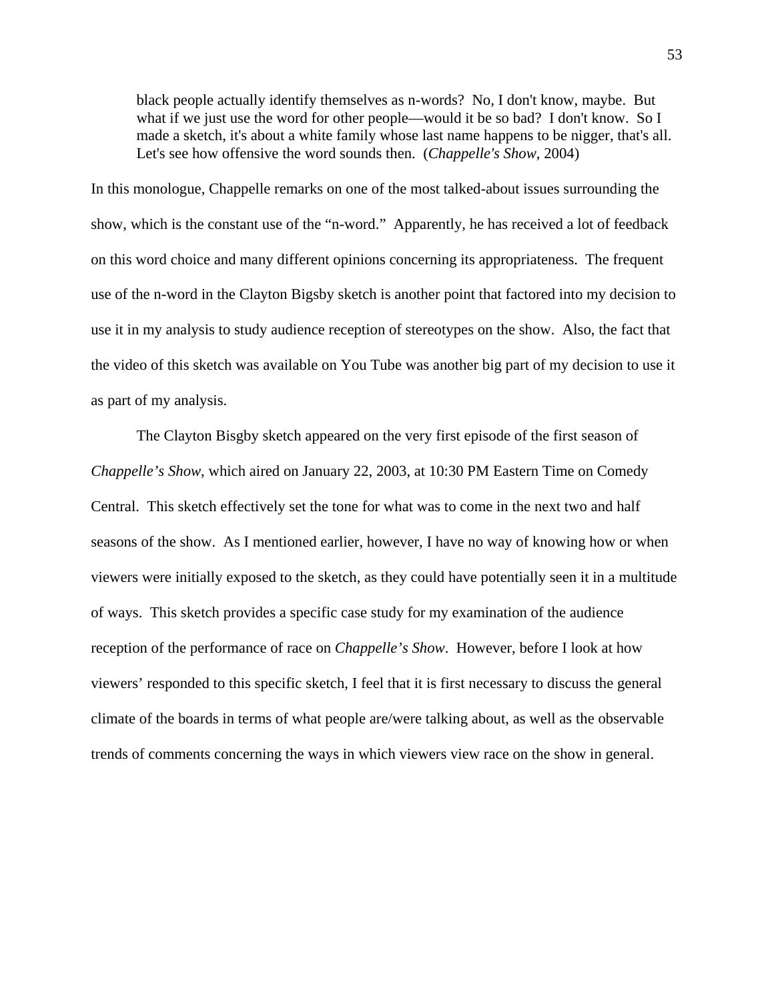black people actually identify themselves as n-words? No, I don't know, maybe. But what if we just use the word for other people—would it be so bad? I don't know. So I made a sketch, it's about a white family whose last name happens to be nigger, that's all. Let's see how offensive the word sounds then. (*Chappelle's Show*, 2004)

In this monologue, Chappelle remarks on one of the most talked-about issues surrounding the show, which is the constant use of the "n-word." Apparently, he has received a lot of feedback on this word choice and many different opinions concerning its appropriateness. The frequent use of the n-word in the Clayton Bigsby sketch is another point that factored into my decision to use it in my analysis to study audience reception of stereotypes on the show. Also, the fact that the video of this sketch was available on You Tube was another big part of my decision to use it as part of my analysis.

The Clayton Bisgby sketch appeared on the very first episode of the first season of *Chappelle's Show*, which aired on January 22, 2003, at 10:30 PM Eastern Time on Comedy Central. This sketch effectively set the tone for what was to come in the next two and half seasons of the show. As I mentioned earlier, however, I have no way of knowing how or when viewers were initially exposed to the sketch, as they could have potentially seen it in a multitude of ways. This sketch provides a specific case study for my examination of the audience reception of the performance of race on *Chappelle's Show*. However, before I look at how viewers' responded to this specific sketch, I feel that it is first necessary to discuss the general climate of the boards in terms of what people are/were talking about, as well as the observable trends of comments concerning the ways in which viewers view race on the show in general.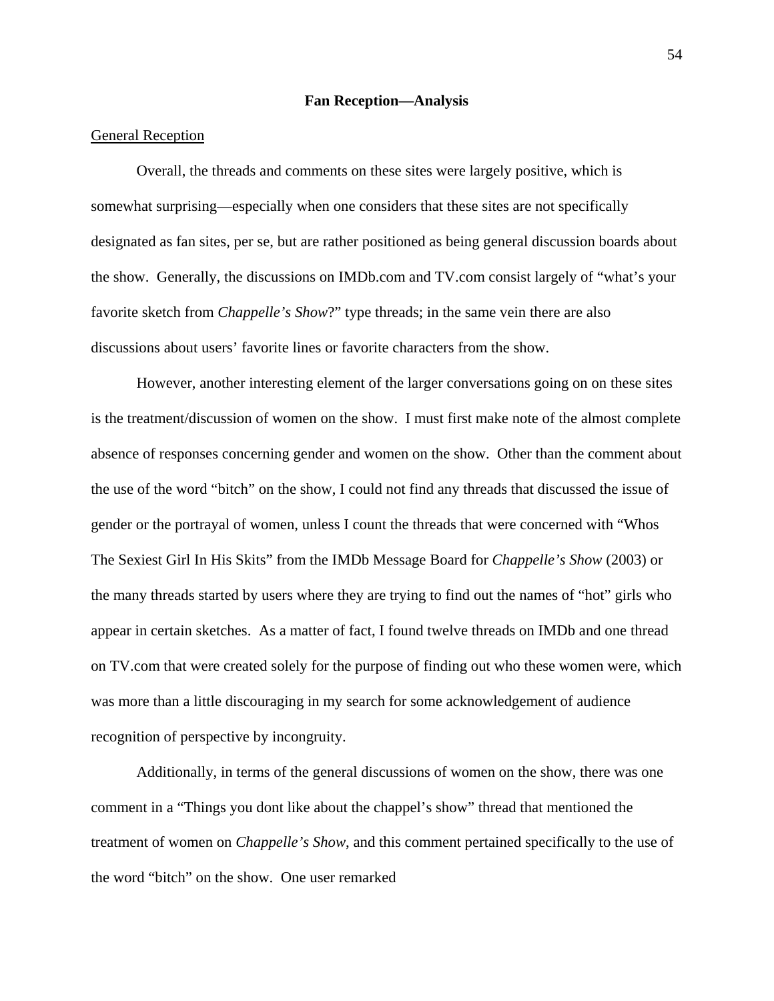#### **Fan Reception—Analysis**

# General Reception

Overall, the threads and comments on these sites were largely positive, which is somewhat surprising—especially when one considers that these sites are not specifically designated as fan sites, per se, but are rather positioned as being general discussion boards about the show. Generally, the discussions on IMDb.com and TV.com consist largely of "what's your favorite sketch from *Chappelle's Show*?" type threads; in the same vein there are also discussions about users' favorite lines or favorite characters from the show.

However, another interesting element of the larger conversations going on on these sites is the treatment/discussion of women on the show. I must first make note of the almost complete absence of responses concerning gender and women on the show. Other than the comment about the use of the word "bitch" on the show, I could not find any threads that discussed the issue of gender or the portrayal of women, unless I count the threads that were concerned with "Whos The Sexiest Girl In His Skits" from the IMDb Message Board for *Chappelle's Show* (2003) or the many threads started by users where they are trying to find out the names of "hot" girls who appear in certain sketches. As a matter of fact, I found twelve threads on IMDb and one thread on TV.com that were created solely for the purpose of finding out who these women were, which was more than a little discouraging in my search for some acknowledgement of audience recognition of perspective by incongruity.

Additionally, in terms of the general discussions of women on the show, there was one comment in a "Things you dont like about the chappel's show" thread that mentioned the treatment of women on *Chappelle's Show*, and this comment pertained specifically to the use of the word "bitch" on the show. One user remarked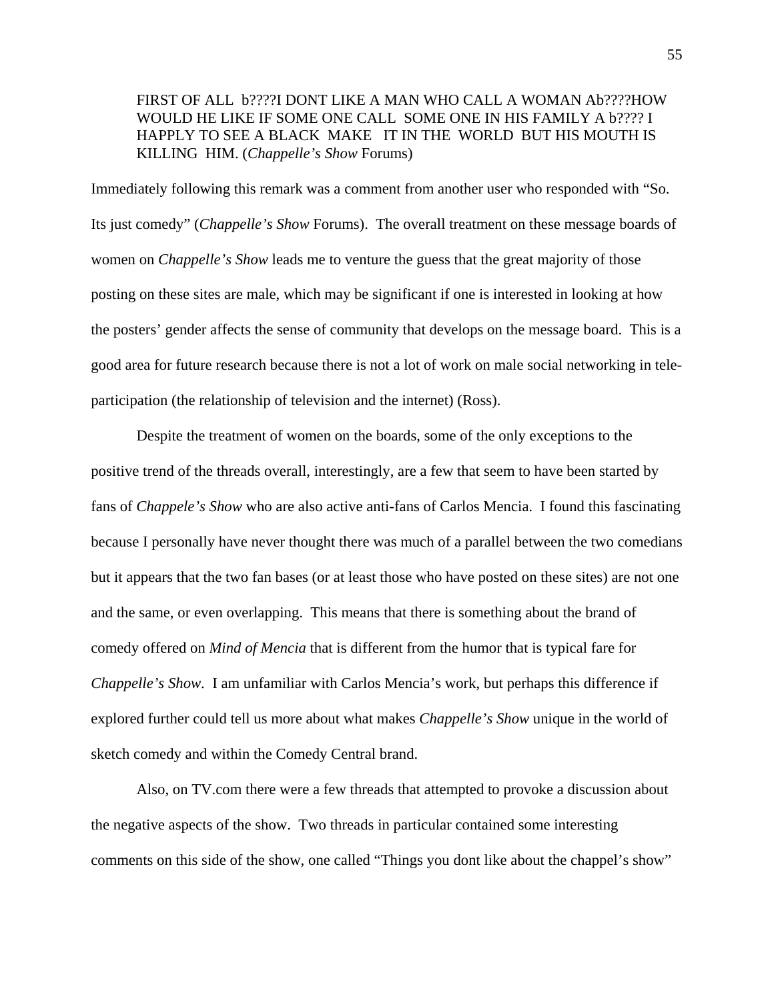# FIRST OF ALL b????I DONT LIKE A MAN WHO CALL A WOMAN Ab????HOW WOULD HE LIKE IF SOME ONE CALL SOME ONE IN HIS FAMILY A b???? I HAPPLY TO SEE A BLACK MAKE IT IN THE WORLD BUT HIS MOUTH IS KILLING HIM. (*Chappelle's Show* Forums)

Immediately following this remark was a comment from another user who responded with "So. Its just comedy" (*Chappelle's Show* Forums). The overall treatment on these message boards of women on *Chappelle's Show* leads me to venture the guess that the great majority of those posting on these sites are male, which may be significant if one is interested in looking at how the posters' gender affects the sense of community that develops on the message board. This is a good area for future research because there is not a lot of work on male social networking in teleparticipation (the relationship of television and the internet) (Ross).

Despite the treatment of women on the boards, some of the only exceptions to the positive trend of the threads overall, interestingly, are a few that seem to have been started by fans of *Chappele's Show* who are also active anti-fans of Carlos Mencia. I found this fascinating because I personally have never thought there was much of a parallel between the two comedians but it appears that the two fan bases (or at least those who have posted on these sites) are not one and the same, or even overlapping. This means that there is something about the brand of comedy offered on *Mind of Mencia* that is different from the humor that is typical fare for *Chappelle's Show*. I am unfamiliar with Carlos Mencia's work, but perhaps this difference if explored further could tell us more about what makes *Chappelle's Show* unique in the world of sketch comedy and within the Comedy Central brand.

Also, on TV.com there were a few threads that attempted to provoke a discussion about the negative aspects of the show. Two threads in particular contained some interesting comments on this side of the show, one called "Things you dont like about the chappel's show"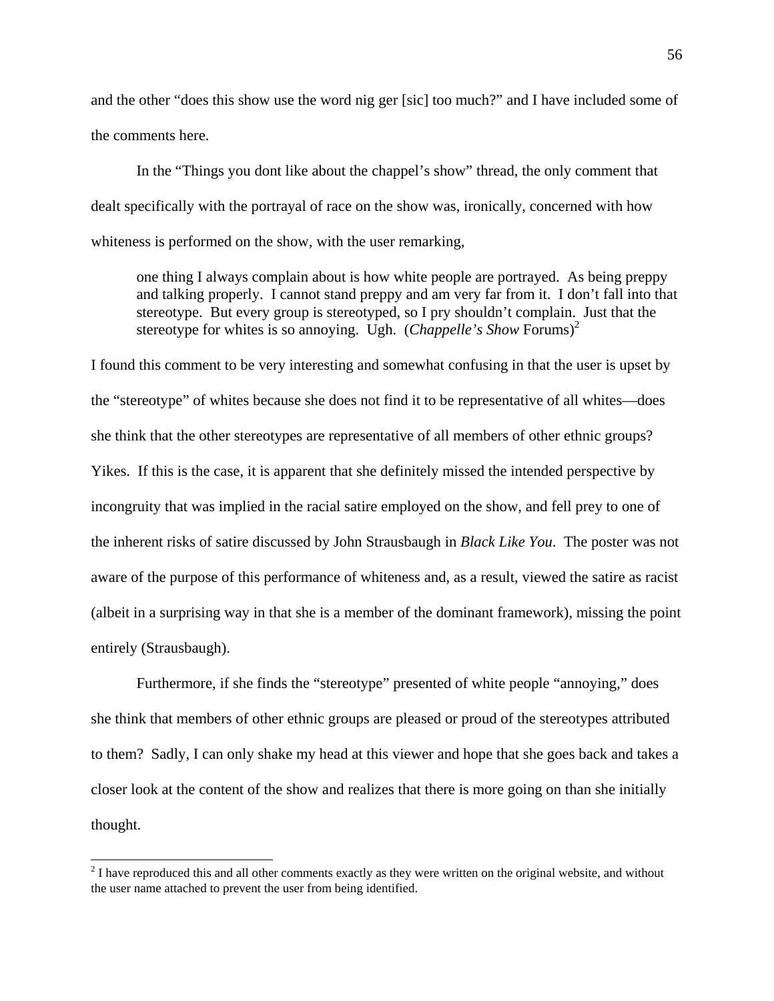and the other "does this show use the word nig ger [sic] too much?" and I have included some of the comments here.

In the "Things you dont like about the chappel's show" thread, the only comment that dealt specifically with the portrayal of race on the show was, ironically, concerned with how whiteness is performed on the show, with the user remarking,

one thing I always complain about is how white people are portrayed. As being preppy and talking properly. I cannot stand preppy and am very far from it. I don't fall into that stereotype. But every group is stereotyped, so I pry shouldn't complain. Just that the stereotype for whites is so annoying. Ugh. *(Chappelle's Show Forums)<sup>2</sup>* 

I found this comment to be very interesting and somewhat confusing in that the user is upset by the "stereotype" of whites because she does not find it to be representative of all whites—does she think that the other stereotypes are representative of all members of other ethnic groups? Yikes. If this is the case, it is apparent that she definitely missed the intended perspective by incongruity that was implied in the racial satire employed on the show, and fell prey to one of the inherent risks of satire discussed by John Strausbaugh in *Black Like You*. The poster was not aware of the purpose of this performance of whiteness and, as a result, viewed the satire as racist (albeit in a surprising way in that she is a member of the dominant framework), missing the point entirely (Strausbaugh).

Furthermore, if she finds the "stereotype" presented of white people "annoying," does she think that members of other ethnic groups are pleased or proud of the stereotypes attributed to them? Sadly, I can only shake my head at this viewer and hope that she goes back and takes a closer look at the content of the show and realizes that there is more going on than she initially thought.

 $\overline{a}$ 

 $2<sup>2</sup>$  I have reproduced this and all other comments exactly as they were written on the original website, and without the user name attached to prevent the user from being identified.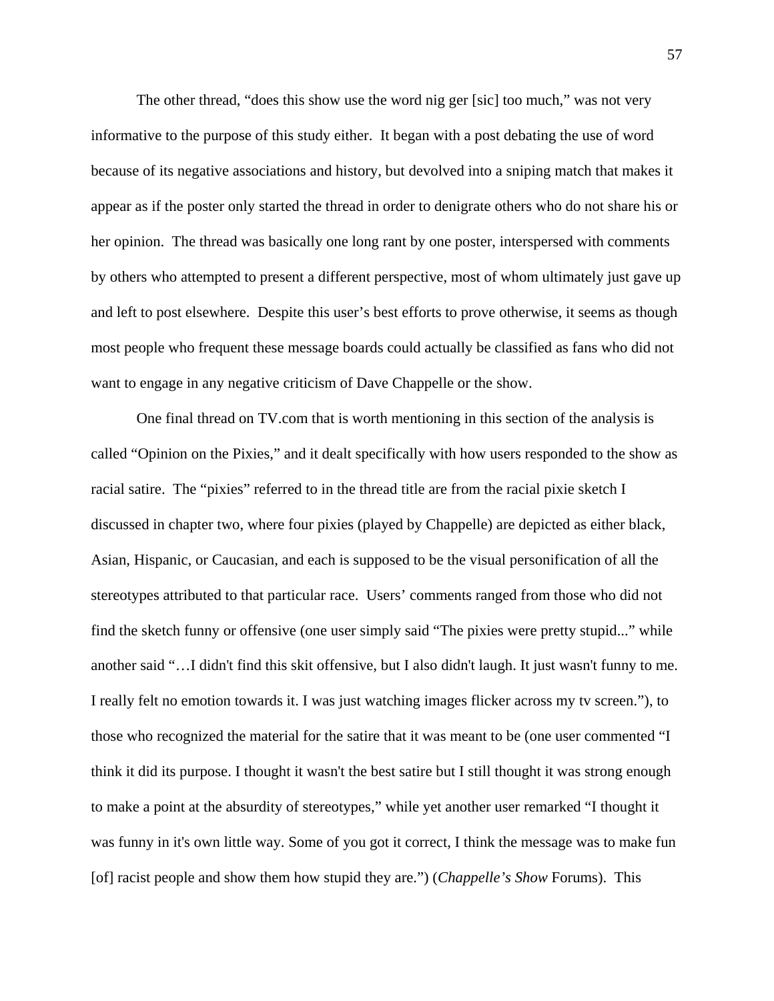The other thread, "does this show use the word nig ger [sic] too much," was not very informative to the purpose of this study either. It began with a post debating the use of word because of its negative associations and history, but devolved into a sniping match that makes it appear as if the poster only started the thread in order to denigrate others who do not share his or her opinion. The thread was basically one long rant by one poster, interspersed with comments by others who attempted to present a different perspective, most of whom ultimately just gave up and left to post elsewhere. Despite this user's best efforts to prove otherwise, it seems as though most people who frequent these message boards could actually be classified as fans who did not want to engage in any negative criticism of Dave Chappelle or the show.

One final thread on TV.com that is worth mentioning in this section of the analysis is called "Opinion on the Pixies," and it dealt specifically with how users responded to the show as racial satire. The "pixies" referred to in the thread title are from the racial pixie sketch I discussed in chapter two, where four pixies (played by Chappelle) are depicted as either black, Asian, Hispanic, or Caucasian, and each is supposed to be the visual personification of all the stereotypes attributed to that particular race. Users' comments ranged from those who did not find the sketch funny or offensive (one user simply said "The pixies were pretty stupid..." while another said "…I didn't find this skit offensive, but I also didn't laugh. It just wasn't funny to me. I really felt no emotion towards it. I was just watching images flicker across my tv screen."), to those who recognized the material for the satire that it was meant to be (one user commented "I think it did its purpose. I thought it wasn't the best satire but I still thought it was strong enough to make a point at the absurdity of stereotypes," while yet another user remarked "I thought it was funny in it's own little way. Some of you got it correct, I think the message was to make fun [of] racist people and show them how stupid they are.") (*Chappelle's Show* Forums). This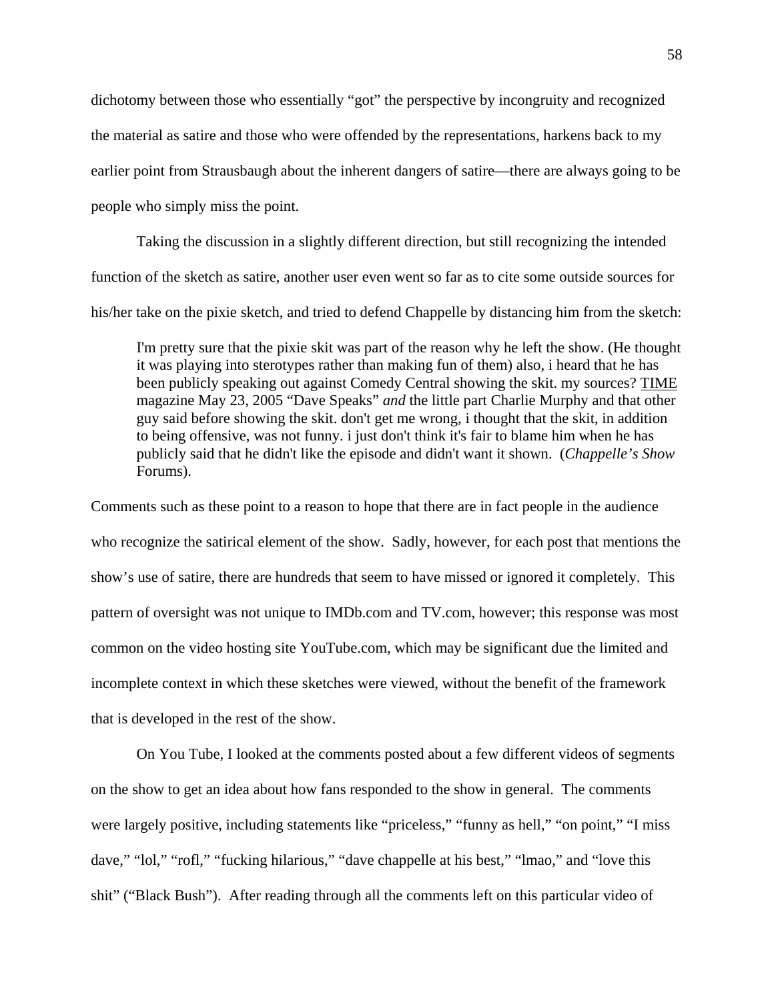dichotomy between those who essentially "got" the perspective by incongruity and recognized the material as satire and those who were offended by the representations, harkens back to my earlier point from Strausbaugh about the inherent dangers of satire—there are always going to be people who simply miss the point.

Taking the discussion in a slightly different direction, but still recognizing the intended function of the sketch as satire, another user even went so far as to cite some outside sources for his/her take on the pixie sketch, and tried to defend Chappelle by distancing him from the sketch:

I'm pretty sure that the pixie skit was part of the reason why he left the show. (He thought it was playing into sterotypes rather than making fun of them) also, i heard that he has been publicly speaking out against Comedy Central showing the skit. my sources? TIME magazine May 23, 2005 "Dave Speaks" *and* the little part Charlie Murphy and that other guy said before showing the skit. don't get me wrong, i thought that the skit, in addition to being offensive, was not funny. i just don't think it's fair to blame him when he has publicly said that he didn't like the episode and didn't want it shown. (*Chappelle's Show* Forums).

Comments such as these point to a reason to hope that there are in fact people in the audience who recognize the satirical element of the show. Sadly, however, for each post that mentions the show's use of satire, there are hundreds that seem to have missed or ignored it completely. This pattern of oversight was not unique to IMDb.com and TV.com, however; this response was most common on the video hosting site YouTube.com, which may be significant due the limited and incomplete context in which these sketches were viewed, without the benefit of the framework that is developed in the rest of the show.

 On You Tube, I looked at the comments posted about a few different videos of segments on the show to get an idea about how fans responded to the show in general. The comments were largely positive, including statements like "priceless," "funny as hell," "on point," "I miss dave," "lol," "rofl," "fucking hilarious," "dave chappelle at his best," "lmao," and "love this shit" ("Black Bush"). After reading through all the comments left on this particular video of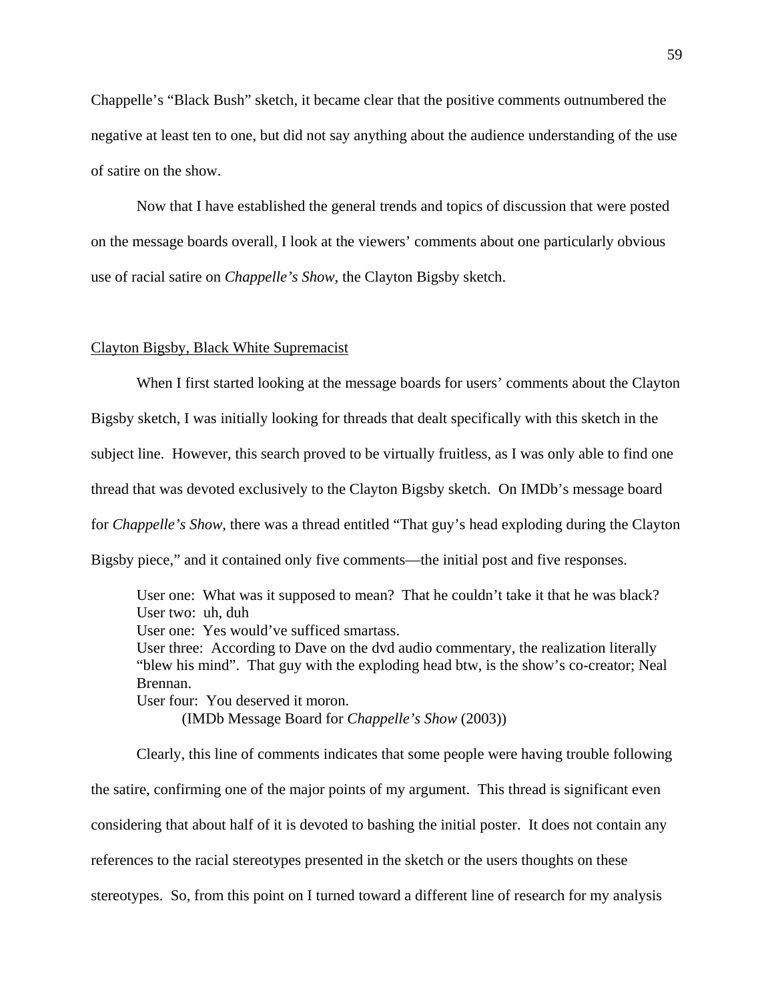Chappelle's "Black Bush" sketch, it became clear that the positive comments outnumbered the negative at least ten to one, but did not say anything about the audience understanding of the use of satire on the show.

 Now that I have established the general trends and topics of discussion that were posted on the message boards overall, I look at the viewers' comments about one particularly obvious use of racial satire on *Chappelle's Show*, the Clayton Bigsby sketch.

# Clayton Bigsby, Black White Supremacist

When I first started looking at the message boards for users' comments about the Clayton Bigsby sketch, I was initially looking for threads that dealt specifically with this sketch in the subject line. However, this search proved to be virtually fruitless, as I was only able to find one thread that was devoted exclusively to the Clayton Bigsby sketch. On IMDb's message board for *Chappelle's Show*, there was a thread entitled "That guy's head exploding during the Clayton Bigsby piece," and it contained only five comments—the initial post and five responses.

User one: What was it supposed to mean? That he couldn't take it that he was black? User two: uh, duh

User one: Yes would've sufficed smartass.

User three: According to Dave on the dvd audio commentary, the realization literally "blew his mind". That guy with the exploding head btw, is the show's co-creator; Neal Brennan.

User four: You deserved it moron.

(IMDb Message Board for *Chappelle's Show* (2003))

Clearly, this line of comments indicates that some people were having trouble following the satire, confirming one of the major points of my argument. This thread is significant even considering that about half of it is devoted to bashing the initial poster. It does not contain any references to the racial stereotypes presented in the sketch or the users thoughts on these stereotypes. So, from this point on I turned toward a different line of research for my analysis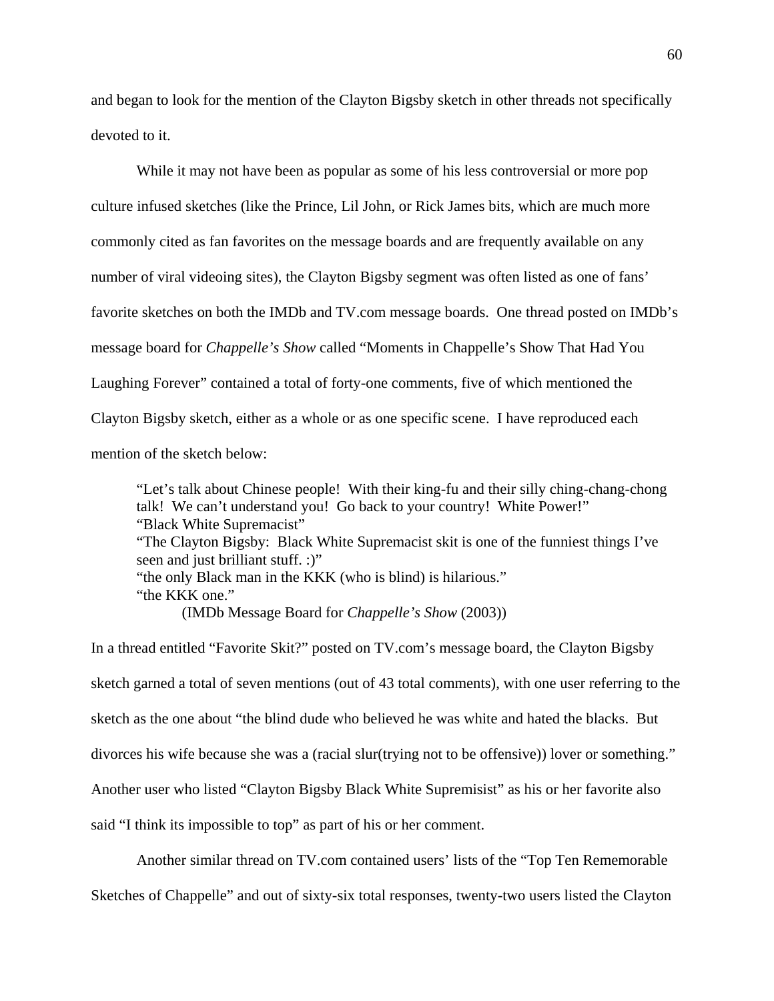and began to look for the mention of the Clayton Bigsby sketch in other threads not specifically devoted to it.

While it may not have been as popular as some of his less controversial or more pop culture infused sketches (like the Prince, Lil John, or Rick James bits, which are much more commonly cited as fan favorites on the message boards and are frequently available on any number of viral videoing sites), the Clayton Bigsby segment was often listed as one of fans' favorite sketches on both the IMDb and TV.com message boards. One thread posted on IMDb's message board for *Chappelle's Show* called "Moments in Chappelle's Show That Had You Laughing Forever" contained a total of forty-one comments, five of which mentioned the Clayton Bigsby sketch, either as a whole or as one specific scene. I have reproduced each mention of the sketch below:

"Let's talk about Chinese people! With their king-fu and their silly ching-chang-chong talk! We can't understand you! Go back to your country! White Power!" "Black White Supremacist" "The Clayton Bigsby: Black White Supremacist skit is one of the funniest things I've seen and just brilliant stuff. :)" "the only Black man in the KKK (who is blind) is hilarious." "the KKK one." (IMDb Message Board for *Chappelle's Show* (2003))

In a thread entitled "Favorite Skit?" posted on TV.com's message board, the Clayton Bigsby sketch garned a total of seven mentions (out of 43 total comments), with one user referring to the sketch as the one about "the blind dude who believed he was white and hated the blacks. But divorces his wife because she was a (racial slur(trying not to be offensive)) lover or something." Another user who listed "Clayton Bigsby Black White Supremisist" as his or her favorite also said "I think its impossible to top" as part of his or her comment.

Another similar thread on TV.com contained users' lists of the "Top Ten Rememorable

Sketches of Chappelle" and out of sixty-six total responses, twenty-two users listed the Clayton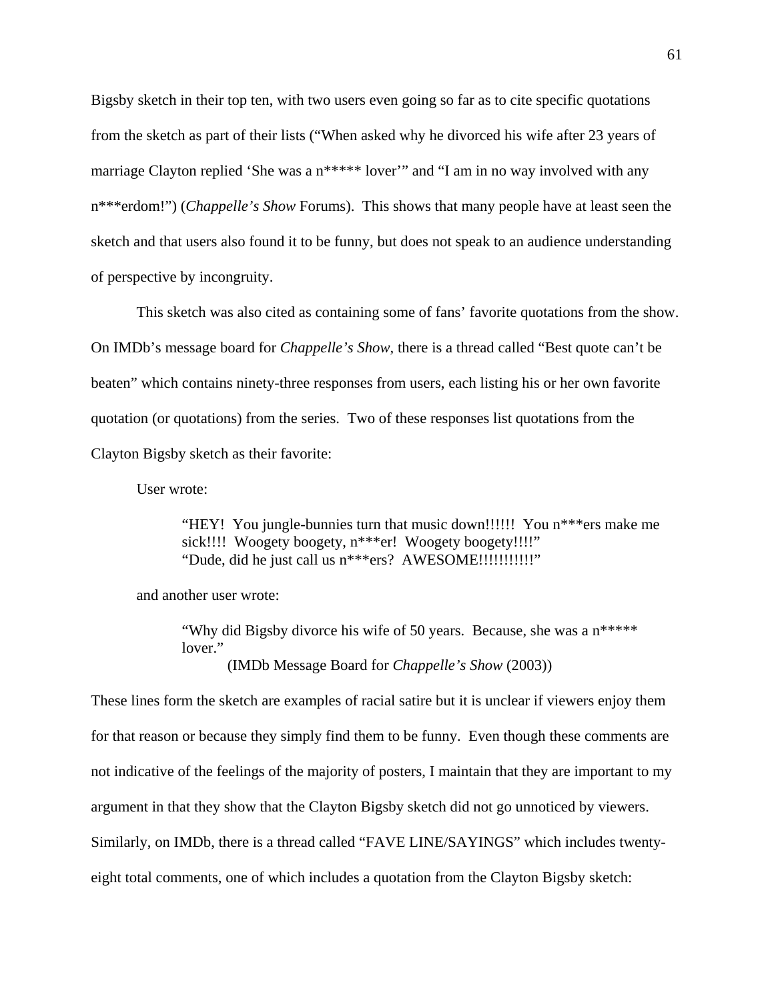Bigsby sketch in their top ten, with two users even going so far as to cite specific quotations from the sketch as part of their lists ("When asked why he divorced his wife after 23 years of marriage Clayton replied 'She was a n\*\*\*\*\* lover'" and "I am in no way involved with any n\*\*\*erdom!") (*Chappelle's Show* Forums). This shows that many people have at least seen the sketch and that users also found it to be funny, but does not speak to an audience understanding of perspective by incongruity.

This sketch was also cited as containing some of fans' favorite quotations from the show. On IMDb's message board for *Chappelle's Show*, there is a thread called "Best quote can't be beaten" which contains ninety-three responses from users, each listing his or her own favorite quotation (or quotations) from the series. Two of these responses list quotations from the Clayton Bigsby sketch as their favorite:

User wrote:

"HEY! You jungle-bunnies turn that music down!!!!!! You n\*\*\*ers make me sick!!!! Woogety boogety, n\*\*\*er! Woogety boogety!!!!" "Dude, did he just call us n\*\*\*ers? AWESOME!!!!!!!!!!!!!!

and another user wrote:

"Why did Bigsby divorce his wife of 50 years. Because, she was a n\*\*\*\*\* lover." (IMDb Message Board for *Chappelle's Show* (2003))

These lines form the sketch are examples of racial satire but it is unclear if viewers enjoy them for that reason or because they simply find them to be funny. Even though these comments are not indicative of the feelings of the majority of posters, I maintain that they are important to my argument in that they show that the Clayton Bigsby sketch did not go unnoticed by viewers. Similarly, on IMDb, there is a thread called "FAVE LINE/SAYINGS" which includes twentyeight total comments, one of which includes a quotation from the Clayton Bigsby sketch: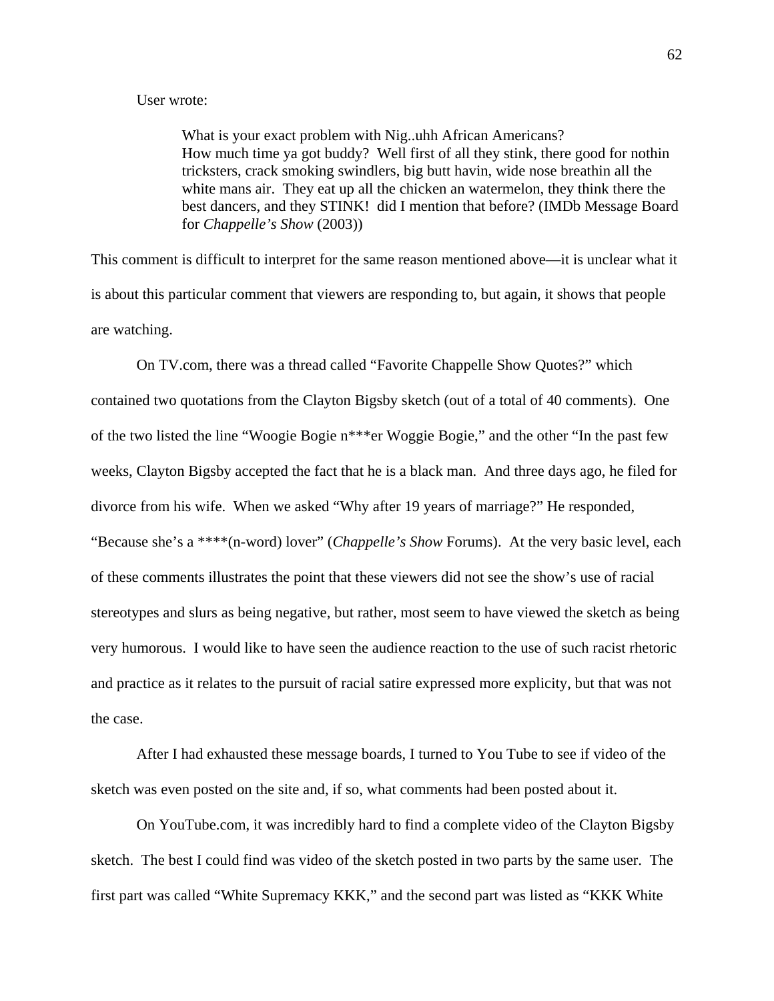# User wrote:

 What is your exact problem with Nig..uhh African Americans? How much time ya got buddy? Well first of all they stink, there good for nothin tricksters, crack smoking swindlers, big butt havin, wide nose breathin all the white mans air. They eat up all the chicken an watermelon, they think there the best dancers, and they STINK! did I mention that before? (IMDb Message Board for *Chappelle's Show* (2003))

This comment is difficult to interpret for the same reason mentioned above—it is unclear what it is about this particular comment that viewers are responding to, but again, it shows that people are watching.

On TV.com, there was a thread called "Favorite Chappelle Show Quotes?" which contained two quotations from the Clayton Bigsby sketch (out of a total of 40 comments). One of the two listed the line "Woogie Bogie n\*\*\*er Woggie Bogie," and the other "In the past few weeks, Clayton Bigsby accepted the fact that he is a black man. And three days ago, he filed for divorce from his wife. When we asked "Why after 19 years of marriage?" He responded, "Because she's a \*\*\*\*(n-word) lover" (*Chappelle's Show* Forums). At the very basic level, each of these comments illustrates the point that these viewers did not see the show's use of racial stereotypes and slurs as being negative, but rather, most seem to have viewed the sketch as being very humorous. I would like to have seen the audience reaction to the use of such racist rhetoric and practice as it relates to the pursuit of racial satire expressed more explicity, but that was not the case.

After I had exhausted these message boards, I turned to You Tube to see if video of the sketch was even posted on the site and, if so, what comments had been posted about it.

 On YouTube.com, it was incredibly hard to find a complete video of the Clayton Bigsby sketch. The best I could find was video of the sketch posted in two parts by the same user. The first part was called "White Supremacy KKK," and the second part was listed as "KKK White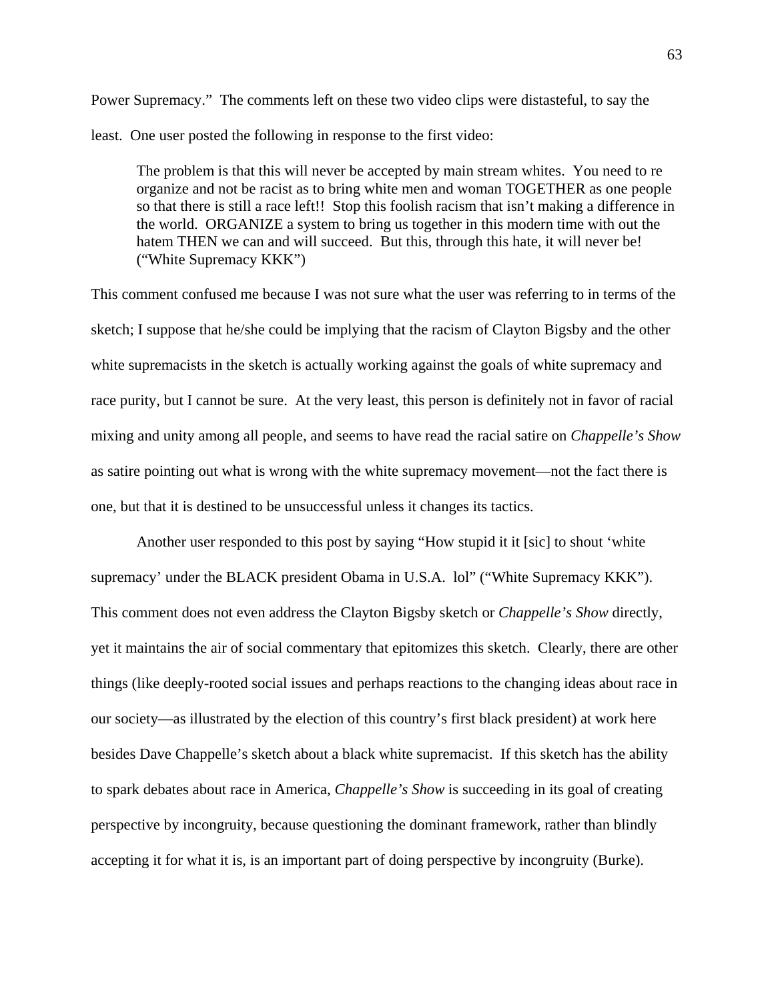Power Supremacy." The comments left on these two video clips were distasteful, to say the least. One user posted the following in response to the first video:

The problem is that this will never be accepted by main stream whites. You need to re organize and not be racist as to bring white men and woman TOGETHER as one people so that there is still a race left!! Stop this foolish racism that isn't making a difference in the world. ORGANIZE a system to bring us together in this modern time with out the hatem THEN we can and will succeed. But this, through this hate, it will never be! ("White Supremacy KKK")

This comment confused me because I was not sure what the user was referring to in terms of the sketch; I suppose that he/she could be implying that the racism of Clayton Bigsby and the other white supremacists in the sketch is actually working against the goals of white supremacy and race purity, but I cannot be sure. At the very least, this person is definitely not in favor of racial mixing and unity among all people, and seems to have read the racial satire on *Chappelle's Show* as satire pointing out what is wrong with the white supremacy movement—not the fact there is one, but that it is destined to be unsuccessful unless it changes its tactics.

Another user responded to this post by saying "How stupid it it [sic] to shout 'white supremacy' under the BLACK president Obama in U.S.A. lol" ("White Supremacy KKK"). This comment does not even address the Clayton Bigsby sketch or *Chappelle's Show* directly, yet it maintains the air of social commentary that epitomizes this sketch. Clearly, there are other things (like deeply-rooted social issues and perhaps reactions to the changing ideas about race in our society—as illustrated by the election of this country's first black president) at work here besides Dave Chappelle's sketch about a black white supremacist. If this sketch has the ability to spark debates about race in America, *Chappelle's Show* is succeeding in its goal of creating perspective by incongruity, because questioning the dominant framework, rather than blindly accepting it for what it is, is an important part of doing perspective by incongruity (Burke).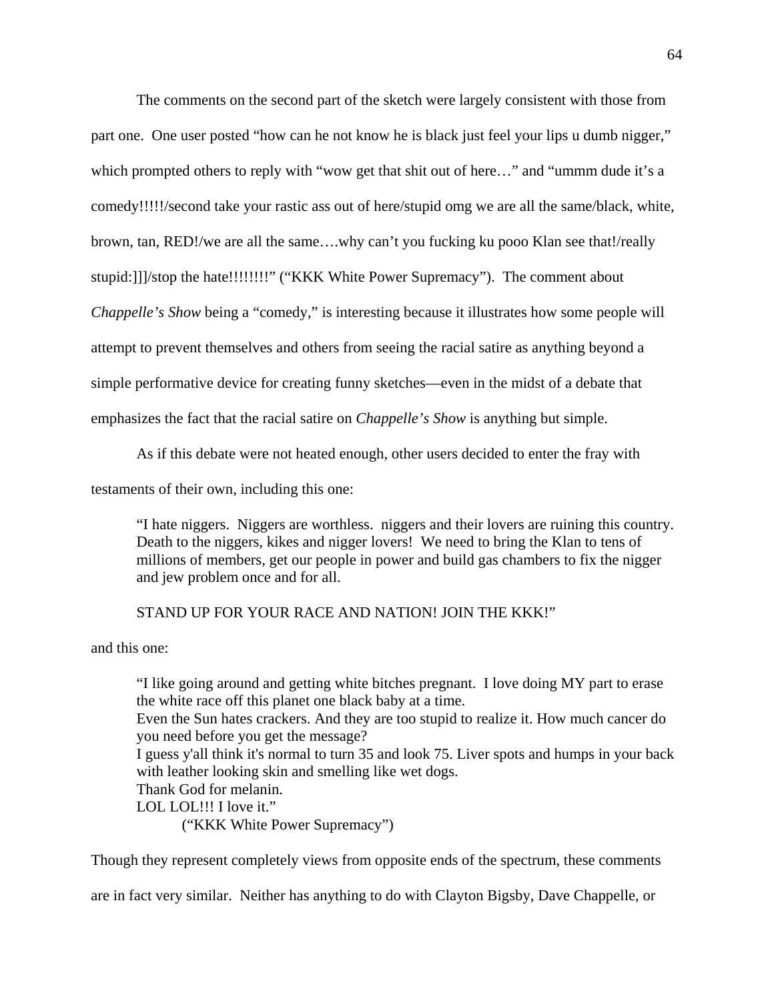The comments on the second part of the sketch were largely consistent with those from part one. One user posted "how can he not know he is black just feel your lips u dumb nigger," which prompted others to reply with "wow get that shit out of here..." and "ummm dude it's a comedy!!!!!/second take your rastic ass out of here/stupid omg we are all the same/black, white, brown, tan, RED!/we are all the same….why can't you fucking ku pooo Klan see that!/really stupid:]]]/stop the hate!!!!!!!!!" ("KKK White Power Supremacy"). The comment about *Chappelle's Show* being a "comedy," is interesting because it illustrates how some people will attempt to prevent themselves and others from seeing the racial satire as anything beyond a simple performative device for creating funny sketches—even in the midst of a debate that emphasizes the fact that the racial satire on *Chappelle's Show* is anything but simple.

As if this debate were not heated enough, other users decided to enter the fray with

testaments of their own, including this one:

"I hate niggers. Niggers are worthless. niggers and their lovers are ruining this country. Death to the niggers, kikes and nigger lovers! We need to bring the Klan to tens of millions of members, get our people in power and build gas chambers to fix the nigger and jew problem once and for all.

# STAND UP FOR YOUR RACE AND NATION! JOIN THE KKK!"

and this one:

"I like going around and getting white bitches pregnant. I love doing MY part to erase the white race off this planet one black baby at a time. Even the Sun hates crackers. And they are too stupid to realize it. How much cancer do you need before you get the message? I guess y'all think it's normal to turn 35 and look 75. Liver spots and humps in your back with leather looking skin and smelling like wet dogs. Thank God for melanin. LOL LOL!!! I love it." ("KKK White Power Supremacy")

Though they represent completely views from opposite ends of the spectrum, these comments

are in fact very similar. Neither has anything to do with Clayton Bigsby, Dave Chappelle, or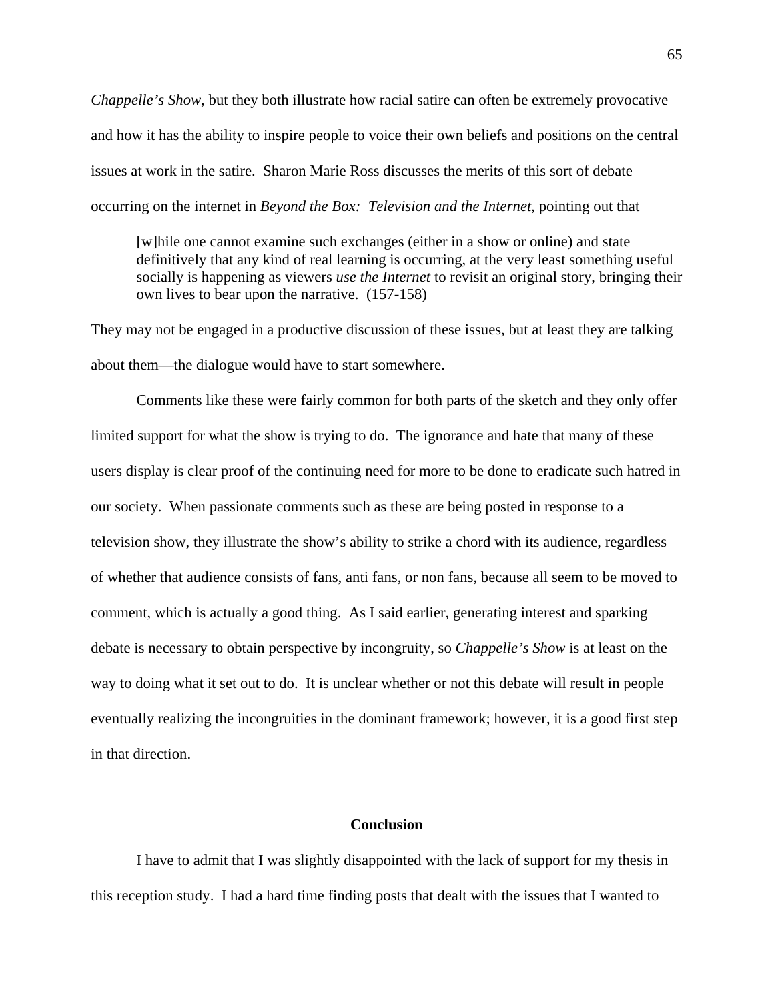*Chappelle's Show*, but they both illustrate how racial satire can often be extremely provocative and how it has the ability to inspire people to voice their own beliefs and positions on the central issues at work in the satire. Sharon Marie Ross discusses the merits of this sort of debate occurring on the internet in *Beyond the Box: Television and the Internet*, pointing out that

[w]hile one cannot examine such exchanges (either in a show or online) and state definitively that any kind of real learning is occurring, at the very least something useful socially is happening as viewers *use the Internet* to revisit an original story, bringing their own lives to bear upon the narrative. (157-158)

They may not be engaged in a productive discussion of these issues, but at least they are talking about them—the dialogue would have to start somewhere.

Comments like these were fairly common for both parts of the sketch and they only offer limited support for what the show is trying to do. The ignorance and hate that many of these users display is clear proof of the continuing need for more to be done to eradicate such hatred in our society. When passionate comments such as these are being posted in response to a television show, they illustrate the show's ability to strike a chord with its audience, regardless of whether that audience consists of fans, anti fans, or non fans, because all seem to be moved to comment, which is actually a good thing. As I said earlier, generating interest and sparking debate is necessary to obtain perspective by incongruity, so *Chappelle's Show* is at least on the way to doing what it set out to do. It is unclear whether or not this debate will result in people eventually realizing the incongruities in the dominant framework; however, it is a good first step in that direction.

### **Conclusion**

I have to admit that I was slightly disappointed with the lack of support for my thesis in this reception study. I had a hard time finding posts that dealt with the issues that I wanted to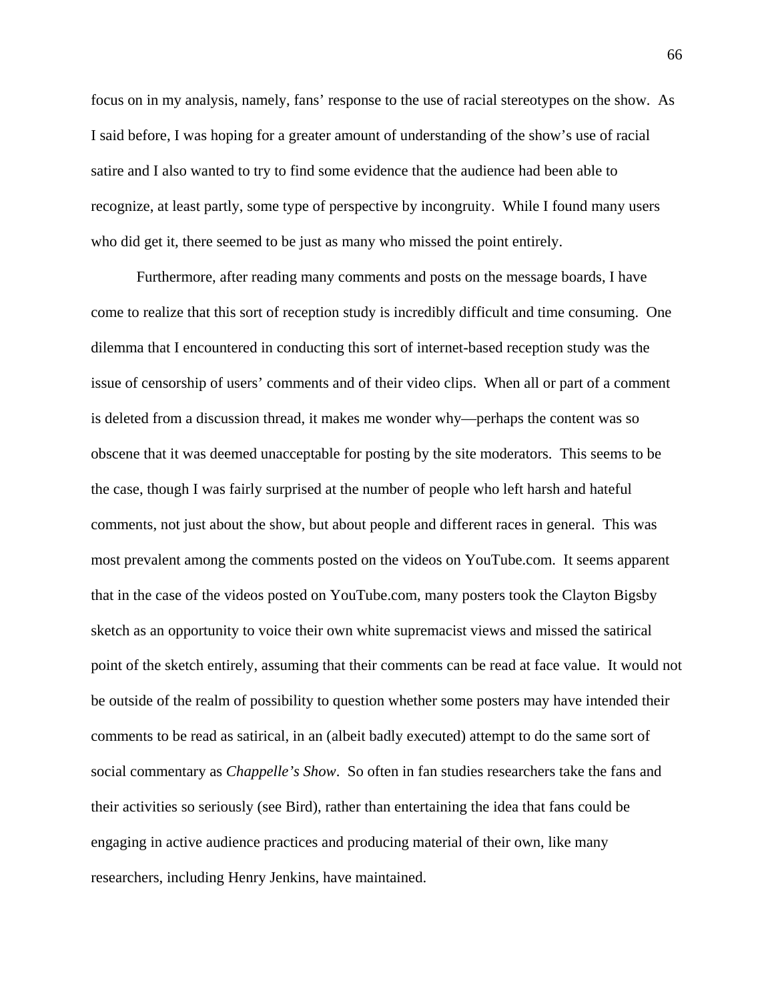focus on in my analysis, namely, fans' response to the use of racial stereotypes on the show. As I said before, I was hoping for a greater amount of understanding of the show's use of racial satire and I also wanted to try to find some evidence that the audience had been able to recognize, at least partly, some type of perspective by incongruity. While I found many users who did get it, there seemed to be just as many who missed the point entirely.

Furthermore, after reading many comments and posts on the message boards, I have come to realize that this sort of reception study is incredibly difficult and time consuming. One dilemma that I encountered in conducting this sort of internet-based reception study was the issue of censorship of users' comments and of their video clips. When all or part of a comment is deleted from a discussion thread, it makes me wonder why—perhaps the content was so obscene that it was deemed unacceptable for posting by the site moderators. This seems to be the case, though I was fairly surprised at the number of people who left harsh and hateful comments, not just about the show, but about people and different races in general. This was most prevalent among the comments posted on the videos on YouTube.com. It seems apparent that in the case of the videos posted on YouTube.com, many posters took the Clayton Bigsby sketch as an opportunity to voice their own white supremacist views and missed the satirical point of the sketch entirely, assuming that their comments can be read at face value. It would not be outside of the realm of possibility to question whether some posters may have intended their comments to be read as satirical, in an (albeit badly executed) attempt to do the same sort of social commentary as *Chappelle's Show*. So often in fan studies researchers take the fans and their activities so seriously (see Bird), rather than entertaining the idea that fans could be engaging in active audience practices and producing material of their own, like many researchers, including Henry Jenkins, have maintained.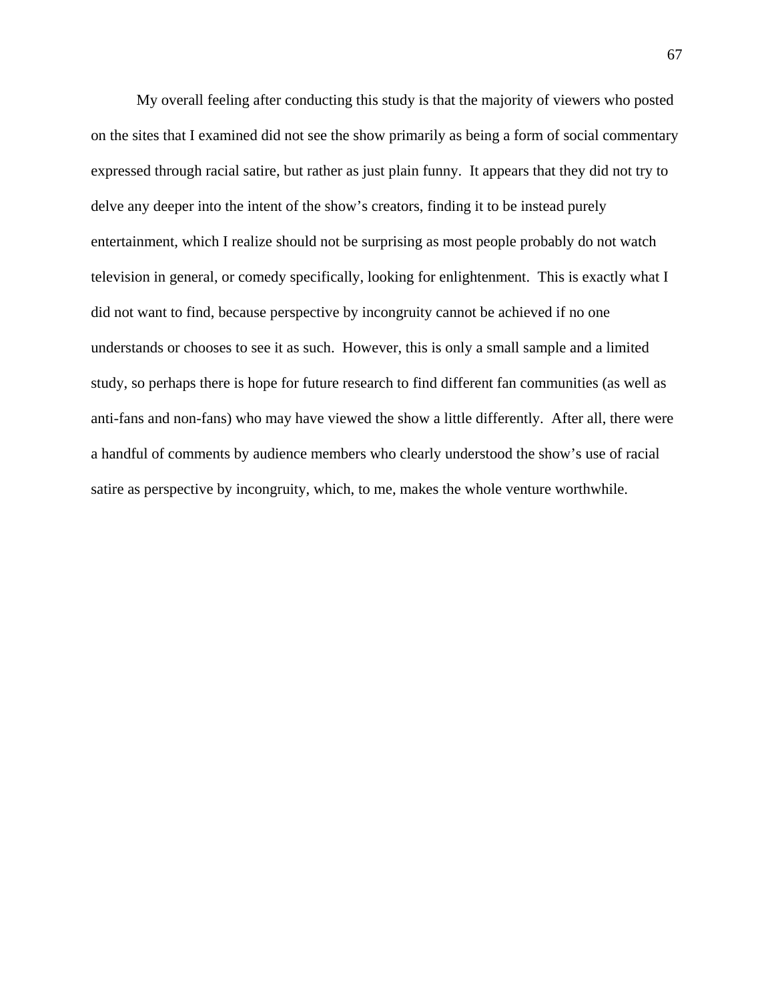My overall feeling after conducting this study is that the majority of viewers who posted on the sites that I examined did not see the show primarily as being a form of social commentary expressed through racial satire, but rather as just plain funny. It appears that they did not try to delve any deeper into the intent of the show's creators, finding it to be instead purely entertainment, which I realize should not be surprising as most people probably do not watch television in general, or comedy specifically, looking for enlightenment. This is exactly what I did not want to find, because perspective by incongruity cannot be achieved if no one understands or chooses to see it as such. However, this is only a small sample and a limited study, so perhaps there is hope for future research to find different fan communities (as well as anti-fans and non-fans) who may have viewed the show a little differently. After all, there were a handful of comments by audience members who clearly understood the show's use of racial satire as perspective by incongruity, which, to me, makes the whole venture worthwhile.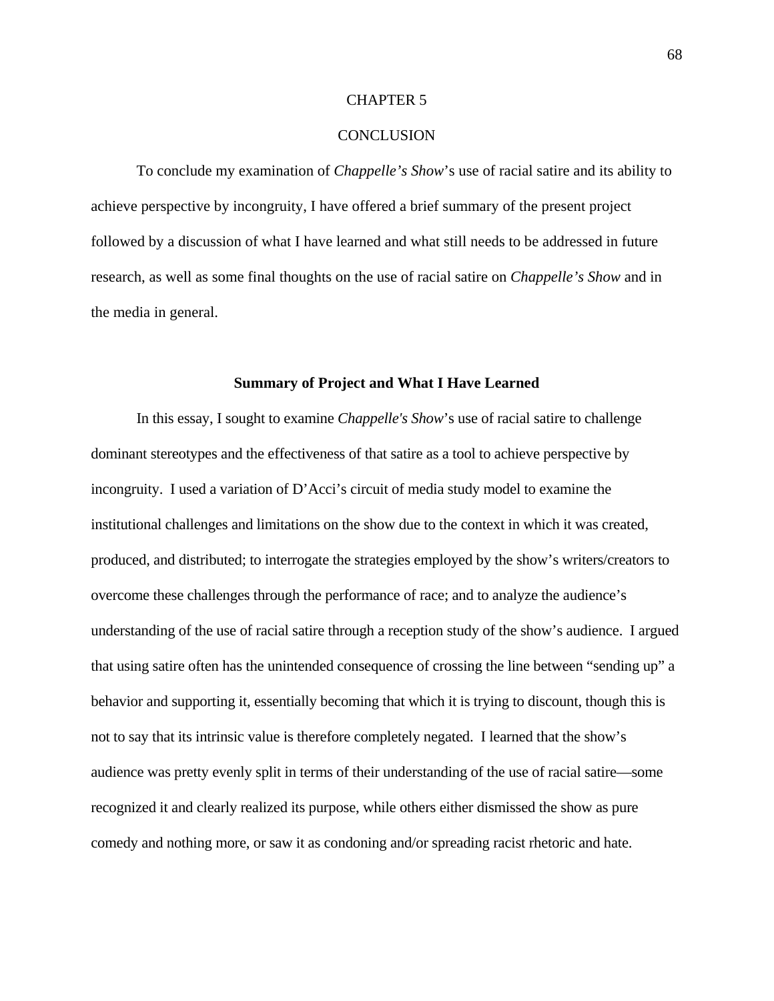## CHAPTER 5

### **CONCLUSION**

To conclude my examination of *Chappelle's Show*'s use of racial satire and its ability to achieve perspective by incongruity, I have offered a brief summary of the present project followed by a discussion of what I have learned and what still needs to be addressed in future research, as well as some final thoughts on the use of racial satire on *Chappelle's Show* and in the media in general.

### **Summary of Project and What I Have Learned**

In this essay, I sought to examine *Chappelle's Show*'s use of racial satire to challenge dominant stereotypes and the effectiveness of that satire as a tool to achieve perspective by incongruity. I used a variation of D'Acci's circuit of media study model to examine the institutional challenges and limitations on the show due to the context in which it was created, produced, and distributed; to interrogate the strategies employed by the show's writers/creators to overcome these challenges through the performance of race; and to analyze the audience's understanding of the use of racial satire through a reception study of the show's audience. I argued that using satire often has the unintended consequence of crossing the line between "sending up" a behavior and supporting it, essentially becoming that which it is trying to discount, though this is not to say that its intrinsic value is therefore completely negated. I learned that the show's audience was pretty evenly split in terms of their understanding of the use of racial satire—some recognized it and clearly realized its purpose, while others either dismissed the show as pure comedy and nothing more, or saw it as condoning and/or spreading racist rhetoric and hate.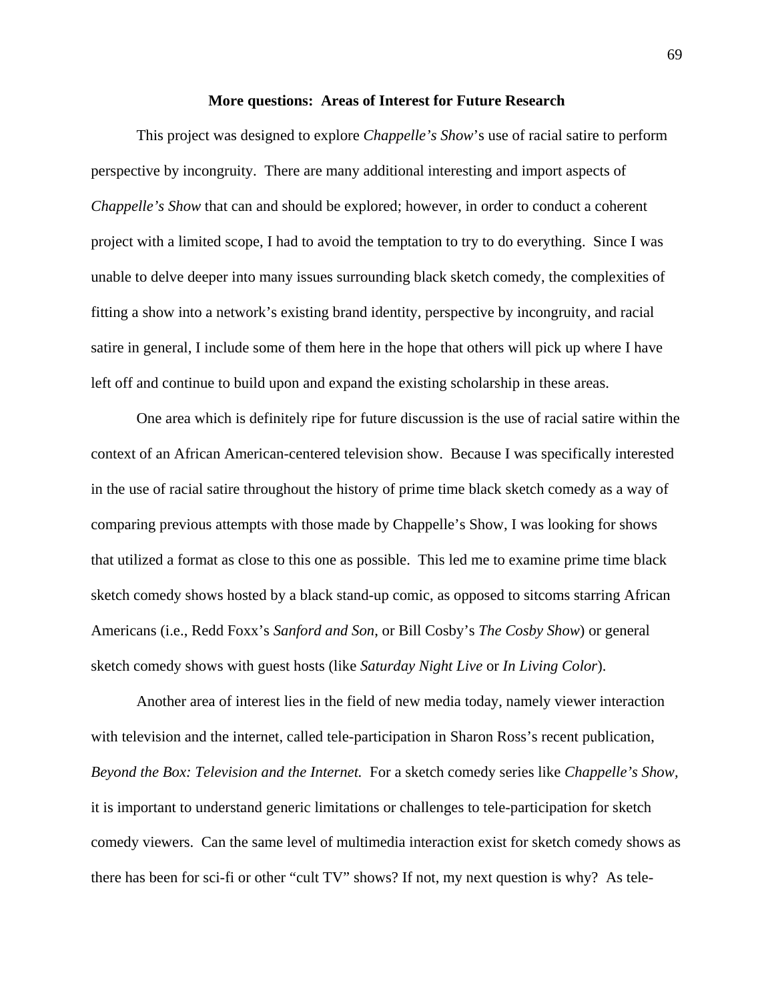#### **More questions: Areas of Interest for Future Research**

 This project was designed to explore *Chappelle's Show*'s use of racial satire to perform perspective by incongruity. There are many additional interesting and import aspects of *Chappelle's Show* that can and should be explored; however, in order to conduct a coherent project with a limited scope, I had to avoid the temptation to try to do everything. Since I was unable to delve deeper into many issues surrounding black sketch comedy, the complexities of fitting a show into a network's existing brand identity, perspective by incongruity, and racial satire in general, I include some of them here in the hope that others will pick up where I have left off and continue to build upon and expand the existing scholarship in these areas.

 One area which is definitely ripe for future discussion is the use of racial satire within the context of an African American-centered television show. Because I was specifically interested in the use of racial satire throughout the history of prime time black sketch comedy as a way of comparing previous attempts with those made by Chappelle's Show, I was looking for shows that utilized a format as close to this one as possible. This led me to examine prime time black sketch comedy shows hosted by a black stand-up comic, as opposed to sitcoms starring African Americans (i.e., Redd Foxx's *Sanford and Son*, or Bill Cosby's *The Cosby Show*) or general sketch comedy shows with guest hosts (like *Saturday Night Live* or *In Living Color*).

Another area of interest lies in the field of new media today, namely viewer interaction with television and the internet, called tele-participation in Sharon Ross's recent publication, *Beyond the Box: Television and the Internet.* For a sketch comedy series like *Chappelle's Show,*  it is important to understand generic limitations or challenges to tele-participation for sketch comedy viewers. Can the same level of multimedia interaction exist for sketch comedy shows as there has been for sci-fi or other "cult TV" shows? If not, my next question is why? As tele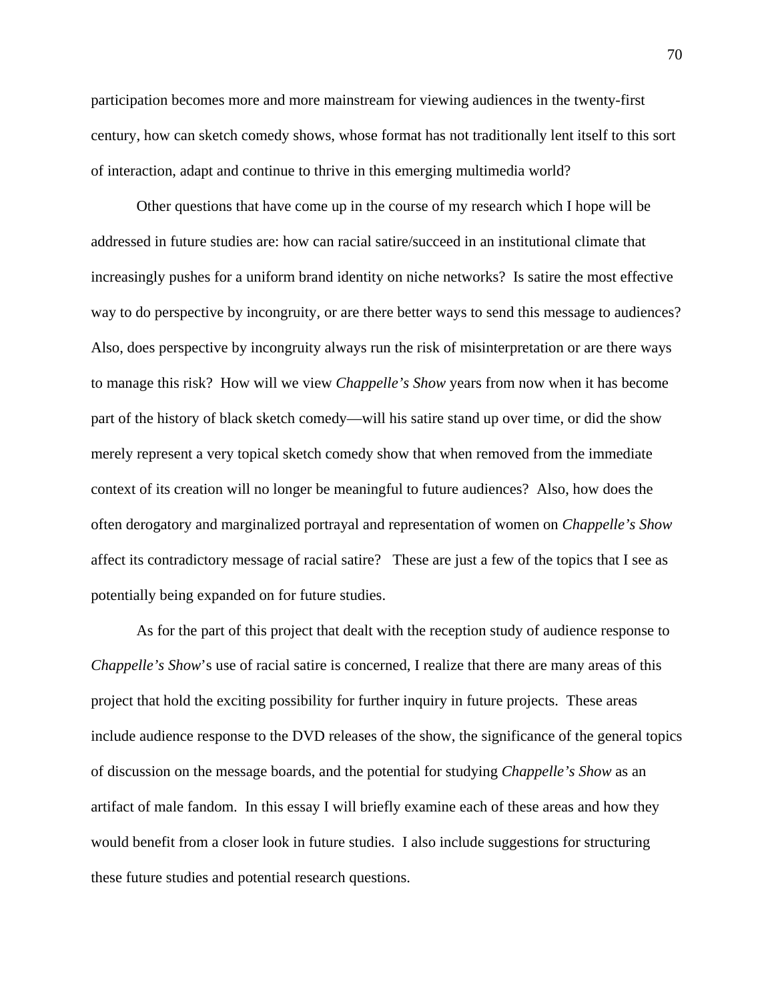participation becomes more and more mainstream for viewing audiences in the twenty-first century, how can sketch comedy shows, whose format has not traditionally lent itself to this sort of interaction, adapt and continue to thrive in this emerging multimedia world?

 Other questions that have come up in the course of my research which I hope will be addressed in future studies are: how can racial satire/succeed in an institutional climate that increasingly pushes for a uniform brand identity on niche networks? Is satire the most effective way to do perspective by incongruity, or are there better ways to send this message to audiences? Also, does perspective by incongruity always run the risk of misinterpretation or are there ways to manage this risk? How will we view *Chappelle's Show* years from now when it has become part of the history of black sketch comedy—will his satire stand up over time, or did the show merely represent a very topical sketch comedy show that when removed from the immediate context of its creation will no longer be meaningful to future audiences? Also, how does the often derogatory and marginalized portrayal and representation of women on *Chappelle's Show*  affect its contradictory message of racial satire? These are just a few of the topics that I see as potentially being expanded on for future studies.

As for the part of this project that dealt with the reception study of audience response to *Chappelle's Show*'s use of racial satire is concerned, I realize that there are many areas of this project that hold the exciting possibility for further inquiry in future projects. These areas include audience response to the DVD releases of the show, the significance of the general topics of discussion on the message boards, and the potential for studying *Chappelle's Show* as an artifact of male fandom. In this essay I will briefly examine each of these areas and how they would benefit from a closer look in future studies. I also include suggestions for structuring these future studies and potential research questions.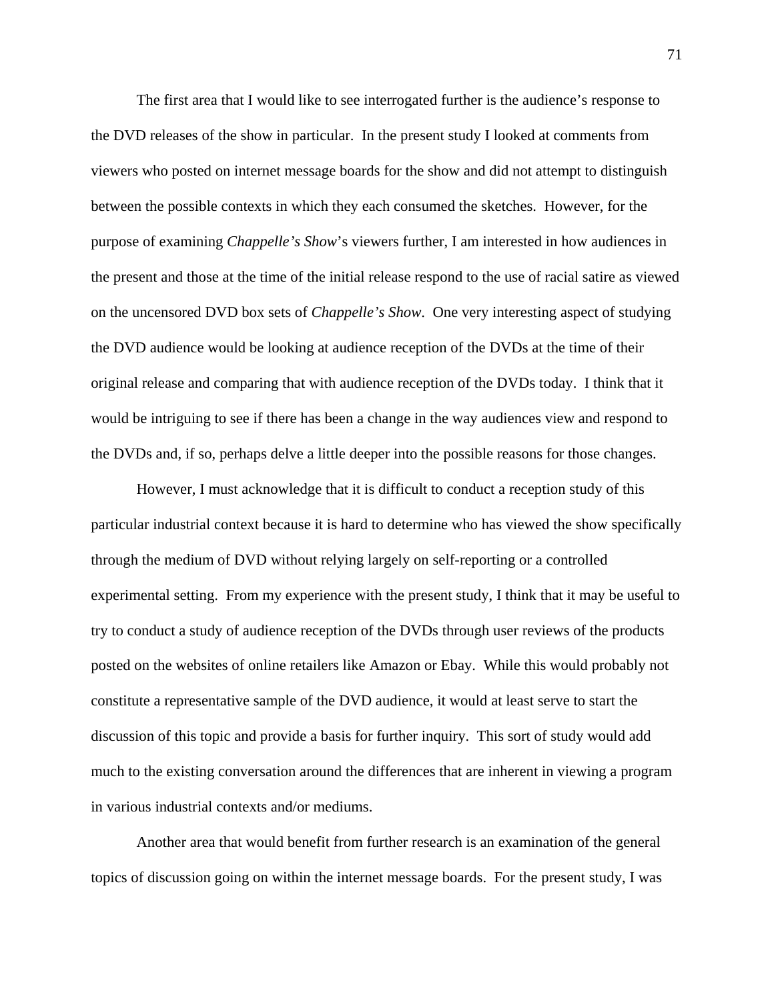The first area that I would like to see interrogated further is the audience's response to the DVD releases of the show in particular. In the present study I looked at comments from viewers who posted on internet message boards for the show and did not attempt to distinguish between the possible contexts in which they each consumed the sketches. However, for the purpose of examining *Chappelle's Show*'s viewers further, I am interested in how audiences in the present and those at the time of the initial release respond to the use of racial satire as viewed on the uncensored DVD box sets of *Chappelle's Show*. One very interesting aspect of studying the DVD audience would be looking at audience reception of the DVDs at the time of their original release and comparing that with audience reception of the DVDs today. I think that it would be intriguing to see if there has been a change in the way audiences view and respond to the DVDs and, if so, perhaps delve a little deeper into the possible reasons for those changes.

However, I must acknowledge that it is difficult to conduct a reception study of this particular industrial context because it is hard to determine who has viewed the show specifically through the medium of DVD without relying largely on self-reporting or a controlled experimental setting. From my experience with the present study, I think that it may be useful to try to conduct a study of audience reception of the DVDs through user reviews of the products posted on the websites of online retailers like Amazon or Ebay. While this would probably not constitute a representative sample of the DVD audience, it would at least serve to start the discussion of this topic and provide a basis for further inquiry. This sort of study would add much to the existing conversation around the differences that are inherent in viewing a program in various industrial contexts and/or mediums.

Another area that would benefit from further research is an examination of the general topics of discussion going on within the internet message boards. For the present study, I was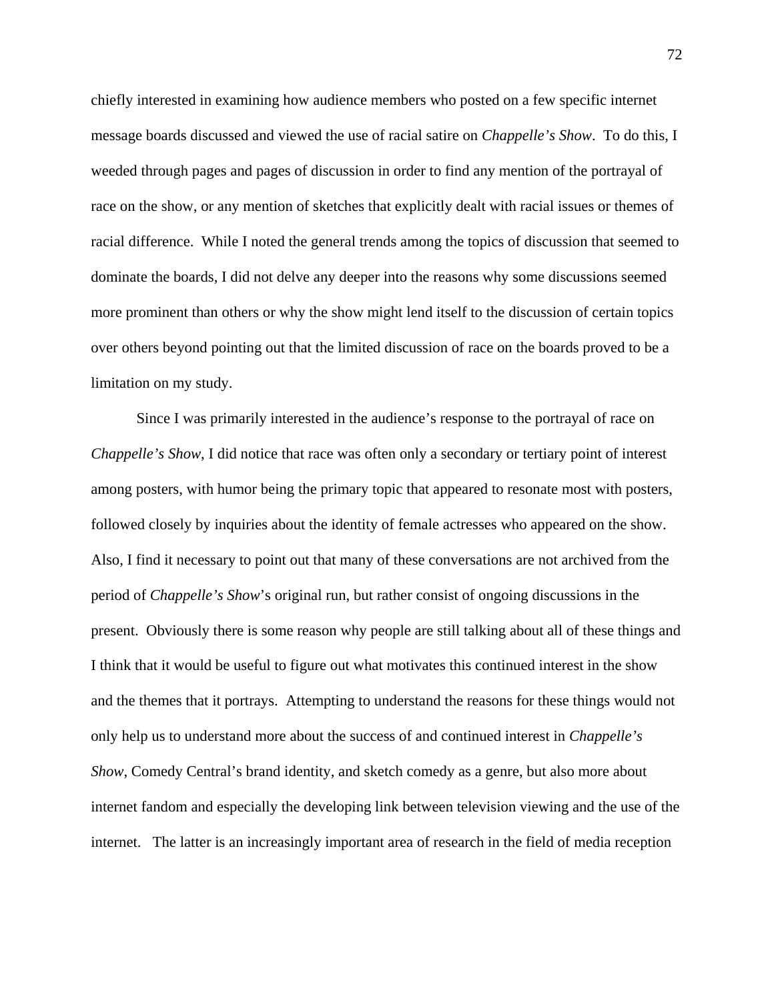chiefly interested in examining how audience members who posted on a few specific internet message boards discussed and viewed the use of racial satire on *Chappelle's Show*. To do this, I weeded through pages and pages of discussion in order to find any mention of the portrayal of race on the show, or any mention of sketches that explicitly dealt with racial issues or themes of racial difference. While I noted the general trends among the topics of discussion that seemed to dominate the boards, I did not delve any deeper into the reasons why some discussions seemed more prominent than others or why the show might lend itself to the discussion of certain topics over others beyond pointing out that the limited discussion of race on the boards proved to be a limitation on my study.

Since I was primarily interested in the audience's response to the portrayal of race on *Chappelle's Show*, I did notice that race was often only a secondary or tertiary point of interest among posters, with humor being the primary topic that appeared to resonate most with posters, followed closely by inquiries about the identity of female actresses who appeared on the show. Also, I find it necessary to point out that many of these conversations are not archived from the period of *Chappelle's Show*'s original run, but rather consist of ongoing discussions in the present. Obviously there is some reason why people are still talking about all of these things and I think that it would be useful to figure out what motivates this continued interest in the show and the themes that it portrays. Attempting to understand the reasons for these things would not only help us to understand more about the success of and continued interest in *Chappelle's Show*, Comedy Central's brand identity, and sketch comedy as a genre, but also more about internet fandom and especially the developing link between television viewing and the use of the internet. The latter is an increasingly important area of research in the field of media reception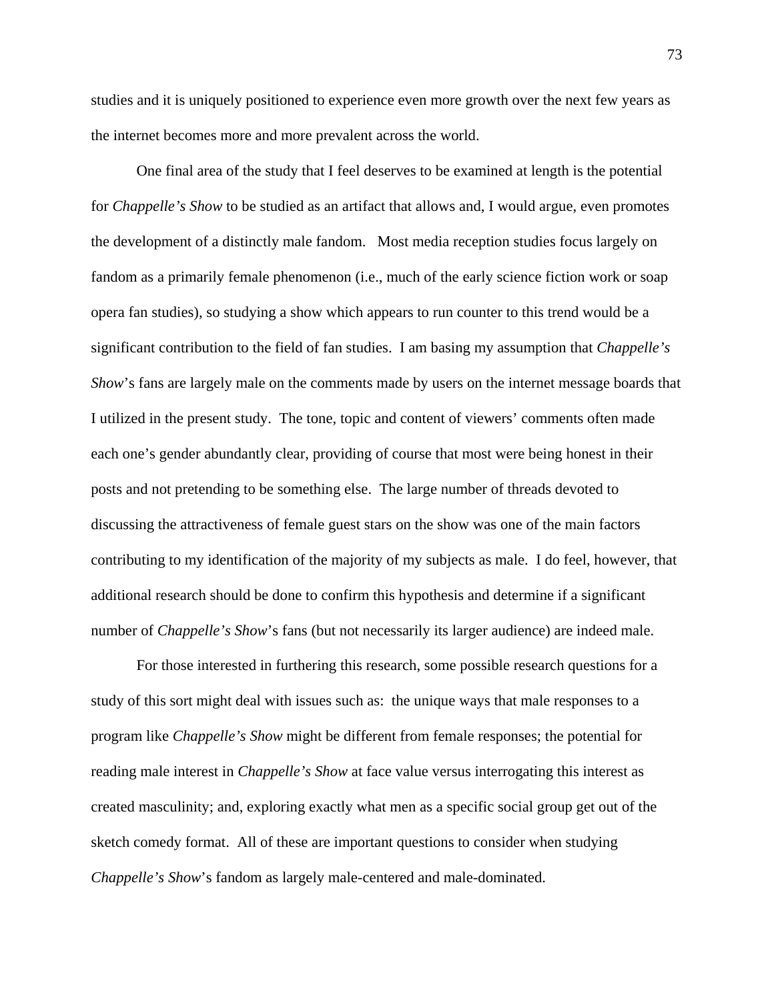studies and it is uniquely positioned to experience even more growth over the next few years as the internet becomes more and more prevalent across the world.

One final area of the study that I feel deserves to be examined at length is the potential for *Chappelle's Show* to be studied as an artifact that allows and, I would argue, even promotes the development of a distinctly male fandom. Most media reception studies focus largely on fandom as a primarily female phenomenon (i.e., much of the early science fiction work or soap opera fan studies), so studying a show which appears to run counter to this trend would be a significant contribution to the field of fan studies. I am basing my assumption that *Chappelle's Show*'s fans are largely male on the comments made by users on the internet message boards that I utilized in the present study. The tone, topic and content of viewers' comments often made each one's gender abundantly clear, providing of course that most were being honest in their posts and not pretending to be something else. The large number of threads devoted to discussing the attractiveness of female guest stars on the show was one of the main factors contributing to my identification of the majority of my subjects as male. I do feel, however, that additional research should be done to confirm this hypothesis and determine if a significant number of *Chappelle's Show's* fans (but not necessarily its larger audience) are indeed male.

For those interested in furthering this research, some possible research questions for a study of this sort might deal with issues such as: the unique ways that male responses to a program like *Chappelle's Show* might be different from female responses; the potential for reading male interest in *Chappelle's Show* at face value versus interrogating this interest as created masculinity; and, exploring exactly what men as a specific social group get out of the sketch comedy format. All of these are important questions to consider when studying *Chappelle's Show*'s fandom as largely male-centered and male-dominated.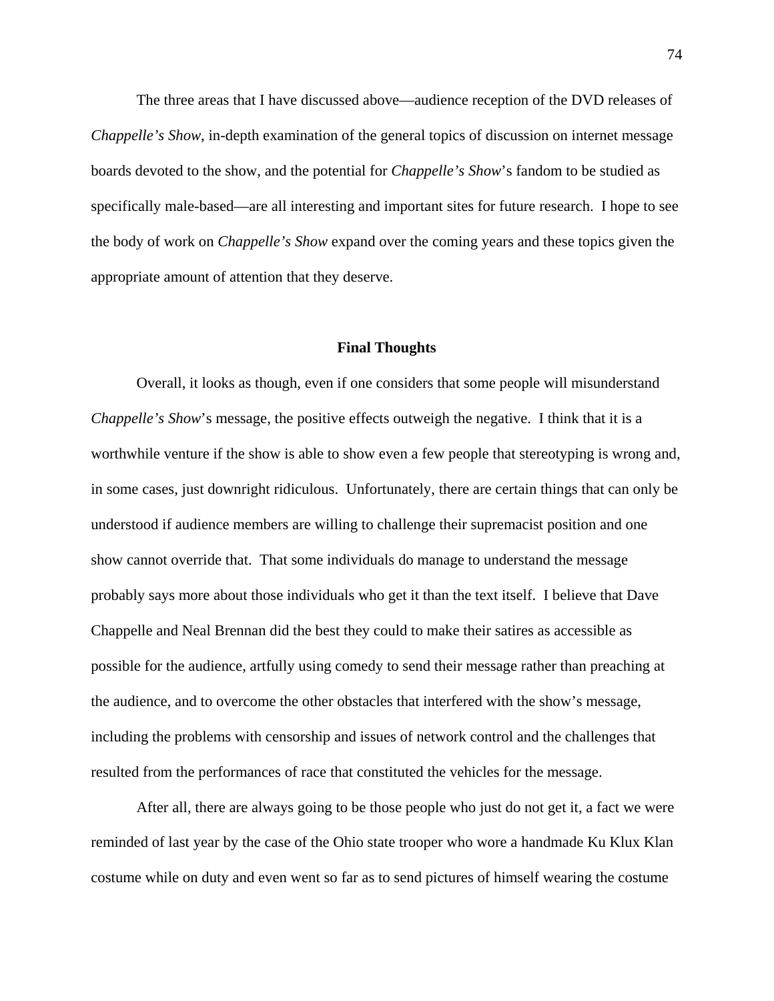The three areas that I have discussed above—audience reception of the DVD releases of *Chappelle's Show*, in-depth examination of the general topics of discussion on internet message boards devoted to the show, and the potential for *Chappelle's Show*'s fandom to be studied as specifically male-based—are all interesting and important sites for future research. I hope to see the body of work on *Chappelle's Show* expand over the coming years and these topics given the appropriate amount of attention that they deserve.

### **Final Thoughts**

Overall, it looks as though, even if one considers that some people will misunderstand *Chappelle's Show's* message, the positive effects outweigh the negative. I think that it is a worthwhile venture if the show is able to show even a few people that stereotyping is wrong and, in some cases, just downright ridiculous. Unfortunately, there are certain things that can only be understood if audience members are willing to challenge their supremacist position and one show cannot override that. That some individuals do manage to understand the message probably says more about those individuals who get it than the text itself. I believe that Dave Chappelle and Neal Brennan did the best they could to make their satires as accessible as possible for the audience, artfully using comedy to send their message rather than preaching at the audience, and to overcome the other obstacles that interfered with the show's message, including the problems with censorship and issues of network control and the challenges that resulted from the performances of race that constituted the vehicles for the message.

After all, there are always going to be those people who just do not get it, a fact we were reminded of last year by the case of the Ohio state trooper who wore a handmade Ku Klux Klan costume while on duty and even went so far as to send pictures of himself wearing the costume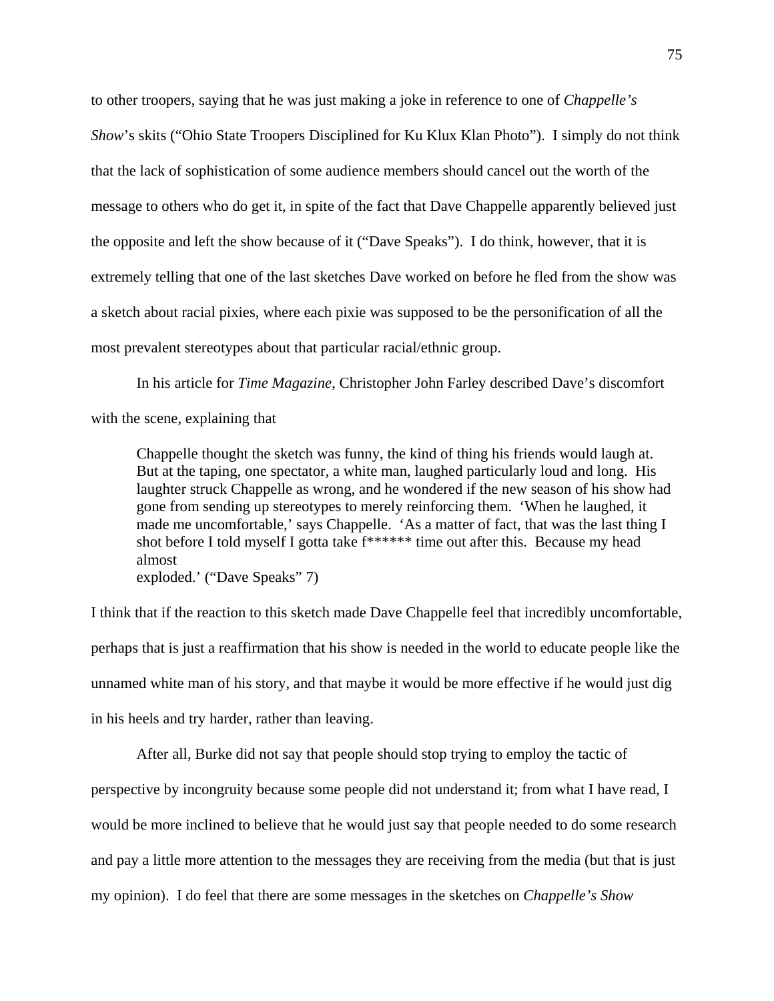to other troopers, saying that he was just making a joke in reference to one of *Chappelle's Show*'s skits ("Ohio State Troopers Disciplined for Ku Klux Klan Photo"). I simply do not think that the lack of sophistication of some audience members should cancel out the worth of the message to others who do get it, in spite of the fact that Dave Chappelle apparently believed just the opposite and left the show because of it ("Dave Speaks"). I do think, however, that it is extremely telling that one of the last sketches Dave worked on before he fled from the show was a sketch about racial pixies, where each pixie was supposed to be the personification of all the most prevalent stereotypes about that particular racial/ethnic group.

In his article for *Time Magazine*, Christopher John Farley described Dave's discomfort with the scene, explaining that

Chappelle thought the sketch was funny, the kind of thing his friends would laugh at. But at the taping, one spectator, a white man, laughed particularly loud and long. His laughter struck Chappelle as wrong, and he wondered if the new season of his show had gone from sending up stereotypes to merely reinforcing them. 'When he laughed, it made me uncomfortable,' says Chappelle. 'As a matter of fact, that was the last thing I shot before I told myself I gotta take f\*\*\*\*\*\* time out after this. Because my head almost exploded.' ("Dave Speaks" 7)

I think that if the reaction to this sketch made Dave Chappelle feel that incredibly uncomfortable, perhaps that is just a reaffirmation that his show is needed in the world to educate people like the unnamed white man of his story, and that maybe it would be more effective if he would just dig in his heels and try harder, rather than leaving.

 After all, Burke did not say that people should stop trying to employ the tactic of perspective by incongruity because some people did not understand it; from what I have read, I would be more inclined to believe that he would just say that people needed to do some research and pay a little more attention to the messages they are receiving from the media (but that is just my opinion). I do feel that there are some messages in the sketches on *Chappelle's Show*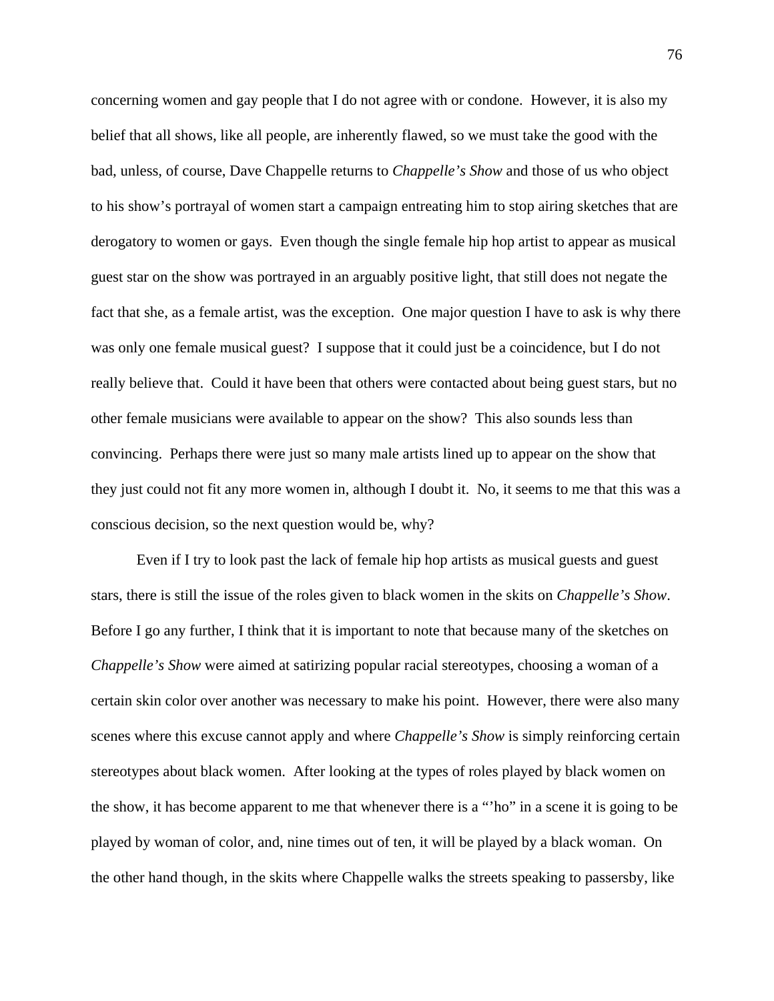concerning women and gay people that I do not agree with or condone. However, it is also my belief that all shows, like all people, are inherently flawed, so we must take the good with the bad, unless, of course, Dave Chappelle returns to *Chappelle's Show* and those of us who object to his show's portrayal of women start a campaign entreating him to stop airing sketches that are derogatory to women or gays. Even though the single female hip hop artist to appear as musical guest star on the show was portrayed in an arguably positive light, that still does not negate the fact that she, as a female artist, was the exception. One major question I have to ask is why there was only one female musical guest? I suppose that it could just be a coincidence, but I do not really believe that. Could it have been that others were contacted about being guest stars, but no other female musicians were available to appear on the show? This also sounds less than convincing. Perhaps there were just so many male artists lined up to appear on the show that they just could not fit any more women in, although I doubt it. No, it seems to me that this was a conscious decision, so the next question would be, why?

 Even if I try to look past the lack of female hip hop artists as musical guests and guest stars, there is still the issue of the roles given to black women in the skits on *Chappelle's Show*. Before I go any further, I think that it is important to note that because many of the sketches on *Chappelle's Show* were aimed at satirizing popular racial stereotypes, choosing a woman of a certain skin color over another was necessary to make his point. However, there were also many scenes where this excuse cannot apply and where *Chappelle's Show* is simply reinforcing certain stereotypes about black women. After looking at the types of roles played by black women on the show, it has become apparent to me that whenever there is a "'ho" in a scene it is going to be played by woman of color, and, nine times out of ten, it will be played by a black woman. On the other hand though, in the skits where Chappelle walks the streets speaking to passersby, like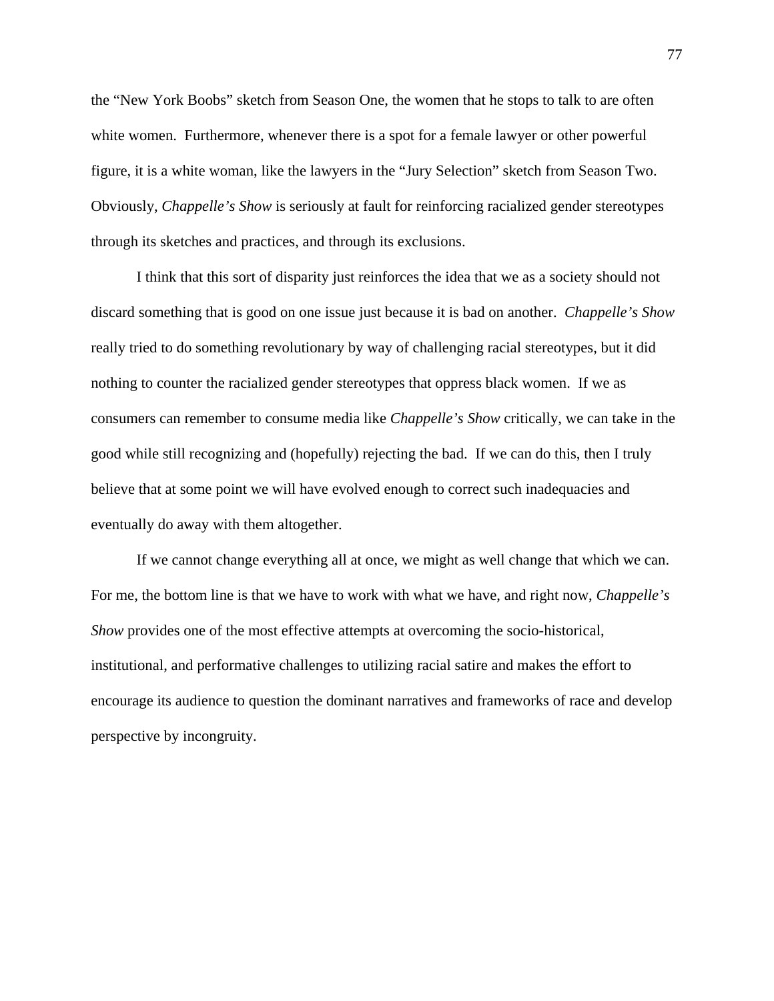the "New York Boobs" sketch from Season One, the women that he stops to talk to are often white women. Furthermore, whenever there is a spot for a female lawyer or other powerful figure, it is a white woman, like the lawyers in the "Jury Selection" sketch from Season Two. Obviously, *Chappelle's Show* is seriously at fault for reinforcing racialized gender stereotypes through its sketches and practices, and through its exclusions.

I think that this sort of disparity just reinforces the idea that we as a society should not discard something that is good on one issue just because it is bad on another. *Chappelle's Show* really tried to do something revolutionary by way of challenging racial stereotypes, but it did nothing to counter the racialized gender stereotypes that oppress black women. If we as consumers can remember to consume media like *Chappelle's Show* critically, we can take in the good while still recognizing and (hopefully) rejecting the bad. If we can do this, then I truly believe that at some point we will have evolved enough to correct such inadequacies and eventually do away with them altogether.

If we cannot change everything all at once, we might as well change that which we can. For me, the bottom line is that we have to work with what we have, and right now, *Chappelle's Show* provides one of the most effective attempts at overcoming the socio-historical, institutional, and performative challenges to utilizing racial satire and makes the effort to encourage its audience to question the dominant narratives and frameworks of race and develop perspective by incongruity.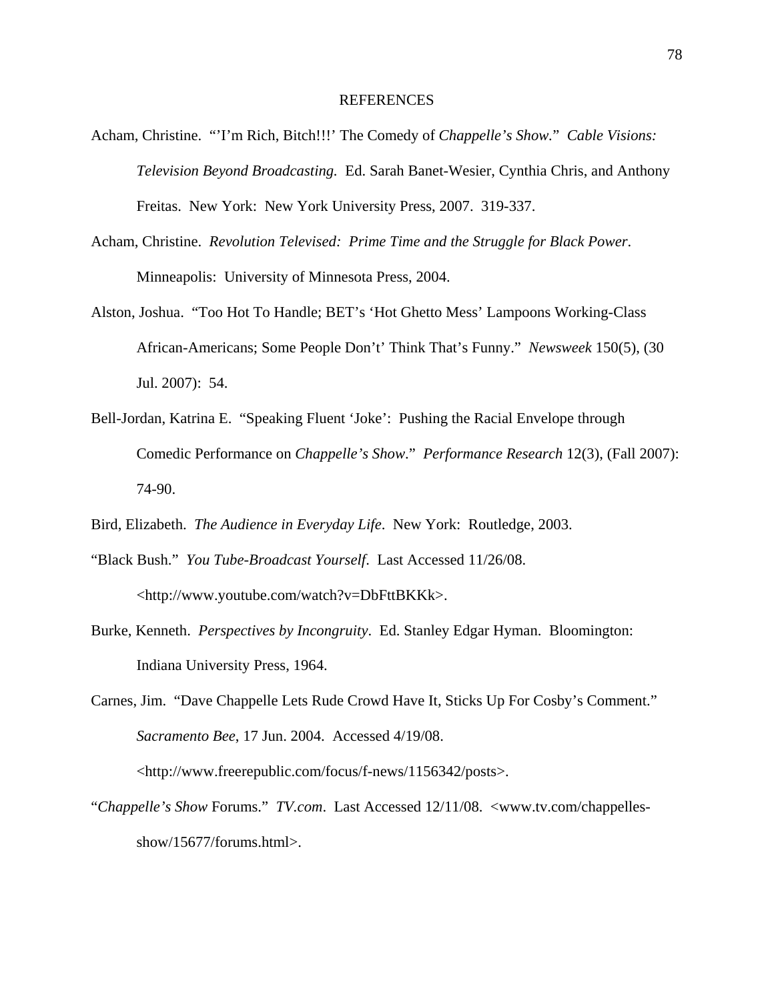#### REFERENCES

- Acham, Christine. "'I'm Rich, Bitch!!!' The Comedy of *Chappelle's Show.*" *Cable Visions: Television Beyond Broadcasting.* Ed. Sarah Banet-Wesier, Cynthia Chris, and Anthony Freitas. New York: New York University Press, 2007. 319-337.
- Acham, Christine. *Revolution Televised: Prime Time and the Struggle for Black Power*. Minneapolis: University of Minnesota Press, 2004.
- Alston, Joshua. "Too Hot To Handle; BET's 'Hot Ghetto Mess' Lampoons Working-Class African-Americans; Some People Don't' Think That's Funny." *Newsweek* 150(5), (30 Jul. 2007): 54.
- Bell-Jordan, Katrina E. "Speaking Fluent 'Joke': Pushing the Racial Envelope through Comedic Performance on *Chappelle's Show*." *Performance Research* 12(3), (Fall 2007): 74-90.
- Bird, Elizabeth. *The Audience in Everyday Life*. New York: Routledge, 2003.
- "Black Bush." *You Tube-Broadcast Yourself*. Last Accessed 11/26/08. <http://www.youtube.com/watch?v=DbFttBKKk>.
- Burke, Kenneth. *Perspectives by Incongruity*. Ed. Stanley Edgar Hyman. Bloomington: Indiana University Press, 1964.
- Carnes, Jim. "Dave Chappelle Lets Rude Crowd Have It, Sticks Up For Cosby's Comment." *Sacramento Bee*, 17 Jun. 2004. Accessed 4/19/08. <http://www.freerepublic.com/focus/f-news/1156342/posts>.
- "*Chappelle's Show* Forums." *TV.com*. Last Accessed 12/11/08. <www.tv.com/chappellesshow/15677/forums.html>.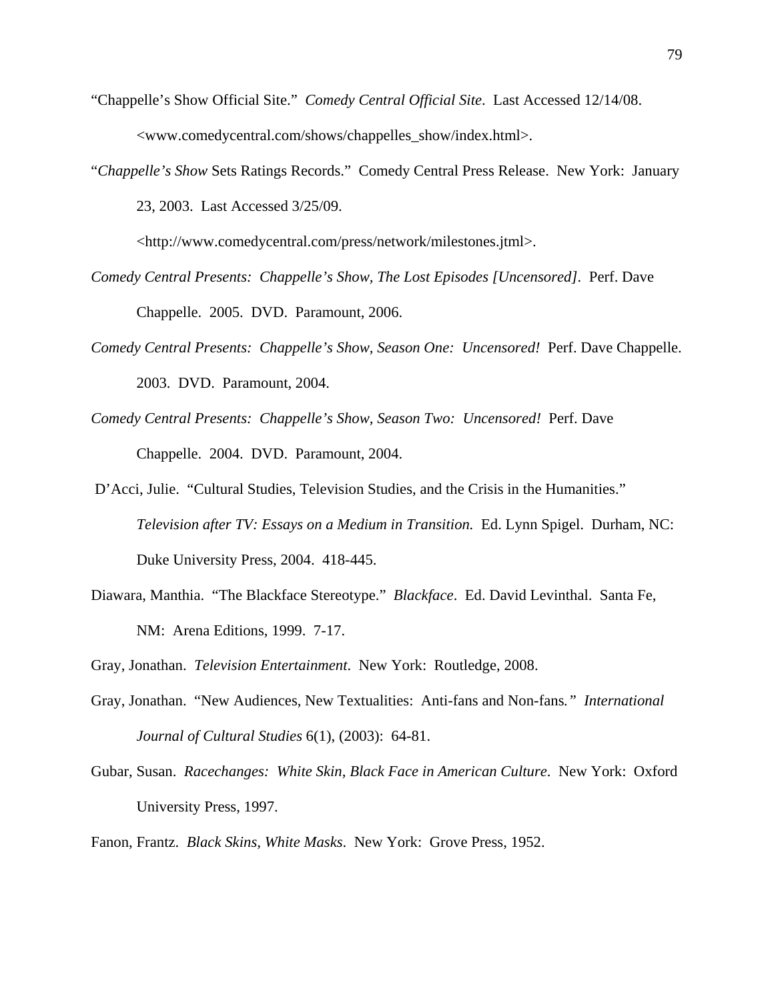- "Chappelle's Show Official Site." *Comedy Central Official Site*. Last Accessed 12/14/08. <www.comedycentral.com/shows/chappelles\_show/index.html>.
- "*Chappelle's Show* Sets Ratings Records." Comedy Central Press Release. New York: January 23, 2003. Last Accessed 3/25/09.

<http://www.comedycentral.com/press/network/milestones.jtml>.

- *Comedy Central Presents: Chappelle's Show, The Lost Episodes [Uncensored].* Perf. Dave Chappelle. 2005. DVD. Paramount, 2006.
- *Comedy Central Presents: Chappelle's Show, Season One: Uncensored!* Perf. Dave Chappelle. 2003. DVD. Paramount, 2004.
- *Comedy Central Presents: Chappelle's Show, Season Two: Uncensored!* Perf. Dave Chappelle. 2004. DVD. Paramount, 2004.
- D'Acci, Julie. "Cultural Studies, Television Studies, and the Crisis in the Humanities." *Television after TV: Essays on a Medium in Transition.* Ed. Lynn Spigel. Durham, NC: Duke University Press, 2004. 418-445.
- Diawara, Manthia. "The Blackface Stereotype." *Blackface*. Ed. David Levinthal. Santa Fe, NM: Arena Editions, 1999. 7-17.
- Gray, Jonathan. *Television Entertainment*. New York: Routledge, 2008.
- Gray, Jonathan. "New Audiences, New Textualities: Anti-fans and Non-fans*." International Journal of Cultural Studies* 6(1), (2003): 64-81.
- Gubar, Susan. *Racechanges: White Skin, Black Face in American Culture*. New York: Oxford University Press, 1997.

Fanon, Frantz. *Black Skins, White Masks*. New York: Grove Press, 1952.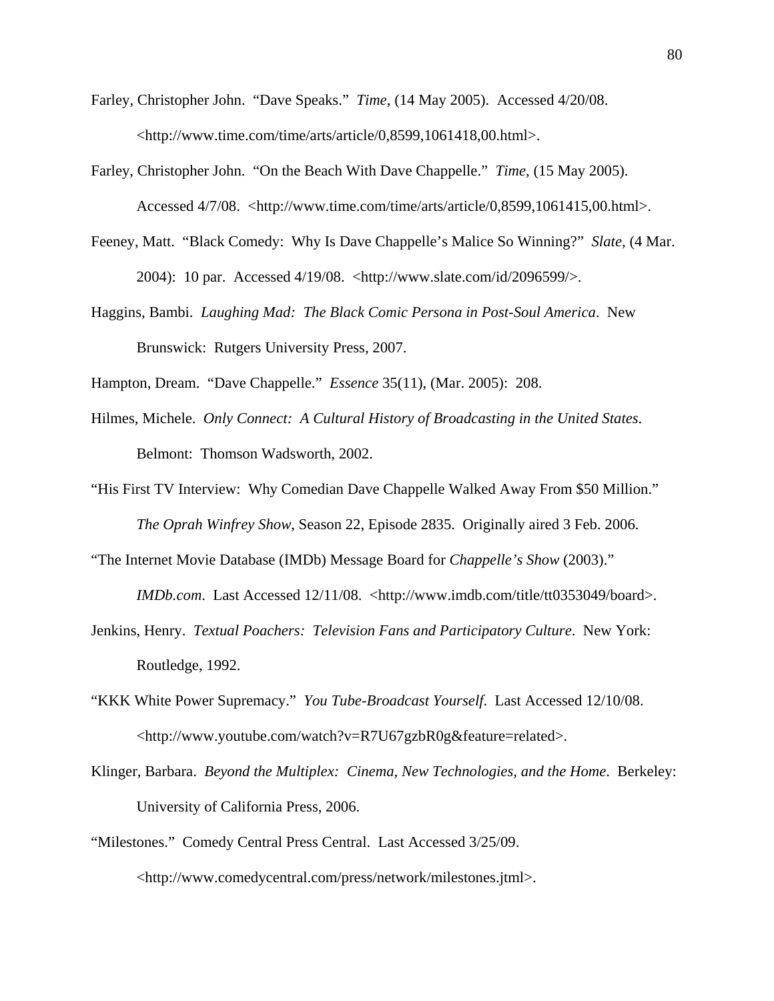- Farley, Christopher John. "Dave Speaks." *Time*, (14 May 2005). Accessed 4/20/08. <http://www.time.com/time/arts/article/0,8599,1061418,00.html>.
- Farley, Christopher John. "On the Beach With Dave Chappelle." *Time*, (15 May 2005). Accessed 4/7/08. <http://www.time.com/time/arts/article/0,8599,1061415,00.html>.
- Feeney, Matt. "Black Comedy: Why Is Dave Chappelle's Malice So Winning?" *Slate,* (4 Mar. 2004): 10 par. Accessed 4/19/08. <http://www.slate.com/id/2096599/>.
- Haggins, Bambi. *Laughing Mad: The Black Comic Persona in Post-Soul America*. New Brunswick: Rutgers University Press, 2007.

Hampton, Dream. "Dave Chappelle." *Essence* 35(11), (Mar. 2005): 208.

- Hilmes, Michele. *Only Connect: A Cultural History of Broadcasting in the United States*. Belmont: Thomson Wadsworth, 2002.
- "His First TV Interview: Why Comedian Dave Chappelle Walked Away From \$50 Million." *The Oprah Winfrey Show*, Season 22, Episode 2835. Originally aired 3 Feb. 2006.
- "The Internet Movie Database (IMDb) Message Board for *Chappelle's Show* (2003)." *IMDb.com*. Last Accessed 12/11/08. <http://www.imdb.com/title/tt0353049/board>.
- Jenkins, Henry. *Textual Poachers: Television Fans and Participatory Culture*. New York: Routledge, 1992.
- "KKK White Power Supremacy." *You Tube-Broadcast Yourself*. Last Accessed 12/10/08. <http://www.youtube.com/watch?v=R7U67gzbR0g&feature=related>.
- Klinger, Barbara. *Beyond the Multiplex: Cinema, New Technologies, and the Home*. Berkeley: University of California Press, 2006.
- "Milestones." Comedy Central Press Central. Last Accessed 3/25/09. <http://www.comedycentral.com/press/network/milestones.jtml>.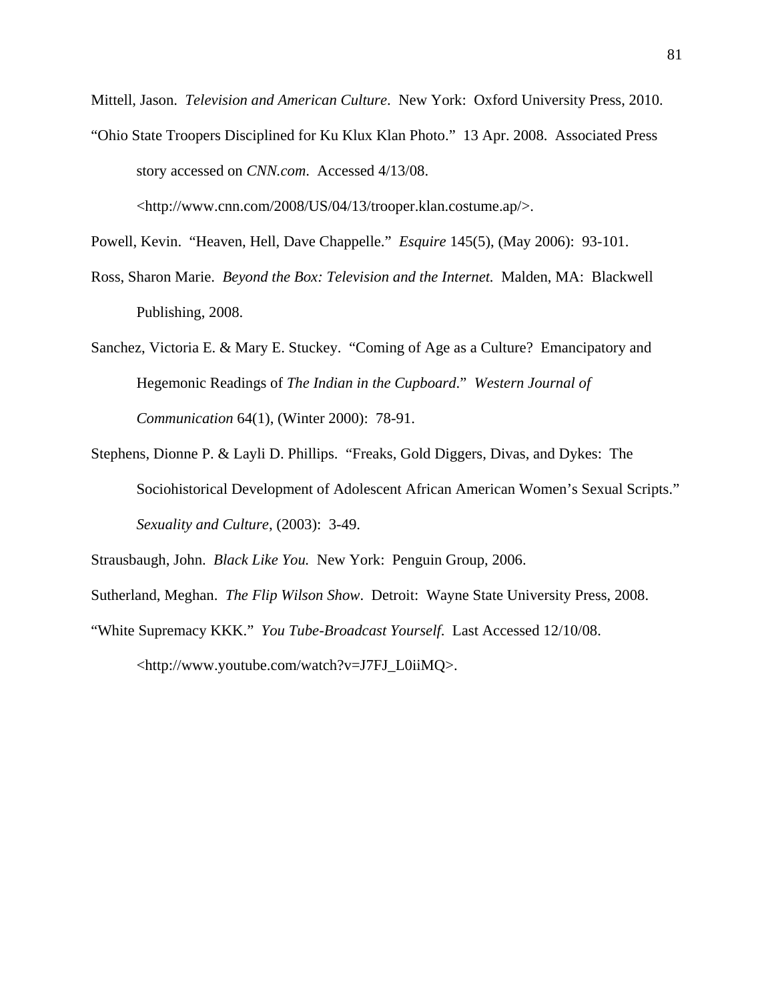Mittell, Jason. *Television and American Culture*. New York: Oxford University Press, 2010. "Ohio State Troopers Disciplined for Ku Klux Klan Photo." 13 Apr. 2008. Associated Press story accessed on *CNN.com*. Accessed 4/13/08.

<http://www.cnn.com/2008/US/04/13/trooper.klan.costume.ap/>.

Powell, Kevin. "Heaven, Hell, Dave Chappelle." *Esquire* 145(5), (May 2006): 93-101.

- Ross, Sharon Marie. *Beyond the Box: Television and the Internet.* Malden, MA: Blackwell Publishing, 2008.
- Sanchez, Victoria E. & Mary E. Stuckey. "Coming of Age as a Culture? Emancipatory and Hegemonic Readings of *The Indian in the Cupboard*." *Western Journal of Communication* 64(1), (Winter 2000): 78-91.
- Stephens, Dionne P. & Layli D. Phillips. "Freaks, Gold Diggers, Divas, and Dykes: The Sociohistorical Development of Adolescent African American Women's Sexual Scripts." *Sexuality and Culture*, (2003): 3-49.

Strausbaugh, John. *Black Like You.* New York: Penguin Group, 2006.

Sutherland, Meghan. *The Flip Wilson Show*. Detroit: Wayne State University Press, 2008.

"White Supremacy KKK." *You Tube-Broadcast Yourself*. Last Accessed 12/10/08.

<http://www.youtube.com/watch?v=J7FJ\_L0iiMQ>.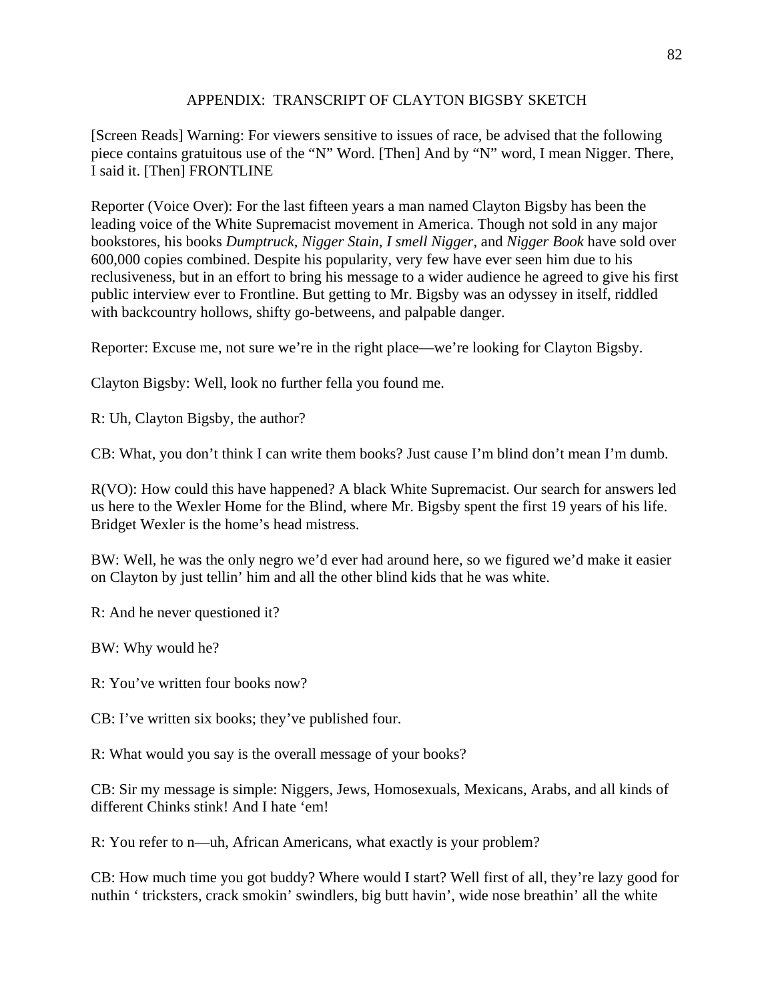# APPENDIX: TRANSCRIPT OF CLAYTON BIGSBY SKETCH

[Screen Reads] Warning: For viewers sensitive to issues of race, be advised that the following piece contains gratuitous use of the "N" Word. [Then] And by "N" word, I mean Nigger. There, I said it. [Then] FRONTLINE

Reporter (Voice Over): For the last fifteen years a man named Clayton Bigsby has been the leading voice of the White Supremacist movement in America. Though not sold in any major bookstores, his books *Dumptruck*, *Nigger Stain*, *I smell Nigger*, and *Nigger Book* have sold over 600,000 copies combined. Despite his popularity, very few have ever seen him due to his reclusiveness, but in an effort to bring his message to a wider audience he agreed to give his first public interview ever to Frontline. But getting to Mr. Bigsby was an odyssey in itself, riddled with backcountry hollows, shifty go-betweens, and palpable danger.

Reporter: Excuse me, not sure we're in the right place—we're looking for Clayton Bigsby.

Clayton Bigsby: Well, look no further fella you found me.

R: Uh, Clayton Bigsby, the author?

CB: What, you don't think I can write them books? Just cause I'm blind don't mean I'm dumb.

R(VO): How could this have happened? A black White Supremacist. Our search for answers led us here to the Wexler Home for the Blind, where Mr. Bigsby spent the first 19 years of his life. Bridget Wexler is the home's head mistress.

BW: Well, he was the only negro we'd ever had around here, so we figured we'd make it easier on Clayton by just tellin' him and all the other blind kids that he was white.

R: And he never questioned it?

BW: Why would he?

R: You've written four books now?

CB: I've written six books; they've published four.

R: What would you say is the overall message of your books?

CB: Sir my message is simple: Niggers, Jews, Homosexuals, Mexicans, Arabs, and all kinds of different Chinks stink! And I hate 'em!

R: You refer to n—uh, African Americans, what exactly is your problem?

CB: How much time you got buddy? Where would I start? Well first of all, they're lazy good for nuthin ' tricksters, crack smokin' swindlers, big butt havin', wide nose breathin' all the white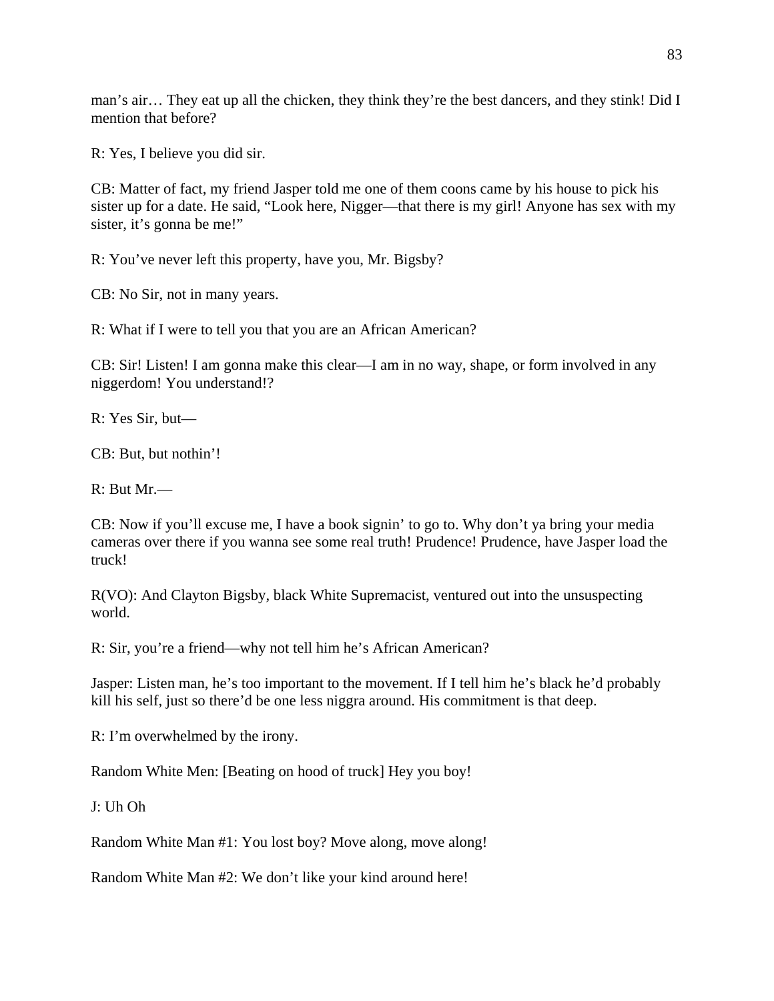man's air… They eat up all the chicken, they think they're the best dancers, and they stink! Did I mention that before?

R: Yes, I believe you did sir.

CB: Matter of fact, my friend Jasper told me one of them coons came by his house to pick his sister up for a date. He said, "Look here, Nigger—that there is my girl! Anyone has sex with my sister, it's gonna be me!"

R: You've never left this property, have you, Mr. Bigsby?

CB: No Sir, not in many years.

R: What if I were to tell you that you are an African American?

CB: Sir! Listen! I am gonna make this clear—I am in no way, shape, or form involved in any niggerdom! You understand!?

R: Yes Sir, but—

CB: But, but nothin'!

R: But Mr.—

CB: Now if you'll excuse me, I have a book signin' to go to. Why don't ya bring your media cameras over there if you wanna see some real truth! Prudence! Prudence, have Jasper load the truck!

R(VO): And Clayton Bigsby, black White Supremacist, ventured out into the unsuspecting world.

R: Sir, you're a friend—why not tell him he's African American?

Jasper: Listen man, he's too important to the movement. If I tell him he's black he'd probably kill his self, just so there'd be one less niggra around. His commitment is that deep.

R: I'm overwhelmed by the irony.

Random White Men: [Beating on hood of truck] Hey you boy!

J: Uh Oh

Random White Man #1: You lost boy? Move along, move along!

Random White Man #2: We don't like your kind around here!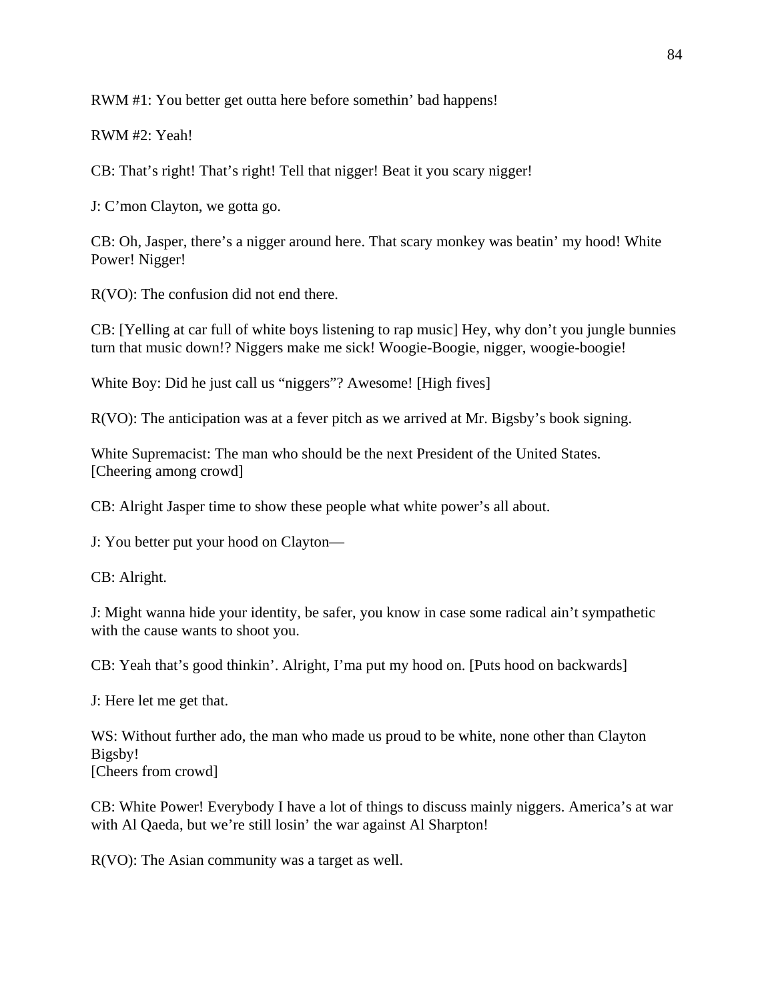RWM #1: You better get outta here before somethin' bad happens!

RWM #2: Yeah!

CB: That's right! That's right! Tell that nigger! Beat it you scary nigger!

J: C'mon Clayton, we gotta go.

CB: Oh, Jasper, there's a nigger around here. That scary monkey was beatin' my hood! White Power! Nigger!

R(VO): The confusion did not end there.

CB: [Yelling at car full of white boys listening to rap music] Hey, why don't you jungle bunnies turn that music down!? Niggers make me sick! Woogie-Boogie, nigger, woogie-boogie!

White Boy: Did he just call us "niggers"? Awesome! [High fives]

R(VO): The anticipation was at a fever pitch as we arrived at Mr. Bigsby's book signing.

White Supremacist: The man who should be the next President of the United States. [Cheering among crowd]

CB: Alright Jasper time to show these people what white power's all about.

J: You better put your hood on Clayton—

CB: Alright.

J: Might wanna hide your identity, be safer, you know in case some radical ain't sympathetic with the cause wants to shoot you.

CB: Yeah that's good thinkin'. Alright, I'ma put my hood on. [Puts hood on backwards]

J: Here let me get that.

WS: Without further ado, the man who made us proud to be white, none other than Clayton Bigsby! [Cheers from crowd]

CB: White Power! Everybody I have a lot of things to discuss mainly niggers. America's at war with Al Qaeda, but we're still losin' the war against Al Sharpton!

R(VO): The Asian community was a target as well.